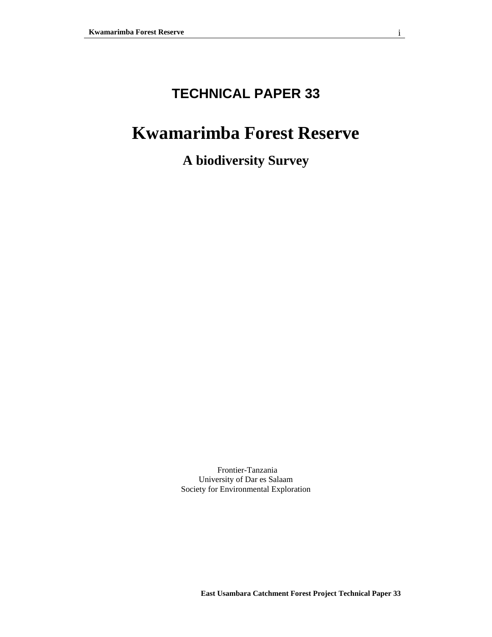# **TECHNICAL PAPER 33**

# **Kwamarimba Forest Reserve**

**A biodiversity Survey**

Frontier-Tanzania University of Dar es Salaam Society for Environmental Exploration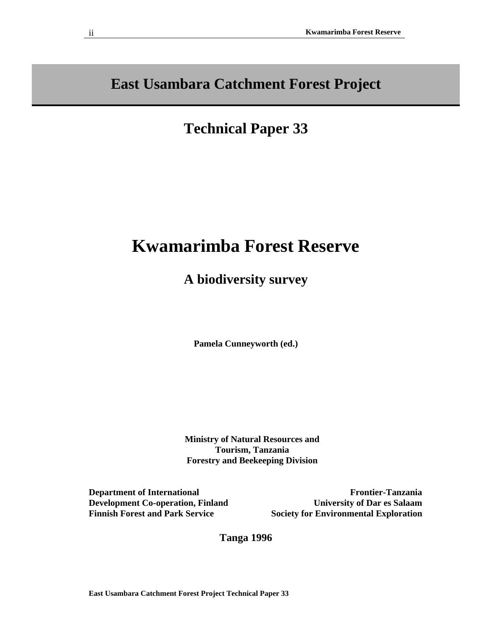**East Usambara Catchment Forest Project**

# **Technical Paper 33**

# **Kwamarimba Forest Reserve**

# **A biodiversity survey**

**Pamela Cunneyworth (ed.)**

 **Ministry of Natural Resources and Tourism, Tanzania Forestry and Beekeeping Division** 

**Department of International Development Co-operation, Finland Finnish Forest and Park Service** 

**Frontier-Tanzania University of Dar es Salaam Society for Environmental Exploration**

**Tanga 1996**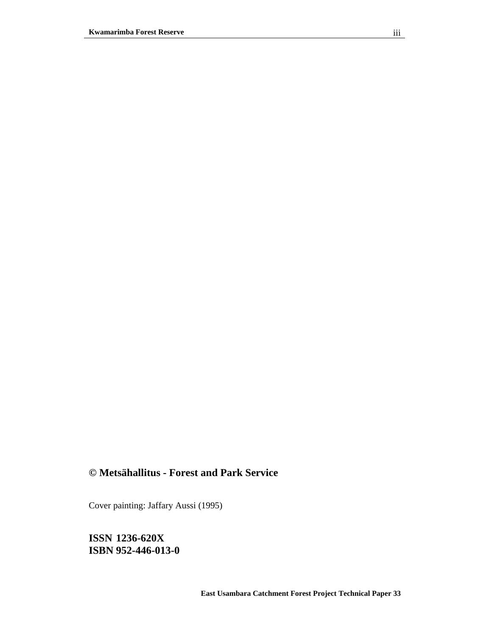# **© Metsähallitus - Forest and Park Service**

Cover painting: Jaffary Aussi (1995)

**ISSN 1236-620X ISBN 952-446-013-0**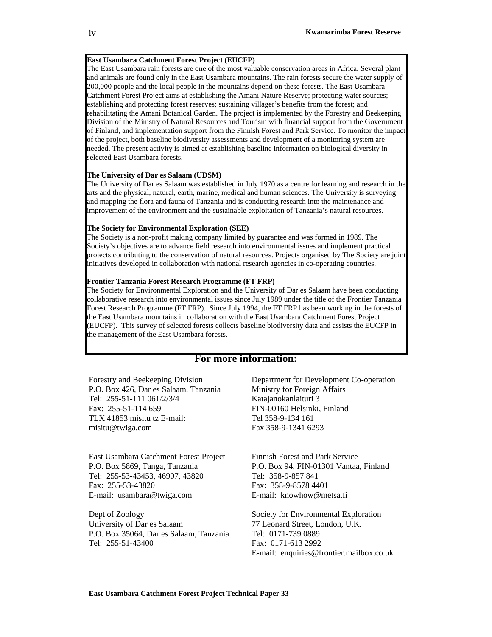#### **East Usambara Catchment Forest Project (EUCFP)**

The East Usambara rain forests are one of the most valuable conservation areas in Africa. Several plant and animals are found only in the East Usambara mountains. The rain forests secure the water supply of 200,000 people and the local people in the mountains depend on these forests. The East Usambara Catchment Forest Project aims at establishing the Amani Nature Reserve; protecting water sources; establishing and protecting forest reserves; sustaining villager's benefits from the forest; and rehabilitating the Amani Botanical Garden. The project is implemented by the Forestry and Beekeeping Division of the Ministry of Natural Resources and Tourism with financial support from the Government of Finland, and implementation support from the Finnish Forest and Park Service. To monitor the impact of the project, both baseline biodiversity assessments and development of a monitoring system are needed. The present activity is aimed at establishing baseline information on biological diversity in selected East Usambara forests.

#### **The University of Dar es Salaam (UDSM)**

The University of Dar es Salaam was established in July 1970 as a centre for learning and research in the arts and the physical, natural, earth, marine, medical and human sciences. The University is surveying and mapping the flora and fauna of Tanzania and is conducting research into the maintenance and improvement of the environment and the sustainable exploitation of Tanzania's natural resources.

#### **The Society for Environmental Exploration (SEE)**

The Society is a non-profit making company limited by guarantee and was formed in 1989. The Society's objectives are to advance field research into environmental issues and implement practical projects contributing to the conservation of natural resources. Projects organised by The Society are joint initiatives developed in collaboration with national research agencies in co-operating countries.

#### **Frontier Tanzania Forest Research Programme (FT FRP)**

The Society for Environmental Exploration and the University of Dar es Salaam have been conducting collaborative research into environmental issues since July 1989 under the title of the Frontier Tanzania Forest Research Programme (FT FRP). Since July 1994, the FT FRP has been working in the forests of the East Usambara mountains in collaboration with the East Usambara Catchment Forest Project (EUCFP). This survey of selected forests collects baseline biodiversity data and assists the EUCFP in the management of the East Usambara forests.

#### **For more information:**

Forestry and Beekeeping Division P.O. Box 426, Dar es Salaam, Tanzania Tel: 255-51-111 061/2/3/4 Fax: 255-51-114 659 TLX 41853 misitu tz E-mail: misitu@twiga.com

East Usambara Catchment Forest Project P.O. Box 5869, Tanga, Tanzania Tel: 255-53-43453, 46907, 43820 Fax: 255-53-43820 E-mail: usambara@twiga.com

Dept of Zoology University of Dar es Salaam P.O. Box 35064, Dar es Salaam, Tanzania Tel: 255-51-43400

Department for Development Co-operation Ministry for Foreign Affairs Katajanokanlaituri 3 FIN-00160 Helsinki, Finland Tel 358-9-134 161 Fax 358-9-1341 6293

Finnish Forest and Park Service P.O. Box 94, FIN-01301 Vantaa, Finland Tel: 358-9-857 841 Fax: 358-9-8578 4401 E-mail: knowhow@metsa.fi

Society for Environmental Exploration 77 Leonard Street, London, U.K. Tel: 0171-739 0889 Fax: 0171-613 2992 E-mail: enquiries@frontier.mailbox.co.uk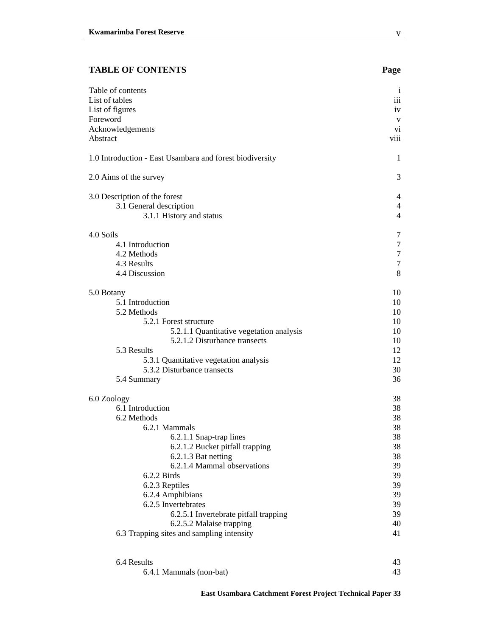### **TABLE OF CONTENTS Page**

| Foreword                                                 | V                |
|----------------------------------------------------------|------------------|
| Acknowledgements                                         | vi               |
| Abstract                                                 | viii             |
| 1.0 Introduction - East Usambara and forest biodiversity | 1                |
| 2.0 Aims of the survey                                   | 3                |
| 3.0 Description of the forest                            | 4                |
| 3.1 General description                                  | 4                |
| 3.1.1 History and status                                 | 4                |
| 4.0 Soils                                                | 7                |
| 4.1 Introduction                                         | $\overline{7}$   |
| 4.2 Methods                                              | $\boldsymbol{7}$ |
| 4.3 Results                                              | $\overline{7}$   |
| 4.4 Discussion                                           | 8                |
| 5.0 Botany                                               | 10               |
| 5.1 Introduction                                         | 10               |
| 5.2 Methods                                              | 10               |
| 5.2.1 Forest structure                                   | 10               |
| 5.2.1.1 Quantitative vegetation analysis                 | 10               |
| 5.2.1.2 Disturbance transects                            | 10               |
| 5.3 Results                                              | 12               |
| 5.3.1 Quantitative vegetation analysis                   | 12               |
| 5.3.2 Disturbance transects                              | 30               |
| 5.4 Summary                                              | 36               |
| 6.0 Zoology                                              | 38               |
| 6.1 Introduction                                         | 38               |
| 6.2 Methods                                              | 38               |
| 6.2.1 Mammals                                            | 38               |
| 6.2.1.1 Snap-trap lines                                  | 38               |
| 6.2.1.2 Bucket pitfall trapping                          | 38               |
| 6.2.1.3 Bat netting                                      | 38               |
| 6.2.1.4 Mammal observations                              | 39               |
| 6.2.2 Birds                                              | 39               |
| 6.2.3 Reptiles                                           | 39               |
| 6.2.4 Amphibians                                         | 39               |
| 6.2.5 Invertebrates                                      | 39               |
| 6.2.5.1 Invertebrate pitfall trapping                    | 39               |
| 6.2.5.2 Malaise trapping                                 | 40               |
| 6.3 Trapping sites and sampling intensity                | 41               |
|                                                          |                  |

Table of contents i List of tables iii List of figures iv

6.4 Results 43 6.4.1 Mammals (non-bat) 43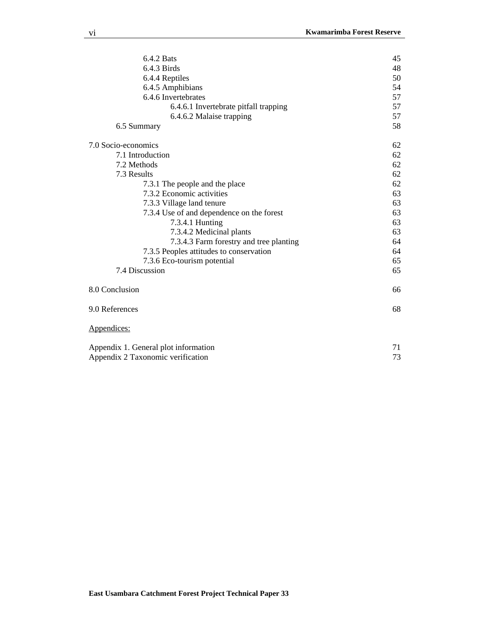| 6.4.2 Bats                                | 45 |
|-------------------------------------------|----|
| 6.4.3 Birds                               | 48 |
| 6.4.4 Reptiles                            | 50 |
| 6.4.5 Amphibians                          | 54 |
| 6.4.6 Invertebrates                       | 57 |
| 6.4.6.1 Invertebrate pitfall trapping     | 57 |
| 6.4.6.2 Malaise trapping                  | 57 |
| 6.5 Summary                               | 58 |
| 7.0 Socio-economics                       | 62 |
| 7.1 Introduction                          | 62 |
| 7.2 Methods                               | 62 |
| 7.3 Results                               | 62 |
| 7.3.1 The people and the place            | 62 |
| 7.3.2 Economic activities                 | 63 |
| 7.3.3 Village land tenure                 | 63 |
| 7.3.4 Use of and dependence on the forest | 63 |
| 7.3.4.1 Hunting                           | 63 |
| 7.3.4.2 Medicinal plants                  | 63 |
| 7.3.4.3 Farm forestry and tree planting   | 64 |
| 7.3.5 Peoples attitudes to conservation   | 64 |
| 7.3.6 Eco-tourism potential               | 65 |
| 7.4 Discussion                            | 65 |
| 8.0 Conclusion                            | 66 |
| 9.0 References                            | 68 |
| Appendices:                               |    |
| Appendix 1. General plot information      | 71 |
| Appendix 2 Taxonomic verification         | 73 |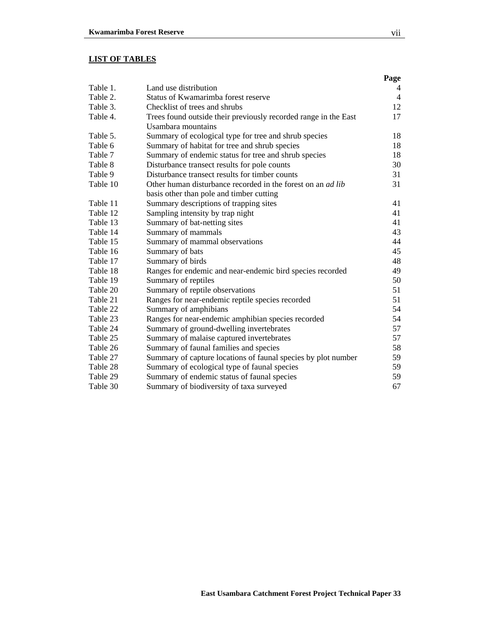# **LIST OF TABLES**

|          |                                                                    | Page           |
|----------|--------------------------------------------------------------------|----------------|
| Table 1. | Land use distribution                                              | 4              |
| Table 2. | Status of Kwamarimba forest reserve                                | $\overline{4}$ |
| Table 3. | Checklist of trees and shrubs                                      | 12             |
| Table 4. | Trees found outside their previously recorded range in the East    | 17             |
|          | Usambara mountains                                                 |                |
| Table 5. | Summary of ecological type for tree and shrub species              | 18             |
| Table 6  | Summary of habitat for tree and shrub species                      | 18             |
| Table 7  | Summary of endemic status for tree and shrub species               | 18             |
| Table 8  | Disturbance transect results for pole counts                       | 30             |
| Table 9  | Disturbance transect results for timber counts                     | 31             |
| Table 10 | Other human disturbance recorded in the forest on an <i>ad lib</i> | 31             |
|          | basis other than pole and timber cutting                           |                |
| Table 11 | Summary descriptions of trapping sites                             | 41             |
| Table 12 | Sampling intensity by trap night                                   | 41             |
| Table 13 | Summary of bat-netting sites                                       | 41             |
| Table 14 | Summary of mammals                                                 | 43             |
| Table 15 | Summary of mammal observations                                     | 44             |
| Table 16 | Summary of bats                                                    | 45             |
| Table 17 | Summary of birds                                                   | 48             |
| Table 18 | Ranges for endemic and near-endemic bird species recorded          | 49             |
| Table 19 | Summary of reptiles                                                | 50             |
| Table 20 | Summary of reptile observations                                    | 51             |
| Table 21 | Ranges for near-endemic reptile species recorded                   | 51             |
| Table 22 | Summary of amphibians                                              | 54             |
| Table 23 | Ranges for near-endemic amphibian species recorded                 | 54             |
| Table 24 | Summary of ground-dwelling invertebrates                           | 57             |
| Table 25 | Summary of malaise captured invertebrates                          | 57             |
| Table 26 | Summary of faunal families and species                             | 58             |
| Table 27 | Summary of capture locations of faunal species by plot number      | 59             |
| Table 28 | Summary of ecological type of faunal species                       | 59             |
| Table 29 | Summary of endemic status of faunal species                        | 59             |
| Table 30 | Summary of biodiversity of taxa surveyed                           | 67             |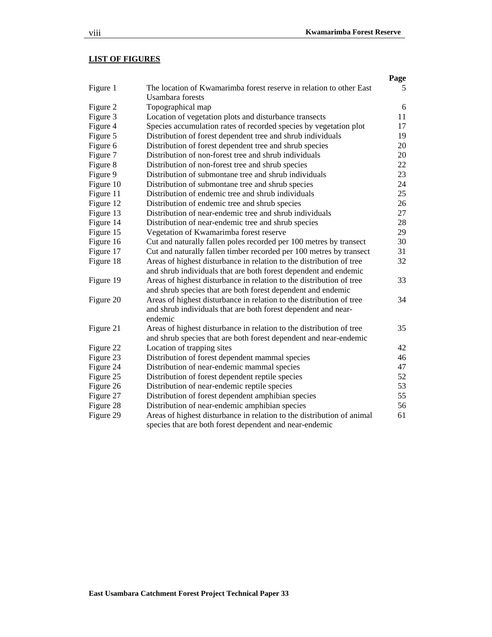# **LIST OF FIGURES**

|           |                                                                        | Page |
|-----------|------------------------------------------------------------------------|------|
| Figure 1  | The location of Kwamarimba forest reserve in relation to other East    | 5    |
|           | <b>Usambara</b> forests                                                |      |
| Figure 2  | Topographical map                                                      | 6    |
| Figure 3  | Location of vegetation plots and disturbance transects                 | 11   |
| Figure 4  | Species accumulation rates of recorded species by vegetation plot      | 17   |
| Figure 5  | Distribution of forest dependent tree and shrub individuals            | 19   |
| Figure 6  | Distribution of forest dependent tree and shrub species                | 20   |
| Figure 7  | Distribution of non-forest tree and shrub individuals                  | 20   |
| Figure 8  | Distribution of non-forest tree and shrub species                      | 22   |
| Figure 9  | Distribution of submontane tree and shrub individuals                  | 23   |
| Figure 10 | Distribution of submontane tree and shrub species                      | 24   |
| Figure 11 | Distribution of endemic tree and shrub individuals                     | 25   |
| Figure 12 | Distribution of endemic tree and shrub species                         | 26   |
| Figure 13 | Distribution of near-endemic tree and shrub individuals                | 27   |
| Figure 14 | Distribution of near-endemic tree and shrub species                    | 28   |
| Figure 15 | Vegetation of Kwamarimba forest reserve                                | 29   |
| Figure 16 | Cut and naturally fallen poles recorded per 100 metres by transect     | 30   |
| Figure 17 | Cut and naturally fallen timber recorded per 100 metres by transect    | 31   |
| Figure 18 | Areas of highest disturbance in relation to the distribution of tree   | 32   |
|           | and shrub individuals that are both forest dependent and endemic       |      |
| Figure 19 | Areas of highest disturbance in relation to the distribution of tree   | 33   |
|           | and shrub species that are both forest dependent and endemic           |      |
| Figure 20 | Areas of highest disturbance in relation to the distribution of tree   | 34   |
|           | and shrub individuals that are both forest dependent and near-         |      |
|           | endemic                                                                |      |
| Figure 21 | Areas of highest disturbance in relation to the distribution of tree   | 35   |
|           | and shrub species that are both forest dependent and near-endemic      |      |
| Figure 22 | Location of trapping sites                                             | 42   |
| Figure 23 | Distribution of forest dependent mammal species                        | 46   |
| Figure 24 | Distribution of near-endemic mammal species                            | 47   |
| Figure 25 | Distribution of forest dependent reptile species                       | 52   |
| Figure 26 | Distribution of near-endemic reptile species                           | 53   |
| Figure 27 | Distribution of forest dependent amphibian species                     | 55   |
| Figure 28 | Distribution of near-endemic amphibian species                         | 56   |
| Figure 29 | Areas of highest disturbance in relation to the distribution of animal | 61   |
|           | species that are both forest dependent and near-endemic                |      |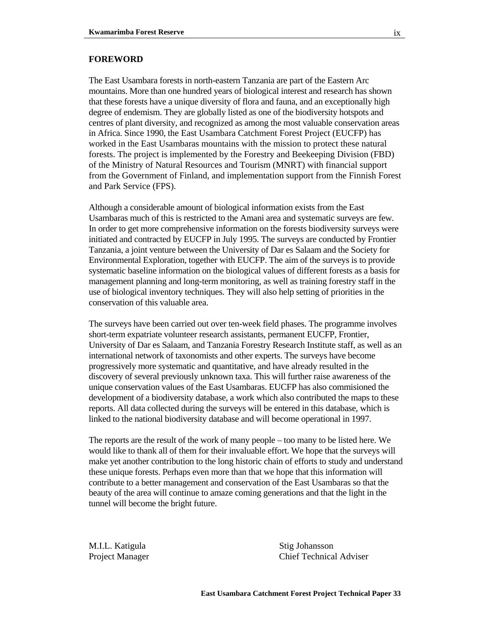#### **FOREWORD**

The East Usambara forests in north-eastern Tanzania are part of the Eastern Arc mountains. More than one hundred years of biological interest and research has shown that these forests have a unique diversity of flora and fauna, and an exceptionally high degree of endemism. They are globally listed as one of the biodiversity hotspots and centres of plant diversity, and recognized as among the most valuable conservation areas in Africa. Since 1990, the East Usambara Catchment Forest Project (EUCFP) has worked in the East Usambaras mountains with the mission to protect these natural forests. The project is implemented by the Forestry and Beekeeping Division (FBD) of the Ministry of Natural Resources and Tourism (MNRT) with financial support from the Government of Finland, and implementation support from the Finnish Forest and Park Service (FPS).

Although a considerable amount of biological information exists from the East Usambaras much of this is restricted to the Amani area and systematic surveys are few. In order to get more comprehensive information on the forests biodiversity surveys were initiated and contracted by EUCFP in July 1995. The surveys are conducted by Frontier Tanzania, a joint venture between the University of Dar es Salaam and the Society for Environmental Exploration, together with EUCFP. The aim of the surveys is to provide systematic baseline information on the biological values of different forests as a basis for management planning and long-term monitoring, as well as training forestry staff in the use of biological inventory techniques. They will also help setting of priorities in the conservation of this valuable area.

The surveys have been carried out over ten-week field phases. The programme involves short-term expatriate volunteer research assistants, permanent EUCFP, Frontier, University of Dar es Salaam, and Tanzania Forestry Research Institute staff, as well as an international network of taxonomists and other experts. The surveys have become progressively more systematic and quantitative, and have already resulted in the discovery of several previously unknown taxa. This will further raise awareness of the unique conservation values of the East Usambaras. EUCFP has also commisioned the development of a biodiversity database, a work which also contributed the maps to these reports. All data collected during the surveys will be entered in this database, which is linked to the national biodiversity database and will become operational in 1997.

The reports are the result of the work of many people – too many to be listed here. We would like to thank all of them for their invaluable effort. We hope that the surveys will make yet another contribution to the long historic chain of efforts to study and understand these unique forests. Perhaps even more than that we hope that this information will contribute to a better management and conservation of the East Usambaras so that the beauty of the area will continue to amaze coming generations and that the light in the tunnel will become the bright future.

M.I.L. Katigula Stig Johansson Project Manager Chief Technical Adviser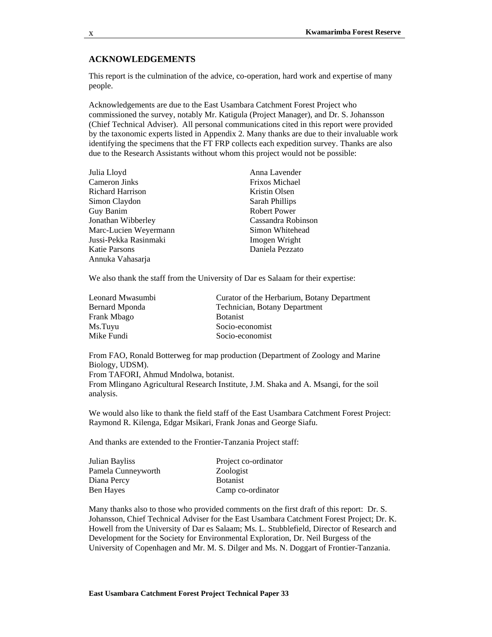#### **ACKNOWLEDGEMENTS**

This report is the culmination of the advice, co-operation, hard work and expertise of many people.

Acknowledgements are due to the East Usambara Catchment Forest Project who commissioned the survey, notably Mr. Katigula (Project Manager), and Dr. S. Johansson (Chief Technical Adviser). All personal communications cited in this report were provided by the taxonomic experts listed in Appendix 2. Many thanks are due to their invaluable work identifying the specimens that the FT FRP collects each expedition survey. Thanks are also due to the Research Assistants without whom this project would not be possible:

| Julia Lloyd             | Anna Lavender         |
|-------------------------|-----------------------|
| Cameron Jinks           | <b>Frixos Michael</b> |
| <b>Richard Harrison</b> | Kristin Olsen         |
| Simon Claydon           | Sarah Phillips        |
| Guy Banim               | <b>Robert Power</b>   |
| Jonathan Wibberley      | Cassandra Robinson    |
| Marc-Lucien Weyermann   | Simon Whitehead       |
| Jussi-Pekka Rasinmaki   | Imogen Wright         |
| Katie Parsons           | Daniela Pezzato       |
| Annuka Vahasarja        |                       |
|                         |                       |

We also thank the staff from the University of Dar es Salaam for their expertise:

| Curator of the Herbarium, Botany Department |
|---------------------------------------------|
| Technician, Botany Department               |
| <b>Botanist</b>                             |
| Socio-economist                             |
| Socio-economist                             |
|                                             |

From FAO, Ronald Botterweg for map production (Department of Zoology and Marine Biology, UDSM). From TAFORI, Ahmud Mndolwa, botanist.

From Mlingano Agricultural Research Institute, J.M. Shaka and A. Msangi, for the soil analysis.

We would also like to thank the field staff of the East Usambara Catchment Forest Project: Raymond R. Kilenga, Edgar Msikari, Frank Jonas and George Siafu.

And thanks are extended to the Frontier-Tanzania Project staff:

| Julian Bayliss     | Project co-ordinator |
|--------------------|----------------------|
| Pamela Cunneyworth | Zoologist            |
| Diana Percy        | <b>Botanist</b>      |
| Ben Hayes          | Camp co-ordinator    |

Many thanks also to those who provided comments on the first draft of this report: Dr. S. Johansson, Chief Technical Adviser for the East Usambara Catchment Forest Project; Dr. K. Howell from the University of Dar es Salaam; Ms. L. Stubblefield, Director of Research and Development for the Society for Environmental Exploration, Dr. Neil Burgess of the University of Copenhagen and Mr. M. S. Dilger and Ms. N. Doggart of Frontier-Tanzania.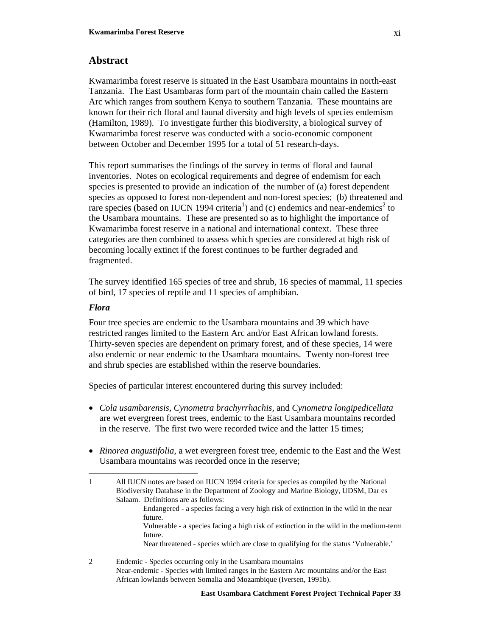## **Abstract**

Kwamarimba forest reserve is situated in the East Usambara mountains in north-east Tanzania. The East Usambaras form part of the mountain chain called the Eastern Arc which ranges from southern Kenya to southern Tanzania. These mountains are known for their rich floral and faunal diversity and high levels of species endemism (Hamilton, 1989). To investigate further this biodiversity, a biological survey of Kwamarimba forest reserve was conducted with a socio-economic component between October and December 1995 for a total of 51 research-days.

This report summarises the findings of the survey in terms of floral and faunal inventories. Notes on ecological requirements and degree of endemism for each species is presented to provide an indication of the number of (a) forest dependent species as opposed to forest non-dependent and non-forest species; (b) threatened and rare species (based on IUCN 1994 criteria<sup>1</sup>) and (c) endemics and near-endemics<sup>2</sup> to the Usambara mountains. These are presented so as to highlight the importance of Kwamarimba forest reserve in a national and international context. These three categories are then combined to assess which species are considered at high risk of becoming locally extinct if the forest continues to be further degraded and fragmented.

The survey identified 165 species of tree and shrub, 16 species of mammal, 11 species of bird, 17 species of reptile and 11 species of amphibian.

#### *Flora*

 $\overline{a}$ 

Four tree species are endemic to the Usambara mountains and 39 which have restricted ranges limited to the Eastern Arc and/or East African lowland forests. Thirty-seven species are dependent on primary forest, and of these species, 14 were also endemic or near endemic to the Usambara mountains. Twenty non-forest tree and shrub species are established within the reserve boundaries.

Species of particular interest encountered during this survey included:

- *Cola usambarensis, Cynometra brachyrrhachis,* and *Cynometra longipedicellata*  are wet evergreen forest trees, endemic to the East Usambara mountains recorded in the reserve. The first two were recorded twice and the latter 15 times;
- *Rinorea angustifolia,* a wet evergreen forest tree, endemic to the East and the West Usambara mountains was recorded once in the reserve;

- Endangered a species facing a very high risk of extinction in the wild in the near future.
- Vulnerable a species facing a high risk of extinction in the wild in the medium-term future.

Near threatened - species which are close to qualifying for the status 'Vulnerable.'

2 Endemic - Species occurring only in the Usambara mountains Near-endemic - Species with limited ranges in the Eastern Arc mountains and/or the East African lowlands between Somalia and Mozambique (Iversen, 1991b).

<sup>1</sup> All IUCN notes are based on IUCN 1994 criteria for species as compiled by the National Biodiversity Database in the Department of Zoology and Marine Biology, UDSM, Dar es Salaam. Definitions are as follows: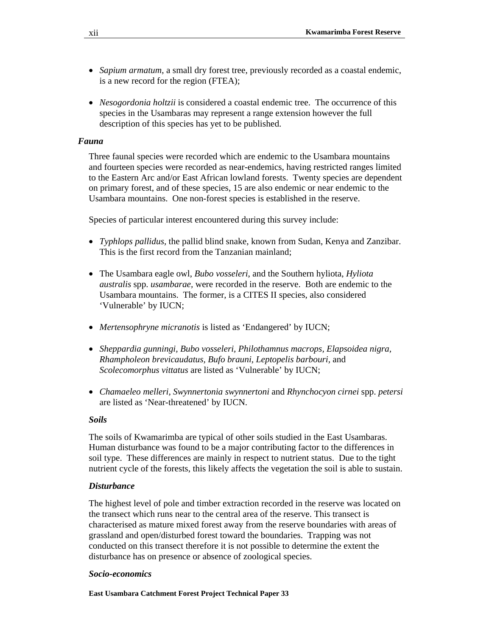- *Sapium armatum*, a small dry forest tree, previously recorded as a coastal endemic, is a new record for the region (FTEA);
- *Nesogordonia holtzii* is considered a coastal endemic tree. The occurrence of this species in the Usambaras may represent a range extension however the full description of this species has yet to be published.

### *Fauna*

Three faunal species were recorded which are endemic to the Usambara mountains and fourteen species were recorded as near-endemics, having restricted ranges limited to the Eastern Arc and/or East African lowland forests. Twenty species are dependent on primary forest, and of these species, 15 are also endemic or near endemic to the Usambara mountains. One non-forest species is established in the reserve.

Species of particular interest encountered during this survey include:

- *Typhlops pallidus*, the pallid blind snake, known from Sudan, Kenya and Zanzibar. This is the first record from the Tanzanian mainland;
- The Usambara eagle owl, *Bubo vosseleri*, and the Southern hyliota, *Hyliota australis* spp. *usambarae,* were recorded in the reserve. Both are endemic to the Usambara mountains. The former, is a CITES II species, also considered 'Vulnerable' by IUCN;
- *Mertensophryne micranotis* is listed as 'Endangered' by IUCN;
- *Sheppardia gunningi, Bubo vosseleri, Philothamnus macrops, Elapsoidea nigra, Rhampholeon brevicaudatus, Bufo brauni, Leptopelis barbouri,* and *Scolecomorphus vittatus* are listed as 'Vulnerable' by IUCN;
- *Chamaeleo melleri, Swynnertonia swynnertoni* and *Rhynchocyon cirnei* spp. *petersi*  are listed as 'Near-threatened' by IUCN.

#### *Soils*

The soils of Kwamarimba are typical of other soils studied in the East Usambaras. Human disturbance was found to be a major contributing factor to the differences in soil type. These differences are mainly in respect to nutrient status. Due to the tight nutrient cycle of the forests, this likely affects the vegetation the soil is able to sustain.

### *Disturbance*

The highest level of pole and timber extraction recorded in the reserve was located on the transect which runs near to the central area of the reserve. This transect is characterised as mature mixed forest away from the reserve boundaries with areas of grassland and open/disturbed forest toward the boundaries. Trapping was not conducted on this transect therefore it is not possible to determine the extent the disturbance has on presence or absence of zoological species.

#### *Socio-economics*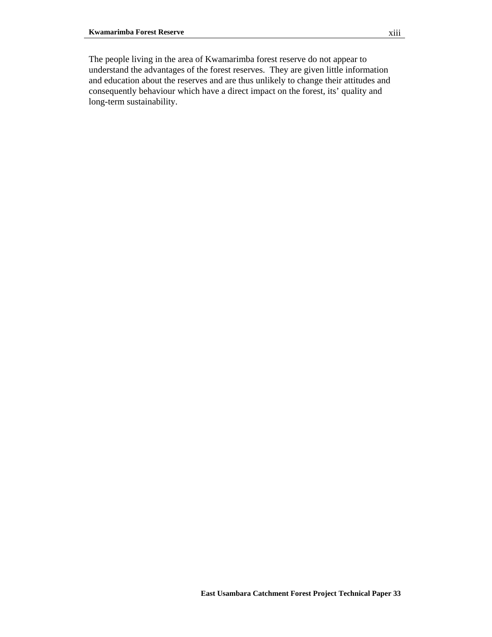The people living in the area of Kwamarimba forest reserve do not appear to understand the advantages of the forest reserves. They are given little information and education about the reserves and are thus unlikely to change their attitudes and consequently behaviour which have a direct impact on the forest, its' quality and long-term sustainability.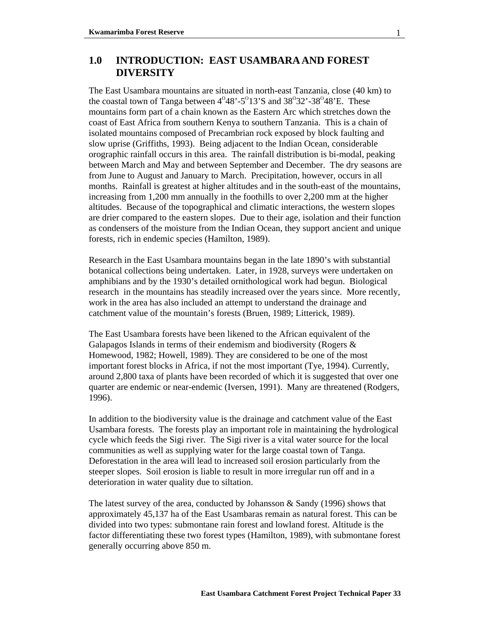# **1.0 INTRODUCTION: EAST USAMBARA AND FOREST DIVERSITY**

The East Usambara mountains are situated in north-east Tanzania, close (40 km) to the coastal town of Tanga between  $4^048^\circ$ -5 $^013^\circ$ S and  $38^032^\circ$ -38 $^048^\circ$ E. These mountains form part of a chain known as the Eastern Arc which stretches down the coast of East Africa from southern Kenya to southern Tanzania. This is a chain of isolated mountains composed of Precambrian rock exposed by block faulting and slow uprise (Griffiths, 1993). Being adjacent to the Indian Ocean, considerable orographic rainfall occurs in this area. The rainfall distribution is bi-modal, peaking between March and May and between September and December. The dry seasons are from June to August and January to March. Precipitation, however, occurs in all months. Rainfall is greatest at higher altitudes and in the south-east of the mountains, increasing from 1,200 mm annually in the foothills to over 2,200 mm at the higher altitudes. Because of the topographical and climatic interactions, the western slopes are drier compared to the eastern slopes. Due to their age, isolation and their function as condensers of the moisture from the Indian Ocean, they support ancient and unique forests, rich in endemic species (Hamilton, 1989).

Research in the East Usambara mountains began in the late 1890's with substantial botanical collections being undertaken. Later, in 1928, surveys were undertaken on amphibians and by the 1930's detailed ornithological work had begun. Biological research in the mountains has steadily increased over the years since. More recently, work in the area has also included an attempt to understand the drainage and catchment value of the mountain's forests (Bruen, 1989; Litterick, 1989).

The East Usambara forests have been likened to the African equivalent of the Galapagos Islands in terms of their endemism and biodiversity (Rogers & Homewood, 1982; Howell, 1989). They are considered to be one of the most important forest blocks in Africa, if not the most important (Tye, 1994). Currently, around 2,800 taxa of plants have been recorded of which it is suggested that over one quarter are endemic or near-endemic (Iversen, 1991). Many are threatened (Rodgers, 1996).

In addition to the biodiversity value is the drainage and catchment value of the East Usambara forests. The forests play an important role in maintaining the hydrological cycle which feeds the Sigi river. The Sigi river is a vital water source for the local communities as well as supplying water for the large coastal town of Tanga. Deforestation in the area will lead to increased soil erosion particularly from the steeper slopes. Soil erosion is liable to result in more irregular run off and in a deterioration in water quality due to siltation.

The latest survey of the area, conducted by Johansson & Sandy (1996) shows that approximately 45,137 ha of the East Usambaras remain as natural forest. This can be divided into two types: submontane rain forest and lowland forest. Altitude is the factor differentiating these two forest types (Hamilton, 1989), with submontane forest generally occurring above 850 m.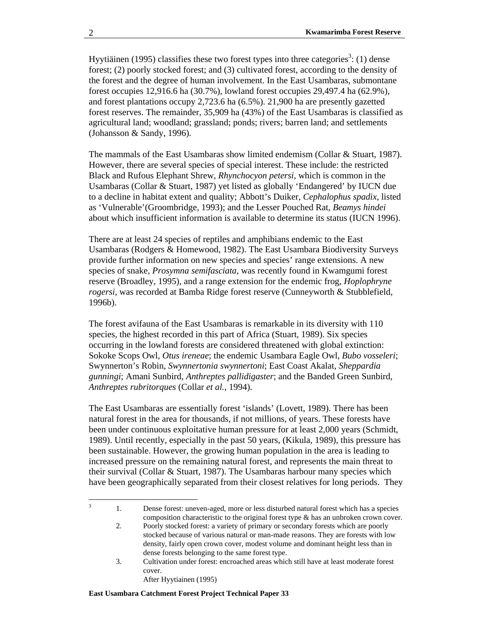Hyytiäinen (1995) classifies these two forest types into three categories<sup>3</sup>: (1) dense forest; (2) poorly stocked forest; and (3) cultivated forest, according to the density of the forest and the degree of human involvement. In the East Usambaras, submontane forest occupies 12,916.6 ha (30.7%), lowland forest occupies 29,497.4 ha (62.9%), and forest plantations occupy 2,723.6 ha (6.5%). 21,900 ha are presently gazetted forest reserves. The remainder, 35,909 ha (43%) of the East Usambaras is classified as agricultural land; woodland; grassland; ponds; rivers; barren land; and settlements (Johansson & Sandy, 1996).

The mammals of the East Usambaras show limited endemism (Collar & Stuart, 1987). However, there are several species of special interest. These include: the restricted Black and Rufous Elephant Shrew, *Rhynchocyon petersi,* which is common in the Usambaras (Collar & Stuart, 1987) yet listed as globally 'Endangered' by IUCN due to a decline in habitat extent and quality; Abbott's Duiker, *Cephalophus spadix*, listed as 'Vulnerable'(Groombridge, 1993); and the Lesser Pouched Rat, *Beamys hindei* about which insufficient information is available to determine its status (IUCN 1996).

There are at least 24 species of reptiles and amphibians endemic to the East Usambaras (Rodgers & Homewood, 1982). The East Usambara Biodiversity Surveys provide further information on new species and species' range extensions. A new species of snake, *Prosymna semifasciata,* was recently found in Kwamgumi forest reserve (Broadley, 1995), and a range extension for the endemic frog, *Hoplophryne rogersi,* was recorded at Bamba Ridge forest reserve (Cunneyworth & Stubblefield, 1996b).

The forest avifauna of the East Usambaras is remarkable in its diversity with 110 species, the highest recorded in this part of Africa (Stuart, 1989). Six species occurring in the lowland forests are considered threatened with global extinction: Sokoke Scops Owl, *Otus ireneae*; the endemic Usambara Eagle Owl, *Bubo vosseleri*; Swynnerton's Robin, *Swynnertonia swynnertoni*; East Coast Akalat, *Sheppardia gunningi*; Amani Sunbird, *Anthreptes pallidigaster*; and the Banded Green Sunbird, *Anthreptes rubritorques* (Collar *et al.,* 1994).

The East Usambaras are essentially forest 'islands' (Lovett, 1989). There has been natural forest in the area for thousands, if not millions, of years. These forests have been under continuous exploitative human pressure for at least 2,000 years (Schmidt, 1989). Until recently, especially in the past 50 years, (Kikula, 1989), this pressure has been sustainable. However, the growing human population in the area is leading to increased pressure on the remaining natural forest, and represents the main threat to their survival (Collar & Stuart, 1987). The Usambaras harbour many species which have been geographically separated from their closest relatives for long periods. They

After Hyytiainen (1995)

<sup>2</sup><br>3

 <sup>1.</sup> Dense forest: uneven-aged, more or less disturbed natural forest which has a species composition characteristic to the original forest type & has an unbroken crown cover.

 <sup>2.</sup> Poorly stocked forest: a variety of primary or secondary forests which are poorly stocked because of various natural or man-made reasons. They are forests with low density, fairly open crown cover, modest volume and dominant height less than in dense forests belonging to the same forest type.

 <sup>3.</sup> Cultivation under forest: encroached areas which still have at least moderate forest cover.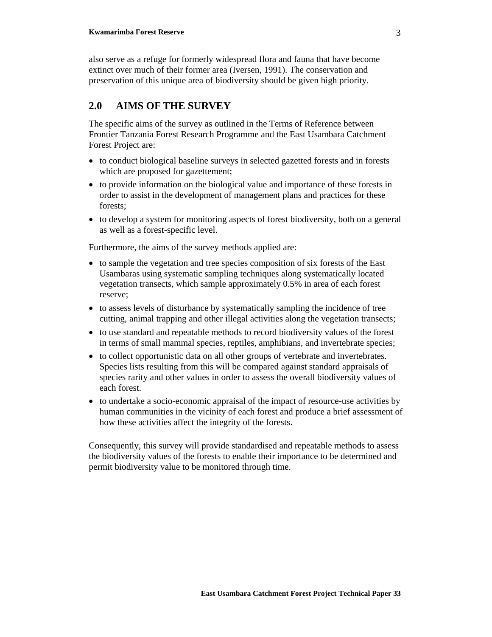also serve as a refuge for formerly widespread flora and fauna that have become extinct over much of their former area (Iversen, 1991). The conservation and preservation of this unique area of biodiversity should be given high priority.

# **2.0 AIMS OF THE SURVEY**

The specific aims of the survey as outlined in the Terms of Reference between Frontier Tanzania Forest Research Programme and the East Usambara Catchment Forest Project are:

- to conduct biological baseline surveys in selected gazetted forests and in forests which are proposed for gazettement;
- to provide information on the biological value and importance of these forests in order to assist in the development of management plans and practices for these forests;
- to develop a system for monitoring aspects of forest biodiversity, both on a general as well as a forest-specific level.

Furthermore, the aims of the survey methods applied are:

- to sample the vegetation and tree species composition of six forests of the East Usambaras using systematic sampling techniques along systematically located vegetation transects, which sample approximately 0.5% in area of each forest reserve;
- to assess levels of disturbance by systematically sampling the incidence of tree cutting, animal trapping and other illegal activities along the vegetation transects;
- to use standard and repeatable methods to record biodiversity values of the forest in terms of small mammal species, reptiles, amphibians, and invertebrate species;
- to collect opportunistic data on all other groups of vertebrate and invertebrates. Species lists resulting from this will be compared against standard appraisals of species rarity and other values in order to assess the overall biodiversity values of each forest.
- to undertake a socio-economic appraisal of the impact of resource-use activities by human communities in the vicinity of each forest and produce a brief assessment of how these activities affect the integrity of the forests.

Consequently, this survey will provide standardised and repeatable methods to assess the biodiversity values of the forests to enable their importance to be determined and permit biodiversity value to be monitored through time.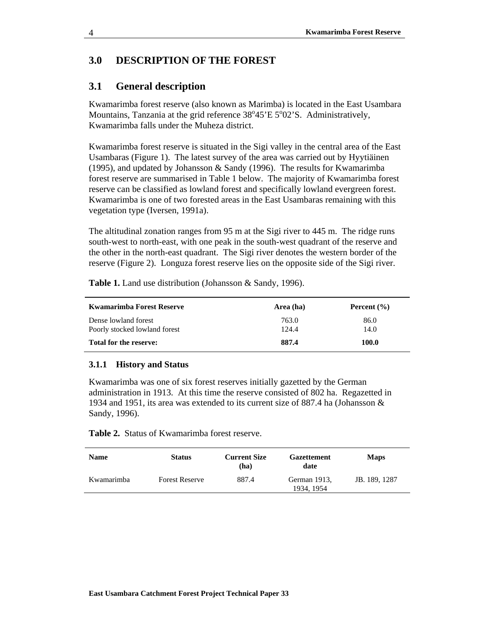## **3.0 DESCRIPTION OF THE FOREST**

## **3.1 General description**

Kwamarimba forest reserve (also known as Marimba) is located in the East Usambara Mountains, Tanzania at the grid reference  $38^{\circ}45'E\ 5^{\circ}02'S$ . Administratively, Kwamarimba falls under the Muheza district.

Kwamarimba forest reserve is situated in the Sigi valley in the central area of the East Usambaras (Figure 1). The latest survey of the area was carried out by Hyytiäinen (1995), and updated by Johansson & Sandy (1996). The results for Kwamarimba forest reserve are summarised in Table 1 below. The majority of Kwamarimba forest reserve can be classified as lowland forest and specifically lowland evergreen forest. Kwamarimba is one of two forested areas in the East Usambaras remaining with this vegetation type (Iversen, 1991a).

The altitudinal zonation ranges from 95 m at the Sigi river to 445 m. The ridge runs south-west to north-east, with one peak in the south-west quadrant of the reserve and the other in the north-east quadrant. The Sigi river denotes the western border of the reserve (Figure 2). Longuza forest reserve lies on the opposite side of the Sigi river.

**Table 1.** Land use distribution (Johansson & Sandy, 1996).

| Kwamarimba Forest Reserve                             | Area (ha)      | Percent $(\% )$ |
|-------------------------------------------------------|----------------|-----------------|
| Dense lowland forest<br>Poorly stocked lowland forest | 763.0<br>124.4 | 86.0<br>14.0    |
| Total for the reserve:                                | 887.4          | 100.0           |

#### **3.1.1 History and Status**

Kwamarimba was one of six forest reserves initially gazetted by the German administration in 1913. At this time the reserve consisted of 802 ha. Regazetted in 1934 and 1951, its area was extended to its current size of 887.4 ha (Johansson & Sandy, 1996).

**Table 2.** Status of Kwamarimba forest reserve.

| <b>Name</b> | <b>Status</b>         | <b>Current Size</b><br>(ha) | <b>Gazettement</b><br>date | <b>Maps</b>   |
|-------------|-----------------------|-----------------------------|----------------------------|---------------|
| Kwamarimba  | <b>Forest Reserve</b> | 887.4                       | German 1913,<br>1934, 1954 | JB. 189, 1287 |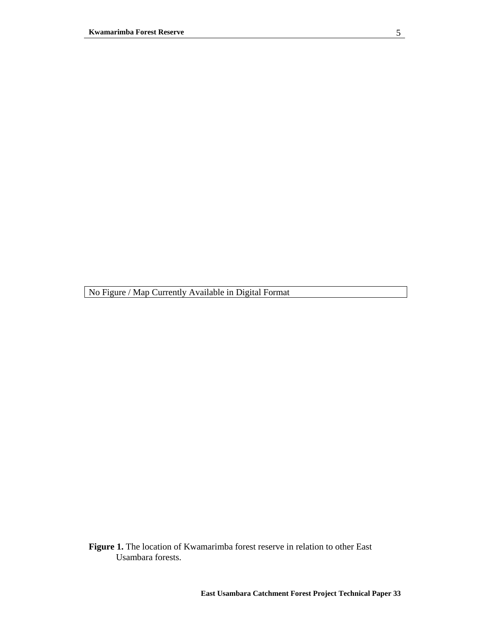**Figure 1.** The location of Kwamarimba forest reserve in relation to other East Usambara forests.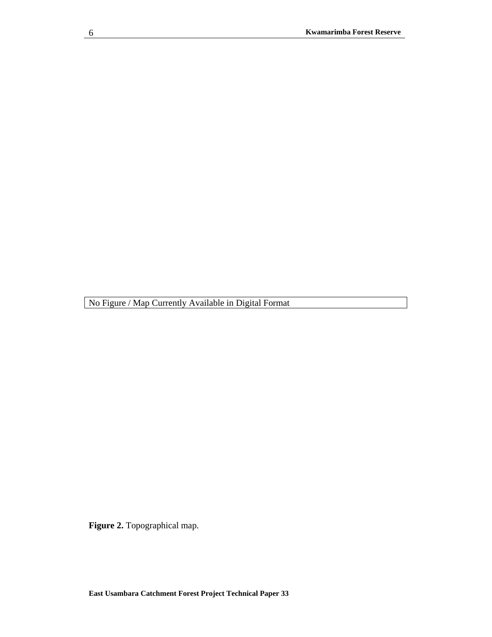**Figure 2.** Topographical map.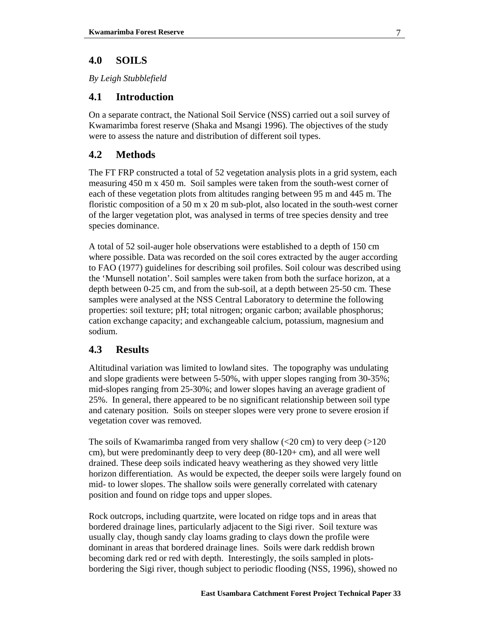# **4.0 SOILS**

*By Leigh Stubblefield*

## **4.1 Introduction**

On a separate contract, the National Soil Service (NSS) carried out a soil survey of Kwamarimba forest reserve (Shaka and Msangi 1996). The objectives of the study were to assess the nature and distribution of different soil types.

# **4.2 Methods**

The FT FRP constructed a total of 52 vegetation analysis plots in a grid system, each measuring 450 m x 450 m. Soil samples were taken from the south-west corner of each of these vegetation plots from altitudes ranging between 95 m and 445 m. The floristic composition of a 50 m x 20 m sub-plot, also located in the south-west corner of the larger vegetation plot, was analysed in terms of tree species density and tree species dominance.

A total of 52 soil-auger hole observations were established to a depth of 150 cm where possible. Data was recorded on the soil cores extracted by the auger according to FAO (1977) guidelines for describing soil profiles. Soil colour was described using the 'Munsell notation'. Soil samples were taken from both the surface horizon, at a depth between 0-25 cm, and from the sub-soil, at a depth between 25-50 cm. These samples were analysed at the NSS Central Laboratory to determine the following properties: soil texture; pH; total nitrogen; organic carbon; available phosphorus; cation exchange capacity; and exchangeable calcium, potassium, magnesium and sodium.

# **4.3 Results**

Altitudinal variation was limited to lowland sites. The topography was undulating and slope gradients were between 5-50%, with upper slopes ranging from 30-35%; mid-slopes ranging from 25-30%; and lower slopes having an average gradient of 25%. In general, there appeared to be no significant relationship between soil type and catenary position. Soils on steeper slopes were very prone to severe erosion if vegetation cover was removed.

The soils of Kwamarimba ranged from very shallow  $\left($ <20 cm) to very deep  $\left($ >120 cm), but were predominantly deep to very deep (80-120+ cm), and all were well drained. These deep soils indicated heavy weathering as they showed very little horizon differentiation. As would be expected, the deeper soils were largely found on mid- to lower slopes. The shallow soils were generally correlated with catenary position and found on ridge tops and upper slopes.

Rock outcrops, including quartzite, were located on ridge tops and in areas that bordered drainage lines, particularly adjacent to the Sigi river. Soil texture was usually clay, though sandy clay loams grading to clays down the profile were dominant in areas that bordered drainage lines. Soils were dark reddish brown becoming dark red or red with depth. Interestingly, the soils sampled in plotsbordering the Sigi river, though subject to periodic flooding (NSS, 1996), showed no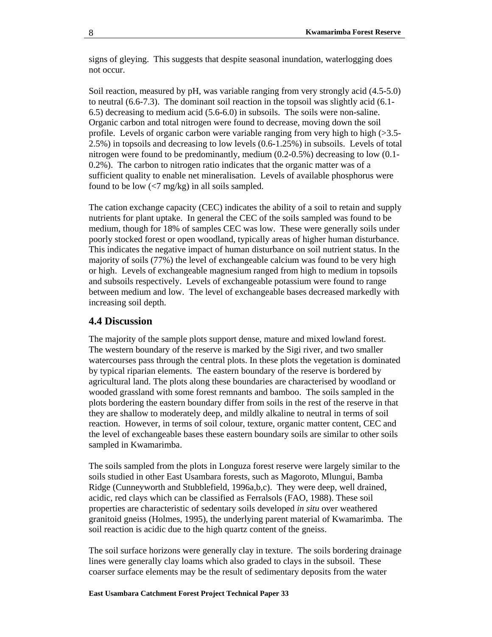signs of gleying. This suggests that despite seasonal inundation, waterlogging does not occur.

Soil reaction, measured by pH, was variable ranging from very strongly acid (4.5-5.0) to neutral (6.6-7.3). The dominant soil reaction in the topsoil was slightly acid (6.1- 6.5) decreasing to medium acid (5.6-6.0) in subsoils. The soils were non-saline. Organic carbon and total nitrogen were found to decrease, moving down the soil profile. Levels of organic carbon were variable ranging from very high to high (>3.5- 2.5%) in topsoils and decreasing to low levels (0.6-1.25%) in subsoils. Levels of total nitrogen were found to be predominantly, medium (0.2-0.5%) decreasing to low (0.1- 0.2%). The carbon to nitrogen ratio indicates that the organic matter was of a sufficient quality to enable net mineralisation. Levels of available phosphorus were found to be low  $\left(\frac{5}{7} \text{ mg/kg}\right)$  in all soils sampled.

The cation exchange capacity (CEC) indicates the ability of a soil to retain and supply nutrients for plant uptake. In general the CEC of the soils sampled was found to be medium, though for 18% of samples CEC was low. These were generally soils under poorly stocked forest or open woodland, typically areas of higher human disturbance. This indicates the negative impact of human disturbance on soil nutrient status. In the majority of soils (77%) the level of exchangeable calcium was found to be very high or high. Levels of exchangeable magnesium ranged from high to medium in topsoils and subsoils respectively. Levels of exchangeable potassium were found to range between medium and low. The level of exchangeable bases decreased markedly with increasing soil depth.

#### **4.4 Discussion**

The majority of the sample plots support dense, mature and mixed lowland forest. The western boundary of the reserve is marked by the Sigi river, and two smaller watercourses pass through the central plots. In these plots the vegetation is dominated by typical riparian elements. The eastern boundary of the reserve is bordered by agricultural land. The plots along these boundaries are characterised by woodland or wooded grassland with some forest remnants and bamboo. The soils sampled in the plots bordering the eastern boundary differ from soils in the rest of the reserve in that they are shallow to moderately deep, and mildly alkaline to neutral in terms of soil reaction. However, in terms of soil colour, texture, organic matter content, CEC and the level of exchangeable bases these eastern boundary soils are similar to other soils sampled in Kwamarimba.

The soils sampled from the plots in Longuza forest reserve were largely similar to the soils studied in other East Usambara forests, such as Magoroto, Mlungui, Bamba Ridge (Cunneyworth and Stubblefield, 1996a,b,c). They were deep, well drained, acidic, red clays which can be classified as Ferralsols (FAO, 1988). These soil properties are characteristic of sedentary soils developed *in situ* over weathered granitoid gneiss (Holmes, 1995), the underlying parent material of Kwamarimba. The soil reaction is acidic due to the high quartz content of the gneiss.

The soil surface horizons were generally clay in texture. The soils bordering drainage lines were generally clay loams which also graded to clays in the subsoil. These coarser surface elements may be the result of sedimentary deposits from the water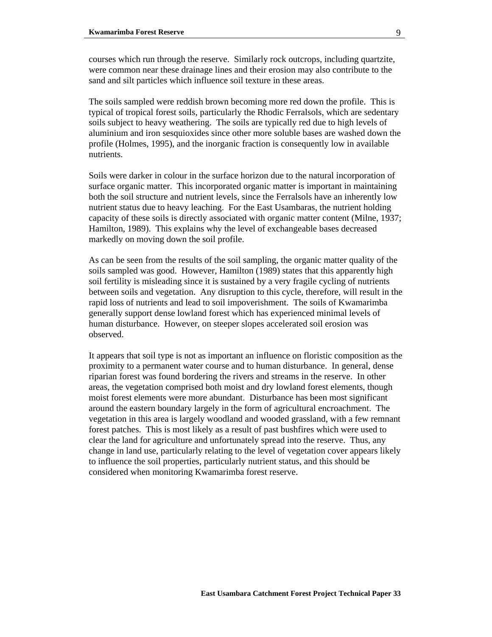courses which run through the reserve. Similarly rock outcrops, including quartzite, were common near these drainage lines and their erosion may also contribute to the sand and silt particles which influence soil texture in these areas.

The soils sampled were reddish brown becoming more red down the profile. This is typical of tropical forest soils, particularly the Rhodic Ferralsols, which are sedentary soils subject to heavy weathering. The soils are typically red due to high levels of aluminium and iron sesquioxides since other more soluble bases are washed down the profile (Holmes, 1995), and the inorganic fraction is consequently low in available nutrients.

Soils were darker in colour in the surface horizon due to the natural incorporation of surface organic matter. This incorporated organic matter is important in maintaining both the soil structure and nutrient levels, since the Ferralsols have an inherently low nutrient status due to heavy leaching. For the East Usambaras, the nutrient holding capacity of these soils is directly associated with organic matter content (Milne, 1937; Hamilton, 1989). This explains why the level of exchangeable bases decreased markedly on moving down the soil profile.

As can be seen from the results of the soil sampling, the organic matter quality of the soils sampled was good. However, Hamilton (1989) states that this apparently high soil fertility is misleading since it is sustained by a very fragile cycling of nutrients between soils and vegetation. Any disruption to this cycle, therefore, will result in the rapid loss of nutrients and lead to soil impoverishment. The soils of Kwamarimba generally support dense lowland forest which has experienced minimal levels of human disturbance. However, on steeper slopes accelerated soil erosion was observed.

It appears that soil type is not as important an influence on floristic composition as the proximity to a permanent water course and to human disturbance. In general, dense riparian forest was found bordering the rivers and streams in the reserve. In other areas, the vegetation comprised both moist and dry lowland forest elements, though moist forest elements were more abundant. Disturbance has been most significant around the eastern boundary largely in the form of agricultural encroachment. The vegetation in this area is largely woodland and wooded grassland, with a few remnant forest patches. This is most likely as a result of past bushfires which were used to clear the land for agriculture and unfortunately spread into the reserve. Thus, any change in land use, particularly relating to the level of vegetation cover appears likely to influence the soil properties, particularly nutrient status, and this should be considered when monitoring Kwamarimba forest reserve.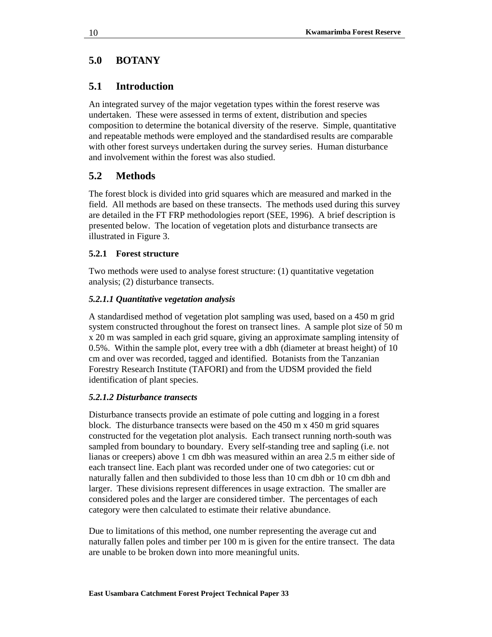# **5.0 BOTANY**

# **5.1 Introduction**

An integrated survey of the major vegetation types within the forest reserve was undertaken. These were assessed in terms of extent, distribution and species composition to determine the botanical diversity of the reserve. Simple, quantitative and repeatable methods were employed and the standardised results are comparable with other forest surveys undertaken during the survey series. Human disturbance and involvement within the forest was also studied.

# **5.2 Methods**

The forest block is divided into grid squares which are measured and marked in the field. All methods are based on these transects. The methods used during this survey are detailed in the FT FRP methodologies report (SEE, 1996). A brief description is presented below. The location of vegetation plots and disturbance transects are illustrated in Figure 3.

### **5.2.1 Forest structure**

Two methods were used to analyse forest structure: (1) quantitative vegetation analysis; (2) disturbance transects.

### *5.2.1.1 Quantitative vegetation analysis*

A standardised method of vegetation plot sampling was used, based on a 450 m grid system constructed throughout the forest on transect lines. A sample plot size of 50 m x 20 m was sampled in each grid square, giving an approximate sampling intensity of 0.5%. Within the sample plot, every tree with a dbh (diameter at breast height) of 10 cm and over was recorded, tagged and identified. Botanists from the Tanzanian Forestry Research Institute (TAFORI) and from the UDSM provided the field identification of plant species.

### *5.2.1.2 Disturbance transects*

Disturbance transects provide an estimate of pole cutting and logging in a forest block. The disturbance transects were based on the  $450 \text{ m} \times 450 \text{ m}$  grid squares constructed for the vegetation plot analysis. Each transect running north-south was sampled from boundary to boundary. Every self-standing tree and sapling (i.e. not lianas or creepers) above 1 cm dbh was measured within an area 2.5 m either side of each transect line. Each plant was recorded under one of two categories: cut or naturally fallen and then subdivided to those less than 10 cm dbh or 10 cm dbh and larger. These divisions represent differences in usage extraction. The smaller are considered poles and the larger are considered timber. The percentages of each category were then calculated to estimate their relative abundance.

Due to limitations of this method, one number representing the average cut and naturally fallen poles and timber per 100 m is given for the entire transect. The data are unable to be broken down into more meaningful units.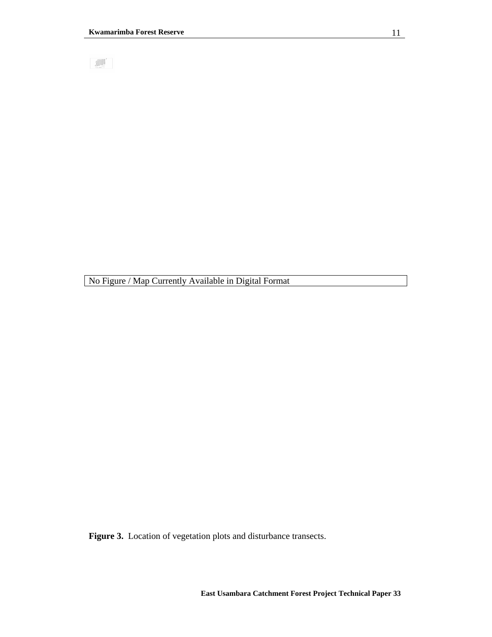**ALLE** 

No Figure / Map Currently Available in Digital Format

Figure 3. Location of vegetation plots and disturbance transects.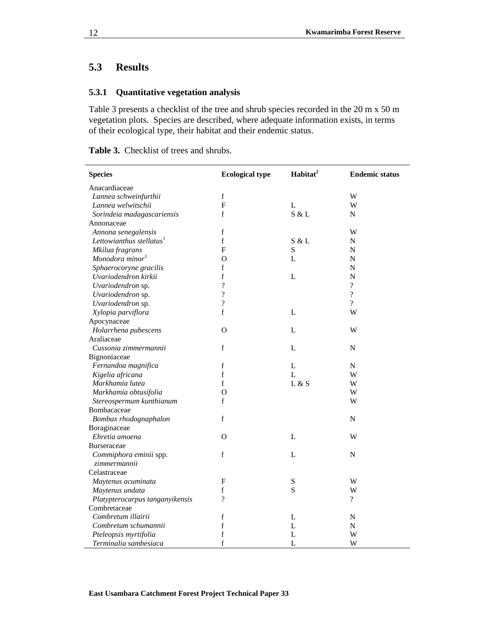# **5.3 Results**

## **5.3.1 Quantitative vegetation analysis**

Table 3 presents a checklist of the tree and shrub species recorded in the 20 m x 50 m vegetation plots. Species are described, where adequate information exists, in terms of their ecological type, their habitat and their endemic status.

**Table 3.** Checklist of trees and shrubs.

| <b>Species</b>                         | <b>Ecological type</b>    | Habitat <sup>2</sup> | <b>Endemic status</b>    |
|----------------------------------------|---------------------------|----------------------|--------------------------|
| Anacardiaceae                          |                           |                      |                          |
| Lannea schweinfurthii                  | $\mathbf f$               |                      | W                        |
| Lannea welwitschii                     | $\boldsymbol{\mathrm{F}}$ | $\mathbf L$          | W                        |
| Sorindeia madagascariensis             | $\mathbf f$               | S & L                | N                        |
| Annonaceae                             |                           |                      |                          |
| Annona senegalensis                    | $\mathbf f$               |                      | W                        |
| Lettowianthus stellatus <sup>1</sup>   | $\mathbf f$               | S & L                | N                        |
| Mkilua fragrans                        | F                         | ${\bf S}$            | N                        |
| Monodora minor <sup>1</sup>            | O                         | L                    | N                        |
| Sphaerocoryne gracilis                 | $\mathbf f$               |                      | $\overline{N}$           |
| Uvariodendron kirkii                   | f                         | $\mathbf{L}$         | $\mathbf N$              |
| Uvariodendron sp.                      | $\overline{\mathcal{L}}$  |                      | $\overline{?}$           |
| Uvariodendron sp.                      | $\overline{\mathcal{L}}$  |                      | $\overline{\mathcal{L}}$ |
| Uvariodendron sp.                      | $\overline{\mathcal{L}}$  |                      | $\overline{?}$           |
| Xylopia parviflora                     | $\mathbf f$               | L                    | W                        |
| Apocynaceae                            |                           |                      |                          |
| Holarrhena pubescens                   | $\Omega$                  | L                    | W                        |
| Araliaceae                             |                           |                      |                          |
| Cussonia zimmermannii                  | $\mathbf f$               | L                    | ${\bf N}$                |
| Bignoniaceae                           |                           |                      |                          |
| Fernandoa magnifica                    | $\mathbf f$               | L                    | N                        |
| Kigelia africana                       | f                         | $\mathbf{L}$         | W                        |
| Markhamia lutea                        | f                         | L & S                | W                        |
| Markhamia obtusifolia                  | $\Omega$                  |                      | W                        |
| Stereospermum kunthianum               | f                         |                      | W                        |
| Bombacaceae                            |                           |                      |                          |
| Bombax rhodognaphalon                  | $\mathbf f$               |                      | ${\bf N}$                |
| Boraginaceae                           |                           |                      |                          |
| Ehretia amoena                         | 0                         | $\mathbf L$          | W                        |
| <b>Burseraceae</b>                     |                           |                      |                          |
| Commiphora eminii spp.<br>zimmermannii | $\mathbf f$               | L                    | ${\bf N}$                |
| Celastraceae                           |                           |                      |                          |
| Maytenus acuminata                     | F                         | S                    | W                        |
| Maytenus undata                        | f                         | S                    | W                        |
| Platypterocarpus tanganyikensis        | $\overline{\mathcal{C}}$  |                      | $\overline{?}$           |
| Combretaceae                           |                           |                      |                          |
| Combretum illairii                     | $\mathbf f$               | L                    | N                        |
| Combretum schumannii                   | f                         | L                    | ${\bf N}$                |
| Pteleopsis myrtifolia                  | $\mathbf f$               | $\mathbf{L}$         | W                        |
| Terminalia sambesiaca                  | f                         | L                    | W                        |

j.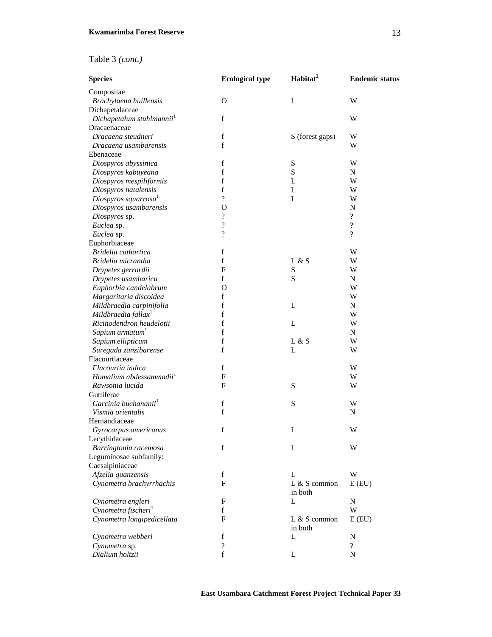| Table 3 (cont.) |  |
|-----------------|--|
|-----------------|--|

| <b>Species</b>                        | <b>Ecological type</b>   | Habitat <sup>2</sup> | <b>Endemic status</b>    |
|---------------------------------------|--------------------------|----------------------|--------------------------|
| Compositae                            |                          |                      |                          |
| Brachylaena huillensis                | $\mathbf{O}$             | L                    | W                        |
| Dichapetalaceae                       |                          |                      |                          |
| Dichapetalum stuhlmannii <sup>1</sup> | $\mathbf f$              |                      | W                        |
| Dracaenaceae                          |                          |                      |                          |
| Dracaena steudneri                    | $\mathbf f$              | S (forest gaps)      | W                        |
| Dracaena usambarensis                 | $\mathbf f$              |                      | W                        |
| Ebenaceae                             |                          |                      |                          |
| Diospyros abyssinica                  | f                        | ${\bf S}$            | W                        |
| Diospyros kabuyeana                   | $\mathbf f$              | $\mathbf S$          | N                        |
| Diospyros mespiliformis               | $\mathbf f$              | L                    | W                        |
| Diospyros natalensis                  | $\mathbf f$              | L                    | W                        |
| Diospyros squarrosa <sup>1</sup>      | $\overline{?}$           | L                    | W                        |
| Diospyros usambarensis                | $\Omega$                 |                      | N                        |
| Diospyros sp.                         | ?                        |                      | $\overline{\mathcal{L}}$ |
| Euclea sp.                            | $\overline{\mathcal{L}}$ |                      | $\overline{?}$           |
| Euclea sp.                            | $\overline{\mathcal{C}}$ |                      | $\overline{\mathcal{L}}$ |
| Euphorbiaceae                         |                          |                      |                          |
| Bridelia cathartica                   | f                        |                      | W                        |
| Bridelia micrantha                    | $\mathbf f$              | L & S                | W                        |
| Drypetes gerrardii                    | F                        | S                    | W                        |
| Drypetes usambarica                   | f                        | $\mathbf S$          | N                        |
| Euphorbia candelabrum                 | $\mathbf{O}$             |                      | W                        |
| Margaritaria discoidea                | $\mathbf f$              |                      | W                        |
| Mildbraedia carpinifolia              | $\mathbf f$              | L                    | N                        |
| Mildbraedia fallax <sup>1</sup>       | $\mathbf f$              |                      | W                        |
| Ricinodendron heudelotii              | f                        | L                    | W                        |
| Sapium armatum <sup>1</sup>           | $\mathbf f$              |                      | N                        |
| Sapium ellipticum                     | $\mathbf f$              | L & S                | W                        |
| Suregada zanzibarense                 | f                        | L                    | W                        |
| Flacourtiaceae                        |                          |                      |                          |
| Flacourtia indica                     | $\mathbf f$              |                      | W                        |
| Homalium abdessammadii <sup>1</sup>   | F                        |                      | W                        |
| Rawsonia lucida                       | F                        | S                    | W                        |
| Guttiferae                            |                          |                      |                          |
| Garcinia buchananii <sup>1</sup>      | $\mathbf f$              | S                    | W                        |
| Vismia orientalis                     | f                        |                      | N                        |
| Hernandiaceae                         |                          |                      |                          |
| Gyrocarpus americanus                 | f                        | L                    | W                        |
| Lecythidaceae                         |                          |                      |                          |
| Barringtonia racemosa                 | f                        | L                    | W                        |
| Leguminosae subfamily:                |                          |                      |                          |
| Caesalpiniaceae                       |                          |                      |                          |
| Afzelia quanzensis                    | $\mathbf f$              | L                    | W                        |
| Cynometra brachyrrhachis              | $\mathbf F$              | $L & S$ common       | E(EU)                    |
|                                       |                          | in both              |                          |
| Cynometra engleri                     | F                        | L                    | N                        |
| Cynometra fischeri <sup>1</sup>       | $\mathbf f$              |                      | W                        |
| Cynometra longipedicellata            | $\mathbf{F}$             | L & S common         | E(EU)                    |
|                                       |                          | in both              |                          |
| Cynometra webberi                     | $\mathbf f$              | L                    | N                        |
| Cynometra sp.                         | ?                        |                      | $\gamma$                 |
| Dialium holtzii                       | f                        | L                    | N                        |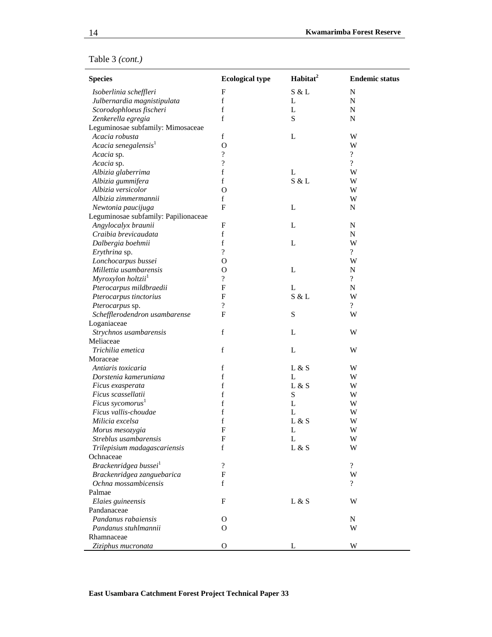|  | Table 3 (cont.) |  |
|--|-----------------|--|
|  |                 |  |

| <b>Species</b>                       | <b>Ecological type</b>    | Habitat <sup>2</sup> | <b>Endemic status</b>    |
|--------------------------------------|---------------------------|----------------------|--------------------------|
| Isoberlinia scheffleri               | $\mathbf F$               | S & L                | $\mathbf N$              |
| Julbernardia magnistipulata          | f                         | L                    | $\mathbf N$              |
| Scorodophloeus fischeri              | f                         | L                    | N                        |
| Zenkerella egregia                   | f                         | ${\bf S}$            | N                        |
| Leguminosae subfamily: Mimosaceae    |                           |                      |                          |
| Acacia robusta                       | $\mathbf f$               | L                    | W                        |
| Acacia senegalensis <sup>1</sup>     | $\Omega$                  |                      | W                        |
| Acacia sp.                           | $\overline{\cdot}$        |                      | $\overline{\mathcal{L}}$ |
| Acacia sp.                           | $\overline{\mathcal{L}}$  |                      | $\overline{?}$           |
| Albizia glaberrima                   | $\rm f$                   | L                    | W                        |
| Albizia gummifera                    | $\mathbf f$               | S & L                | W                        |
| Albizia versicolor                   | $\mathbf{O}$              |                      | W                        |
| Albizia zimmermannii                 | f                         |                      | W                        |
| Newtonia paucijuga                   | $\mathbf F$               | L                    | N                        |
| Leguminosae subfamily: Papilionaceae |                           |                      |                          |
| Angylocalyx braunii                  | $\mathbf F$               | L                    | N                        |
| Craibia brevicaudata                 | $\rm f$                   |                      | ${\bf N}$                |
| Dalbergia boehmii                    | $\rm f$                   | L                    | W                        |
| Erythrina sp.                        | $\gamma$                  |                      | $\overline{\mathcal{L}}$ |
| Lonchocarpus bussei                  | O                         |                      | W                        |
| Millettia usambarensis               | $\mathbf O$               | L                    | N                        |
| Myroxylon holtzii <sup>1</sup>       | ?                         |                      | $\overline{\mathcal{L}}$ |
| Pterocarpus mildbraedii              | $\mathbf F$               | L                    | ${\bf N}$                |
| Pterocarpus tinctorius               | $\mathbf F$               | S & L                | W                        |
| Pterocarpus sp.                      | $\overline{\mathcal{L}}$  |                      | $\overline{?}$           |
| Schefflerodendron usambarense        | $\mathbf{F}$              | S                    | W                        |
| Loganiaceae                          |                           |                      |                          |
| Strychnos usambarensis               | f                         | L                    | W                        |
| Meliaceae                            |                           |                      |                          |
| Trichilia emetica                    | $\mathbf f$               | L                    | W                        |
| Moraceae                             |                           |                      |                          |
| Antiaris toxicaria                   | f                         | L & S                | W                        |
| Dorstenia kameruniana                | $\mathbf f$               | L                    | W                        |
| Ficus exasperata                     | f                         | L & S                | W                        |
| Ficus scassellatii                   | $\mathbf f$               | S                    | W                        |
| Ficus sycomorus <sup>1</sup>         | $\rm f$                   | L                    | W                        |
| Ficus vallis-choudae                 | f                         | L                    | W                        |
| Milicia excelsa                      | f                         | L & S                | W                        |
| Morus mesozygia                      | $\mathbf F$               | L                    | W                        |
| Streblus usambarensis                | F                         | L                    | W                        |
| Trilepisium madagascariensis         | f                         | L & S                | W                        |
| Ochnaceae                            |                           |                      |                          |
| Brackenridgea bussei <sup>1</sup>    | $\overline{\mathcal{L}}$  |                      | $\overline{\mathcal{L}}$ |
| Brackenridgea zanguebarica           | $\boldsymbol{\mathrm{F}}$ |                      | W                        |
| Ochna mossambicensis                 | $\mathbf f$               |                      | $\overline{?}$           |
| Palmae                               |                           |                      |                          |
| Elaies guineensis                    | $\mathbf F$               | L & S                | W                        |
| Pandanaceae                          |                           |                      |                          |
| Pandanus rabaiensis                  | O                         |                      | N                        |
| Pandanus stuhlmannii                 | $\mathbf{O}$              |                      | W                        |
| Rhamnaceae                           |                           |                      |                          |
|                                      |                           |                      |                          |
| Ziziphus mucronata                   | О                         | L                    | W                        |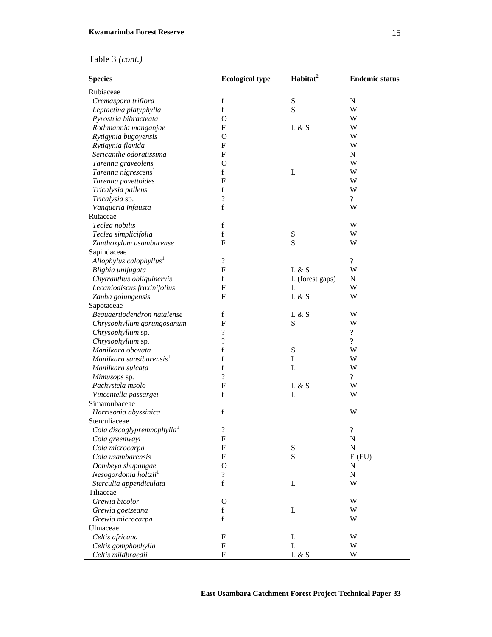# Table 3 *(cont.)*

| <b>Species</b>                         | <b>Ecological type</b>     | Habitat <sup>2</sup> | <b>Endemic status</b>      |
|----------------------------------------|----------------------------|----------------------|----------------------------|
| Rubiaceae                              |                            |                      |                            |
| Cremaspora triflora                    | $\mathbf f$                | $\mathbf S$          | N                          |
| Leptactina platyphylla                 | $\mathbf f$                | S                    | W                          |
| Pyrostria bibracteata                  | $\mathbf{O}$               |                      | W                          |
| Rothmannia manganjae                   | $\mathbf F$                | L & S                | W                          |
| Rytigynia bugoyensis                   | $\mathbf{O}$               |                      | W                          |
| Rytigynia flavida                      | $\mathbf{F}$               |                      | W                          |
| Sericanthe odoratissima                | $\mathbf{F}$               |                      | N                          |
| Tarenna graveolens                     | $\mathbf O$                |                      | W                          |
| Tarenna nigrescens <sup>1</sup>        | f                          | L                    | W                          |
| Tarenna pavettoides                    | $\mathbf F$                |                      | W                          |
| Tricalysia pallens                     | $\mathbf f$                |                      | W                          |
| Tricalysia sp.                         | ?                          |                      | $\overline{?}$             |
| Vangueria infausta                     | $\mathbf f$                |                      | W                          |
| Rutaceae                               |                            |                      |                            |
| Teclea nobilis                         | $\mathbf f$                |                      | W                          |
| Teclea simplicifolia                   | $\mathbf f$                | $\mathbf S$          | W                          |
| Zanthoxylum usambarense                | $\mathbf{F}$               | $\mathbf S$          | W                          |
| Sapindaceae                            |                            |                      |                            |
| Allophylus calophyllus $1$             | $\overline{\mathcal{L}}$   |                      | $\overline{?}$             |
| Blighia unijugata                      | $\boldsymbol{\mathrm{F}}$  | L & S                | W                          |
| Chytranthus obliquinervis              | f                          | L (forest gaps)      | N                          |
| Lecaniodiscus fraxinifolius            | $\mathbf F$                | L                    | W                          |
| Zanha golungensis                      | $\mathbf{F}$               | $L \& S$             | W                          |
| Sapotaceae                             |                            |                      |                            |
| Bequaertiodendron natalense            | $\mathbf f$                | L & S                | W                          |
| Chrysophyllum gorungosanum             | $\mathbf F$                | S                    | W                          |
| Chrysophyllum sp.                      | ?                          |                      | $\overline{\mathcal{L}}$   |
| Chrysophyllum sp.                      | $\overline{\mathcal{L}}$   |                      | $\overline{\mathcal{L}}$   |
| Manilkara obovata                      | $\rm f$                    | $\mathbf S$          | W                          |
| Manilkara sansibarensis <sup>1</sup>   | f                          | L                    | W                          |
| Manilkara sulcata                      | f                          | L                    | W                          |
| Mimusops sp.                           | $\overline{\mathcal{L}}$   |                      | $\overline{?}$             |
| Pachystela msolo                       | $\mathbf F$                | L & S                | W                          |
| Vincentella passargei                  | f                          | L                    | W                          |
| Simaroubaceae                          |                            |                      |                            |
| Harrisonia abyssinica                  | f                          |                      | W                          |
| Sterculiaceae                          |                            |                      |                            |
| Cola discoglypremnophylla <sup>1</sup> | $\boldsymbol{\mathcal{C}}$ |                      | $\boldsymbol{\mathcal{C}}$ |
| Cola greenwayi                         | $\mathbf F$                |                      | N                          |
| Cola microcarpa                        | F                          | $\mathbf S$          | $\mathbf N$                |
| Cola usambarensis                      | F                          | S                    | $E$ (EU)                   |
| Dombeya shupangae                      | $\mathbf O$                |                      | N                          |
| Nesogordonia holtzii <sup>1</sup>      | $\overline{\cdot}$         |                      | $\mathbf N$                |
| Sterculia appendiculata                | $\mathbf f$                | L                    | W                          |
| Tiliaceae                              |                            |                      |                            |
| Grewia bicolor                         | 0                          |                      | W                          |
| Grewia goetzeana                       | f                          | L                    | W                          |
| Grewia microcarpa                      | $\mathbf f$                |                      | W                          |
| Ulmaceae                               |                            |                      |                            |
| Celtis africana                        | $\boldsymbol{F}$           | L                    | W                          |
| Celtis gomphophylla                    | $\mathbf F$                | L                    | W                          |
| Celtis mildbraedii                     | $\mathbf{F}$               | L & S                | W                          |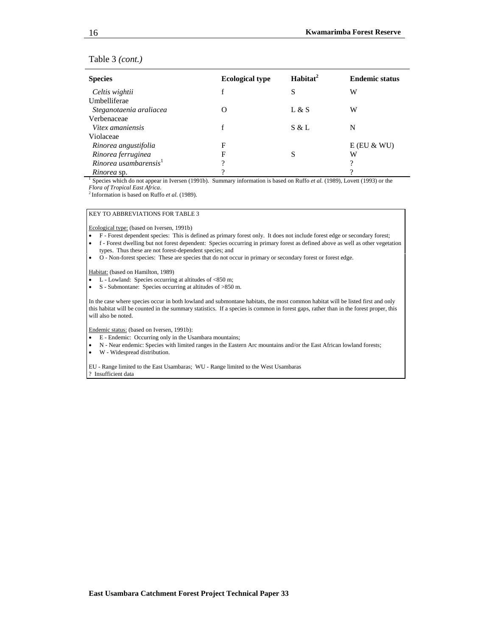#### Table 3 *(cont.)*

| <b>Species</b>              | <b>Ecological type</b> | Habitat <sup>2</sup> | <b>Endemic status</b> |
|-----------------------------|------------------------|----------------------|-----------------------|
| Celtis wightii              | f                      | S                    | W                     |
| Umbelliferae                |                        |                      |                       |
| Steganotaenia araliacea     |                        | L & S                | W                     |
| Verbenaceae                 |                        |                      |                       |
| Vitex amaniensis            | f                      | S & L                | N                     |
| Violaceae                   |                        |                      |                       |
| Rinorea angustifolia        | F                      |                      | $E$ (EU & WU)         |
| Rinorea ferruginea          | F                      | S                    | W                     |
| $R$ inorea usambarensis $1$ | 9                      |                      | 9                     |
| <i>Rinorea</i> sn           | റ                      |                      | າ                     |

<sup>1</sup> Species which do not appear in Iversen (1991b). Summary information is based on Ruffo *et al.* (1989), Lovett (1993) or the *Flora of Tropical East Africa.* <sup>2</sup> Information is based on Ruffo *et al.* (1989).

#### KEY TO ABBREVIATIONS FOR TABLE 3

Ecological type: (based on Iversen, 1991b)

- F Forest dependent species: This is defined as primary forest only. It does not include forest edge or secondary forest;
- f Forest dwelling but not forest dependent: Species occurring in primary forest as defined above as well as other vegetation types. Thus these are not forest-dependent species; and
- O Non-forest species: These are species that do not occur in primary or secondary forest or forest edge.

Habitat: (based on Hamilton, 1989)

- L Lowland: Species occurring at altitudes of <850 m;
- S Submontane: Species occurring at altitudes of >850 m.

In the case where species occur in both lowland and submontane habitats, the most common habitat will be listed first and only this habitat will be counted in the summary statistics. If a species is common in forest gaps, rather than in the forest proper, this will also be noted.

Endemic status: (based on Iversen, 1991b):

- E Endemic: Occurring only in the Usambara mountains;
- N Near endemic: Species with limited ranges in the Eastern Arc mountains and/or the East African lowland forests;
- W Widespread distribution.

EU - Range limited to the East Usambaras; WU - Range limited to the West Usambaras ? Insufficient data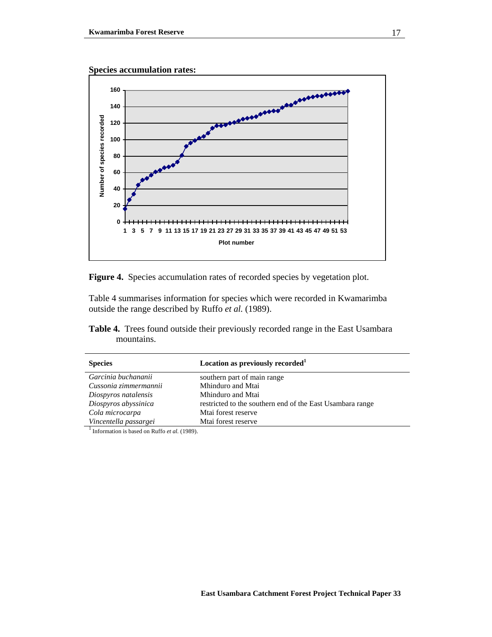

Figure 4. Species accumulation rates of recorded species by vegetation plot.

Table 4 summarises information for species which were recorded in Kwamarimba outside the range described by Ruffo *et al.* (1989).

**Table 4.** Trees found outside their previously recorded range in the East Usambara mountains.

| <b>Species</b>        | Location as previously recorded <sup>1</sup>              |
|-----------------------|-----------------------------------------------------------|
| Garcinia buchananii   | southern part of main range                               |
| Cussonia zimmermannii | Mhinduro and Mtai                                         |
| Diospyros natalensis  | Mhinduro and Mtai                                         |
| Diospyros abyssinica  | restricted to the southern end of the East Usambara range |
| Cola microcarpa       | Mtai forest reserve                                       |
| Vincentella passargei | Mtai forest reserve                                       |
|                       |                                                           |

*Information is based on Ruffo et al.* (1989).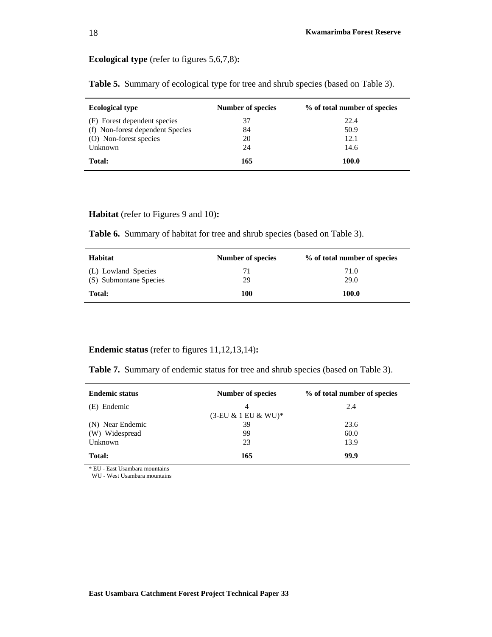## **Ecological type** (refer to figures 5,6,7,8)**:**

|  | <b>Table 5.</b> Summary of ecological type for tree and shrub species (based on Table 3). |  |  |  |
|--|-------------------------------------------------------------------------------------------|--|--|--|
|  |                                                                                           |  |  |  |

| <b>Ecological type</b>           | <b>Number of species</b> | % of total number of species |
|----------------------------------|--------------------------|------------------------------|
| (F) Forest dependent species     | 37                       | 22.4                         |
| (f) Non-forest dependent Species | 84                       | 50.9                         |
| (O) Non-forest species           | 20                       | 12.1                         |
| Unknown                          | 24                       | 14.6                         |
| Total:                           | 165                      | 100.0                        |

#### **Habitat** (refer to Figures 9 and 10)**:**

**Table 6.** Summary of habitat for tree and shrub species (based on Table 3).

| Habitat                                       | Number of species | % of total number of species |
|-----------------------------------------------|-------------------|------------------------------|
| (L) Lowland Species<br>(S) Submontane Species | 71<br>29          | 71.0<br>29.0                 |
| Total:                                        | 100               | 100.0                        |

## **Endemic status** (refer to figures 11,12,13,14)**:**

**Table 7.** Summary of endemic status for tree and shrub species (based on Table 3).

| <b>Endemic status</b> | <b>Number of species</b> | % of total number of species |
|-----------------------|--------------------------|------------------------------|
| (E) Endemic           | $\overline{4}$           | 2.4                          |
|                       | $(3-EU & 1 EU & WU)^*$   |                              |
| (N) Near Endemic      | 39                       | 23.6                         |
| (W) Widespread        | 99                       | 60.0                         |
| Unknown               | 23                       | 13.9                         |
| Total:                | 165                      | 99.9                         |

\* EU - East Usambara mountains

WU - West Usambara mountains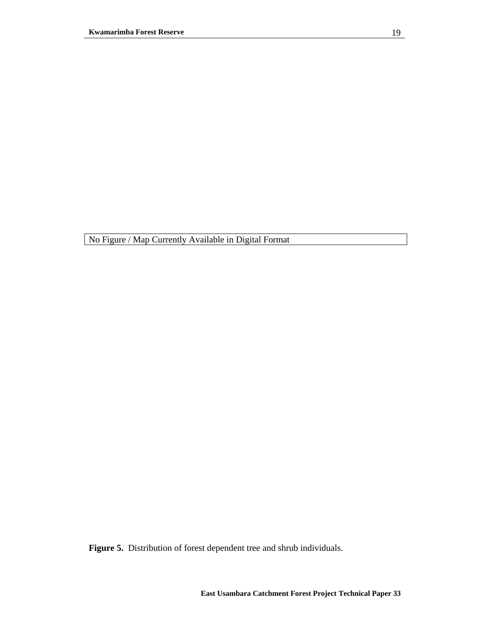**Figure 5.** Distribution of forest dependent tree and shrub individuals.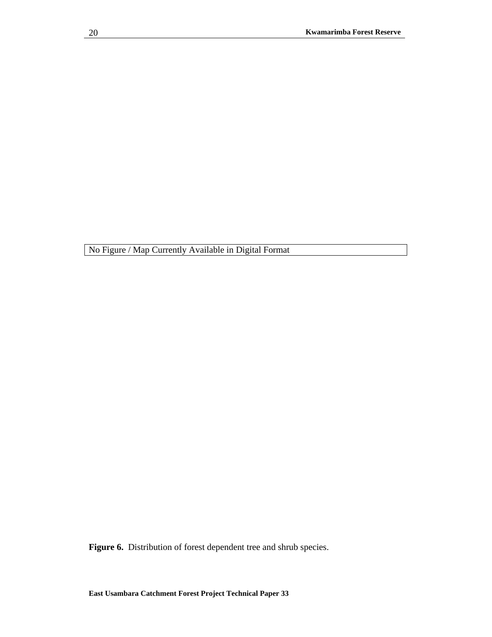Figure 6. Distribution of forest dependent tree and shrub species.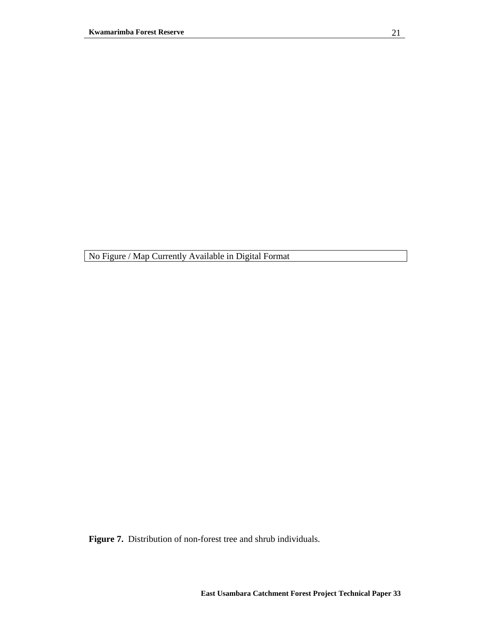**Figure 7.** Distribution of non-forest tree and shrub individuals.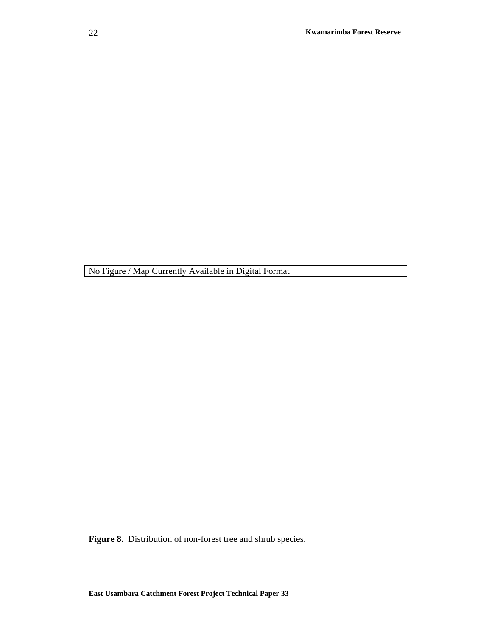**Figure 8.** Distribution of non-forest tree and shrub species.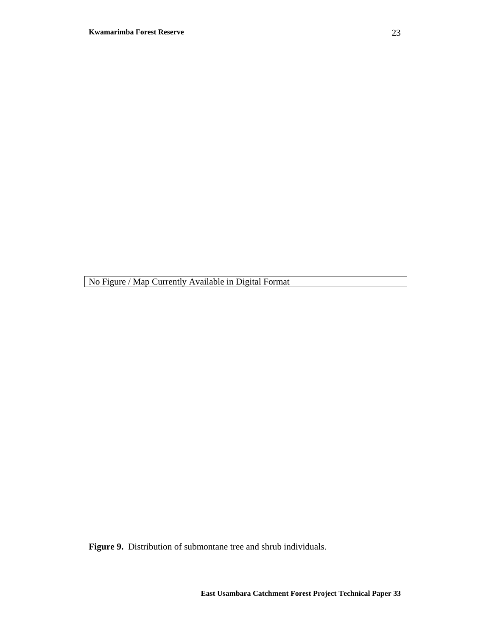**Figure 9.** Distribution of submontane tree and shrub individuals.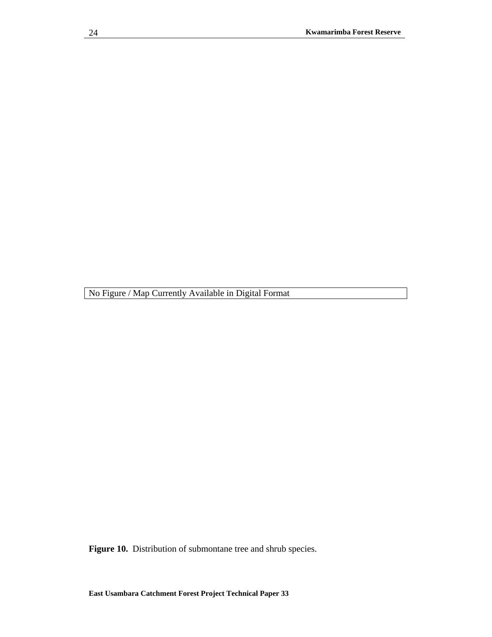**Figure 10.** Distribution of submontane tree and shrub species.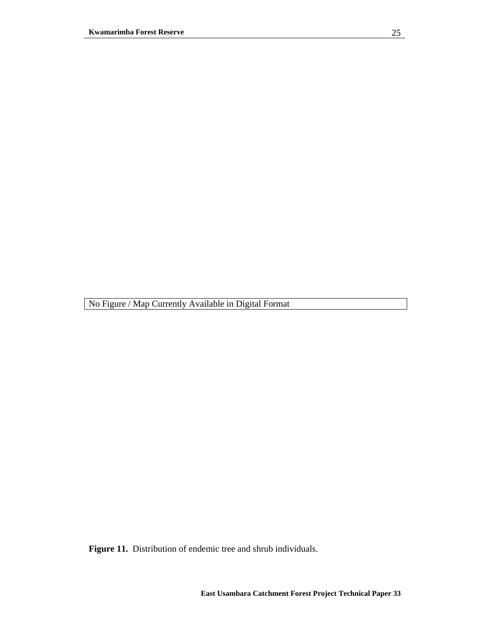**Figure 11.** Distribution of endemic tree and shrub individuals.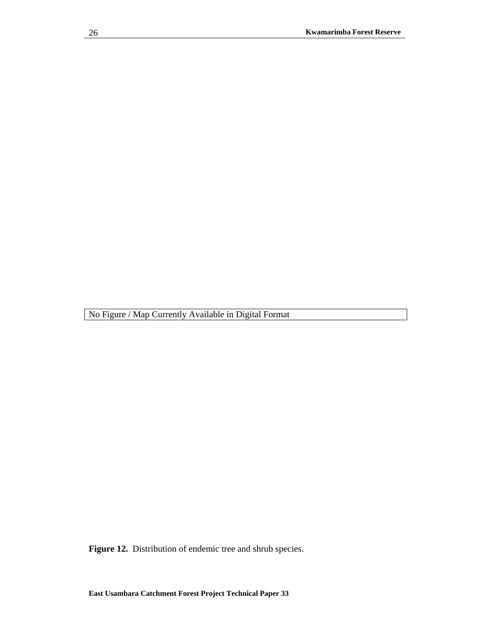**Figure 12.** Distribution of endemic tree and shrub species.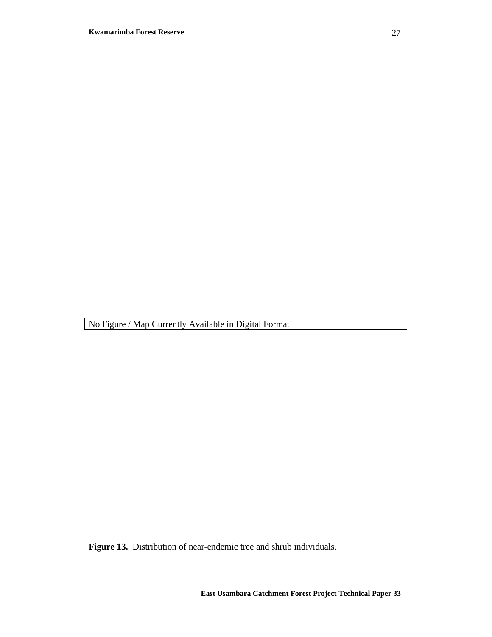**Figure 13.** Distribution of near-endemic tree and shrub individuals.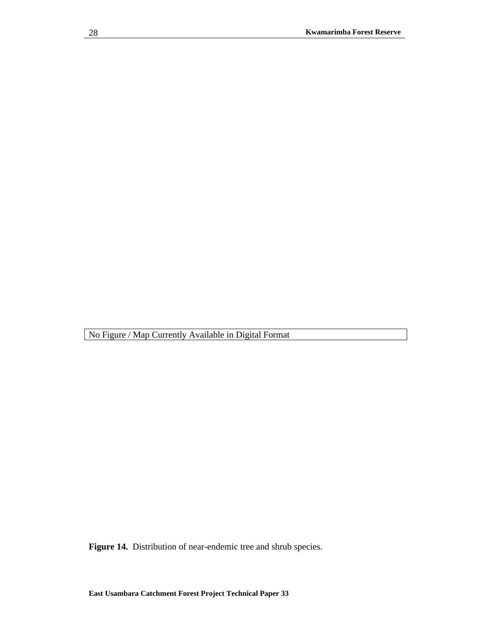**Figure 14.** Distribution of near-endemic tree and shrub species.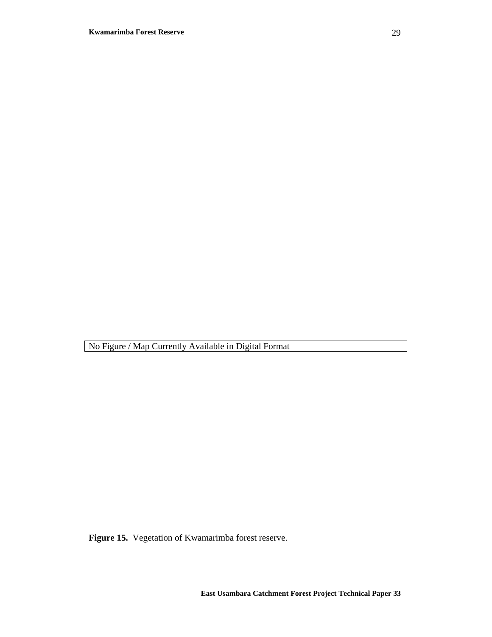**Figure 15.** Vegetation of Kwamarimba forest reserve.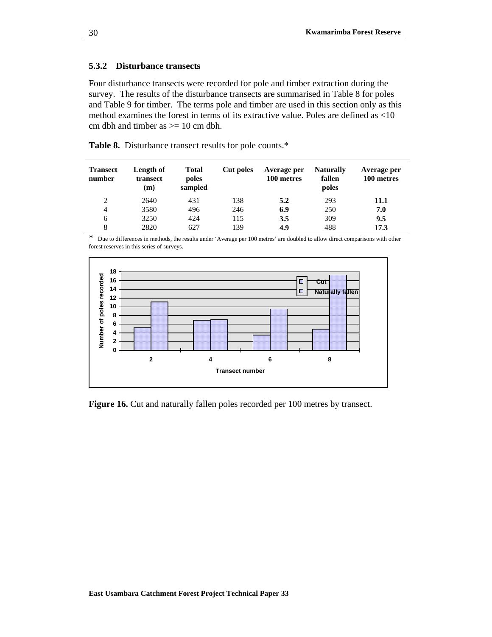### **5.3.2 Disturbance transects**

Four disturbance transects were recorded for pole and timber extraction during the survey. The results of the disturbance transects are summarised in Table 8 for poles and Table 9 for timber. The terms pole and timber are used in this section only as this method examines the forest in terms of its extractive value. Poles are defined as <10 cm dbh and timber as  $\geq$  10 cm dbh.

**Table 8.** Disturbance transect results for pole counts.\*

| <b>Transect</b><br>number | Length of<br>transect<br>(m) | <b>Total</b><br>poles<br>sampled | Cut poles | Average per<br>100 metres | <b>Naturally</b><br>fallen<br>poles | Average per<br>100 metres |
|---------------------------|------------------------------|----------------------------------|-----------|---------------------------|-------------------------------------|---------------------------|
| 2                         | 2640                         | 431                              | 138       | 5.2                       | 293                                 | 11.1                      |
| 4                         | 3580                         | 496                              | 246       | 6.9                       | 250                                 | 7.0                       |
| 6                         | 3250                         | 424                              | 115       | 3.5                       | 309                                 | 9.5                       |
| 8                         | 2820                         | 627                              | 139       | 4.9                       | 488                                 | 17.3                      |

\* Due to differences in methods, the results under 'Average per 100 metres' are doubled to allow direct comparisons with other forest reserves in this series of surveys.



**Figure 16.** Cut and naturally fallen poles recorded per 100 metres by transect.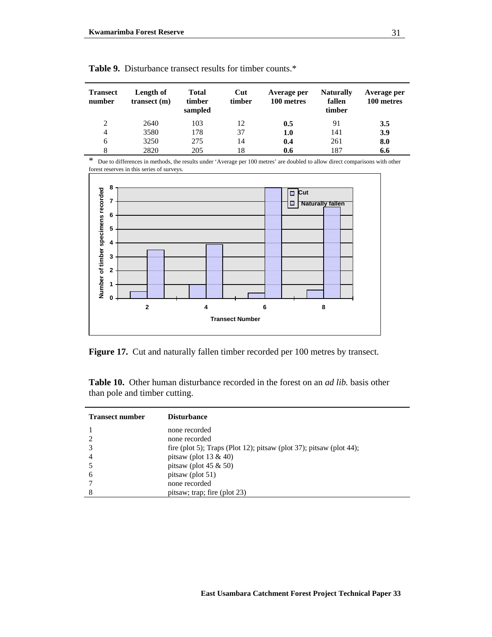| <b>Transect</b><br>number | Length of<br>transect(m) | <b>Total</b><br>timber<br>sampled | Cut<br>timber | Average per<br>100 metres | <b>Naturally</b><br>fallen<br>timber | Average per<br>100 metres |
|---------------------------|--------------------------|-----------------------------------|---------------|---------------------------|--------------------------------------|---------------------------|
| $\overline{2}$            | 2640                     | 103                               | 12            | 0.5                       | 91                                   | 3.5                       |
| 4                         | 3580                     | 178                               | 37            | 1.0                       | 141                                  | 3.9                       |
| 6                         | 3250                     | 275                               | 14            | 0.4                       | 261                                  | 8.0                       |
| 8                         | 2820                     | 205                               | 18            | 0.6                       | 187                                  | 6.6                       |

|  |  | <b>Table 9.</b> Disturbance transect results for timber counts.* |  |  |
|--|--|------------------------------------------------------------------|--|--|
|--|--|------------------------------------------------------------------|--|--|

\* Due to differences in methods, the results under 'Average per 100 metres' are doubled to allow direct comparisons with other forest reserves in this series of surveys.



Figure 17. Cut and naturally fallen timber recorded per 100 metres by transect.

**Table 10.** Other human disturbance recorded in the forest on an *ad lib.* basis other than pole and timber cutting.

| <b>Transect number</b> | <b>Disturbance</b>                                                  |
|------------------------|---------------------------------------------------------------------|
|                        | none recorded                                                       |
|                        | none recorded                                                       |
|                        | fire (plot 5); Traps (Plot 12); pitsaw (plot 37); pitsaw (plot 44); |
| 4                      | pitsaw (plot 13 $\&$ 40)                                            |
|                        | pitsaw (plot 45 $\&$ 50)                                            |
| 6                      | pitsaw (plot 51)                                                    |
|                        | none recorded                                                       |
| 8                      | pitsaw; trap; fire (plot 23)                                        |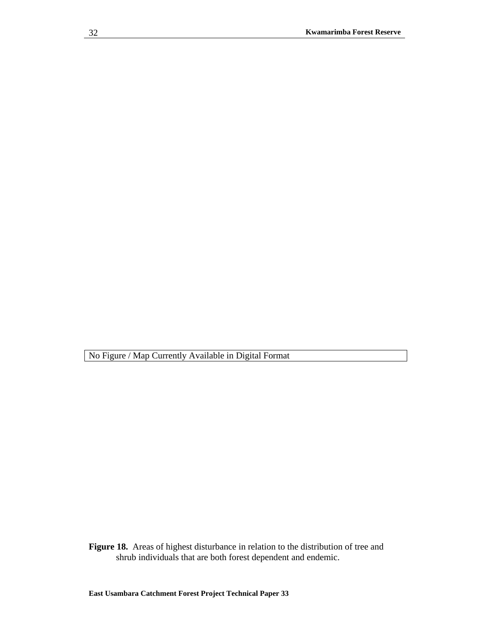**Figure 18.** Areas of highest disturbance in relation to the distribution of tree and shrub individuals that are both forest dependent and endemic.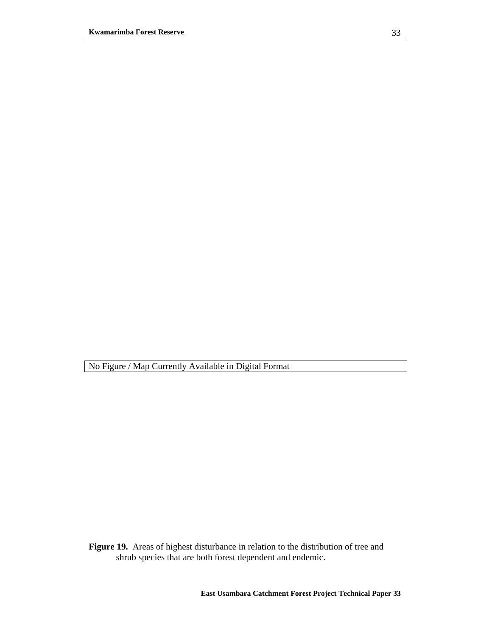**Figure 19.** Areas of highest disturbance in relation to the distribution of tree and shrub species that are both forest dependent and endemic.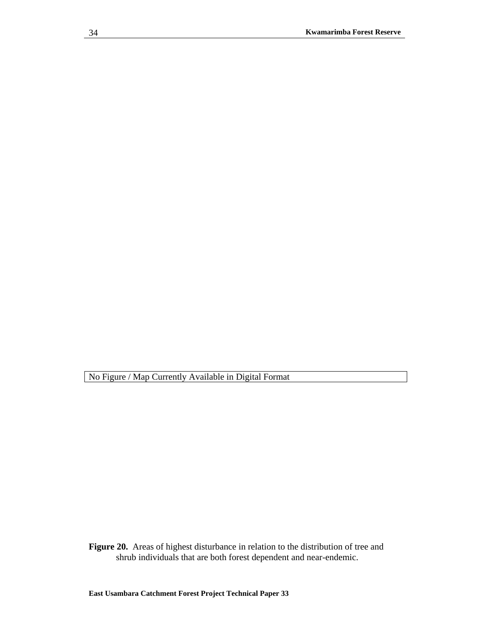**Figure 20.** Areas of highest disturbance in relation to the distribution of tree and shrub individuals that are both forest dependent and near-endemic.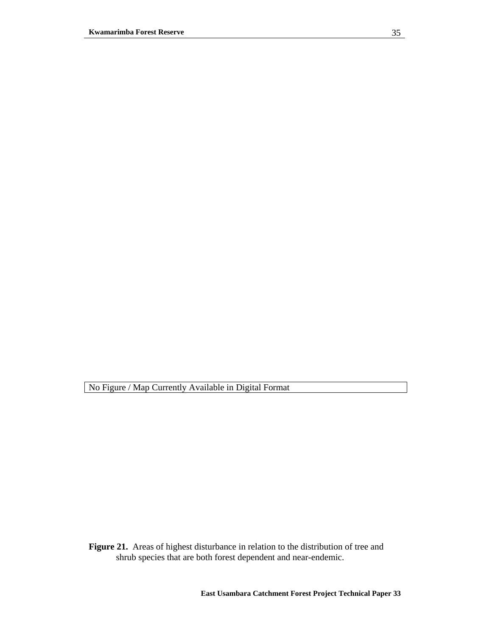**Figure 21.** Areas of highest disturbance in relation to the distribution of tree and shrub species that are both forest dependent and near-endemic.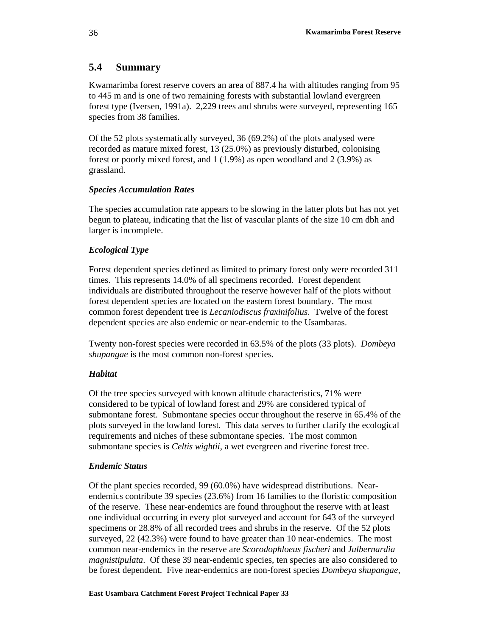## **5.4 Summary**

Kwamarimba forest reserve covers an area of 887.4 ha with altitudes ranging from 95 to 445 m and is one of two remaining forests with substantial lowland evergreen forest type (Iversen, 1991a). 2,229 trees and shrubs were surveyed, representing 165 species from 38 families.

Of the 52 plots systematically surveyed, 36 (69.2%) of the plots analysed were recorded as mature mixed forest, 13 (25.0%) as previously disturbed, colonising forest or poorly mixed forest, and 1 (1.9%) as open woodland and 2 (3.9%) as grassland.

## *Species Accumulation Rates*

The species accumulation rate appears to be slowing in the latter plots but has not yet begun to plateau, indicating that the list of vascular plants of the size 10 cm dbh and larger is incomplete.

## *Ecological Type*

Forest dependent species defined as limited to primary forest only were recorded 311 times. This represents 14.0% of all specimens recorded. Forest dependent individuals are distributed throughout the reserve however half of the plots without forest dependent species are located on the eastern forest boundary. The most common forest dependent tree is *Lecaniodiscus fraxinifolius*. Twelve of the forest dependent species are also endemic or near-endemic to the Usambaras.

Twenty non-forest species were recorded in 63.5% of the plots (33 plots). *Dombeya shupangae* is the most common non-forest species.

## *Habitat*

Of the tree species surveyed with known altitude characteristics, 71% were considered to be typical of lowland forest and 29% are considered typical of submontane forest. Submontane species occur throughout the reserve in 65.4% of the plots surveyed in the lowland forest. This data serves to further clarify the ecological requirements and niches of these submontane species. The most common submontane species is *Celtis wightii*, a wet evergreen and riverine forest tree.

## *Endemic Status*

Of the plant species recorded, 99 (60.0%) have widespread distributions. Nearendemics contribute 39 species (23.6%) from 16 families to the floristic composition of the reserve. These near-endemics are found throughout the reserve with at least one individual occurring in every plot surveyed and account for 643 of the surveyed specimens or 28.8% of all recorded trees and shrubs in the reserve. Of the 52 plots surveyed, 22 (42.3%) were found to have greater than 10 near-endemics. The most common near-endemics in the reserve are *Scorodophloeus fischeri* and *Julbernardia magnistipulata*. Of these 39 near-endemic species, ten species are also considered to be forest dependent. Five near-endemics are non-forest species *Dombeya shupangae,*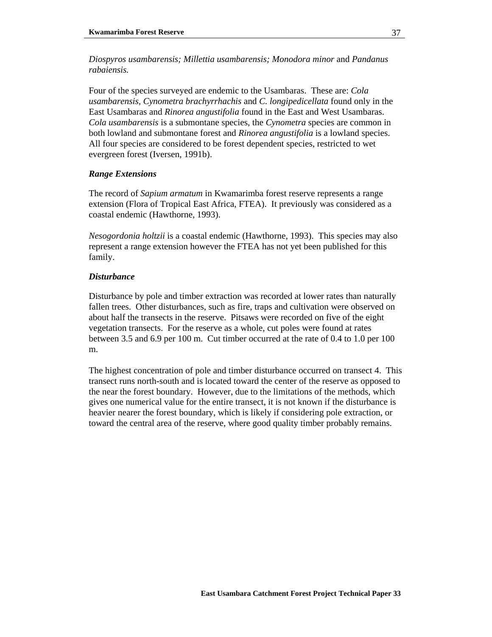*Diospyros usambarensis; Millettia usambarensis; Monodora minor* and *Pandanus rabaiensis.* 

Four of the species surveyed are endemic to the Usambaras. These are: *Cola usambarensis, Cynometra brachyrrhachis* and *C. longipedicellata* found only in the East Usambaras and *Rinorea angustifolia* found in the East and West Usambaras. *Cola usambarensis* is a submontane species, the *Cynometra* species are common in both lowland and submontane forest and *Rinorea angustifolia* is a lowland species. All four species are considered to be forest dependent species, restricted to wet evergreen forest (Iversen, 1991b).

### *Range Extensions*

The record of *Sapium armatum* in Kwamarimba forest reserve represents a range extension (Flora of Tropical East Africa, FTEA). It previously was considered as a coastal endemic (Hawthorne, 1993).

*Nesogordonia holtzii* is a coastal endemic (Hawthorne, 1993). This species may also represent a range extension however the FTEA has not yet been published for this family.

### *Disturbance*

Disturbance by pole and timber extraction was recorded at lower rates than naturally fallen trees. Other disturbances, such as fire, traps and cultivation were observed on about half the transects in the reserve. Pitsaws were recorded on five of the eight vegetation transects. For the reserve as a whole, cut poles were found at rates between 3.5 and 6.9 per 100 m. Cut timber occurred at the rate of 0.4 to 1.0 per 100 m.

The highest concentration of pole and timber disturbance occurred on transect 4. This transect runs north-south and is located toward the center of the reserve as opposed to the near the forest boundary. However, due to the limitations of the methods, which gives one numerical value for the entire transect, it is not known if the disturbance is heavier nearer the forest boundary, which is likely if considering pole extraction, or toward the central area of the reserve, where good quality timber probably remains.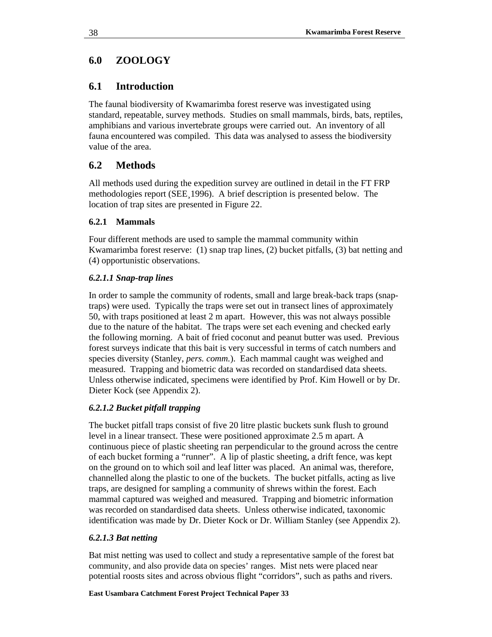# **6.0 ZOOLOGY**

# **6.1 Introduction**

The faunal biodiversity of Kwamarimba forest reserve was investigated using standard, repeatable, survey methods. Studies on small mammals, birds, bats, reptiles, amphibians and various invertebrate groups were carried out. An inventory of all fauna encountered was compiled. This data was analysed to assess the biodiversity value of the area.

# **6.2 Methods**

All methods used during the expedition survey are outlined in detail in the FT FRP methodologies report (SEE¸1996). A brief description is presented below. The location of trap sites are presented in Figure 22.

## **6.2.1 Mammals**

Four different methods are used to sample the mammal community within Kwamarimba forest reserve: (1) snap trap lines, (2) bucket pitfalls, (3) bat netting and (4) opportunistic observations.

## *6.2.1.1 Snap-trap lines*

In order to sample the community of rodents, small and large break-back traps (snaptraps) were used. Typically the traps were set out in transect lines of approximately 50, with traps positioned at least 2 m apart. However, this was not always possible due to the nature of the habitat. The traps were set each evening and checked early the following morning. A bait of fried coconut and peanut butter was used. Previous forest surveys indicate that this bait is very successful in terms of catch numbers and species diversity (Stanley, *pers. comm.*). Each mammal caught was weighed and measured. Trapping and biometric data was recorded on standardised data sheets. Unless otherwise indicated, specimens were identified by Prof. Kim Howell or by Dr. Dieter Kock (see Appendix 2).

## *6.2.1.2 Bucket pitfall trapping*

The bucket pitfall traps consist of five 20 litre plastic buckets sunk flush to ground level in a linear transect. These were positioned approximate 2.5 m apart. A continuous piece of plastic sheeting ran perpendicular to the ground across the centre of each bucket forming a "runner". A lip of plastic sheeting, a drift fence, was kept on the ground on to which soil and leaf litter was placed. An animal was, therefore, channelled along the plastic to one of the buckets. The bucket pitfalls, acting as live traps, are designed for sampling a community of shrews within the forest. Each mammal captured was weighed and measured. Trapping and biometric information was recorded on standardised data sheets. Unless otherwise indicated, taxonomic identification was made by Dr. Dieter Kock or Dr. William Stanley (see Appendix 2).

## *6.2.1.3 Bat netting*

Bat mist netting was used to collect and study a representative sample of the forest bat community, and also provide data on species' ranges. Mist nets were placed near potential roosts sites and across obvious flight "corridors", such as paths and rivers.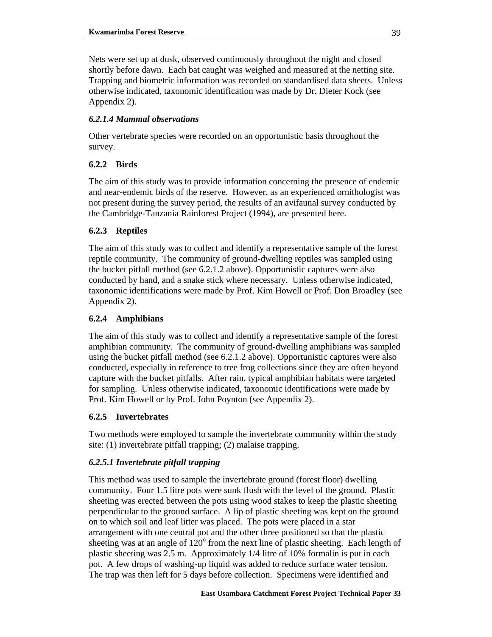Nets were set up at dusk, observed continuously throughout the night and closed shortly before dawn. Each bat caught was weighed and measured at the netting site. Trapping and biometric information was recorded on standardised data sheets. Unless otherwise indicated, taxonomic identification was made by Dr. Dieter Kock (see Appendix 2).

## *6.2.1.4 Mammal observations*

Other vertebrate species were recorded on an opportunistic basis throughout the survey.

## **6.2.2 Birds**

The aim of this study was to provide information concerning the presence of endemic and near-endemic birds of the reserve. However, as an experienced ornithologist was not present during the survey period, the results of an avifaunal survey conducted by the Cambridge-Tanzania Rainforest Project (1994), are presented here.

## **6.2.3 Reptiles**

The aim of this study was to collect and identify a representative sample of the forest reptile community. The community of ground-dwelling reptiles was sampled using the bucket pitfall method (see 6.2.1.2 above). Opportunistic captures were also conducted by hand, and a snake stick where necessary. Unless otherwise indicated, taxonomic identifications were made by Prof. Kim Howell or Prof. Don Broadley (see Appendix 2).

## **6.2.4 Amphibians**

The aim of this study was to collect and identify a representative sample of the forest amphibian community. The community of ground-dwelling amphibians was sampled using the bucket pitfall method (see 6.2.1.2 above). Opportunistic captures were also conducted, especially in reference to tree frog collections since they are often beyond capture with the bucket pitfalls. After rain, typical amphibian habitats were targeted for sampling. Unless otherwise indicated, taxonomic identifications were made by Prof. Kim Howell or by Prof. John Poynton (see Appendix 2).

## **6.2.5 Invertebrates**

Two methods were employed to sample the invertebrate community within the study site: (1) invertebrate pitfall trapping; (2) malaise trapping.

## *6.2.5.1 Invertebrate pitfall trapping*

This method was used to sample the invertebrate ground (forest floor) dwelling community. Four 1.5 litre pots were sunk flush with the level of the ground. Plastic sheeting was erected between the pots using wood stakes to keep the plastic sheeting perpendicular to the ground surface. A lip of plastic sheeting was kept on the ground on to which soil and leaf litter was placed. The pots were placed in a star arrangement with one central pot and the other three positioned so that the plastic sheeting was at an angle of  $120^{\circ}$  from the next line of plastic sheeting. Each length of plastic sheeting was 2.5 m. Approximately 1/4 litre of 10% formalin is put in each pot. A few drops of washing-up liquid was added to reduce surface water tension. The trap was then left for 5 days before collection. Specimens were identified and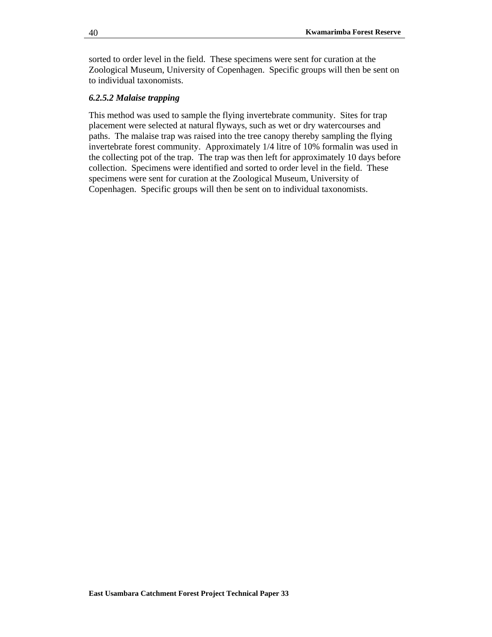sorted to order level in the field. These specimens were sent for curation at the Zoological Museum, University of Copenhagen. Specific groups will then be sent on to individual taxonomists.

### *6.2.5.2 Malaise trapping*

This method was used to sample the flying invertebrate community. Sites for trap placement were selected at natural flyways, such as wet or dry watercourses and paths. The malaise trap was raised into the tree canopy thereby sampling the flying invertebrate forest community. Approximately 1/4 litre of 10% formalin was used in the collecting pot of the trap. The trap was then left for approximately 10 days before collection. Specimens were identified and sorted to order level in the field. These specimens were sent for curation at the Zoological Museum, University of Copenhagen. Specific groups will then be sent on to individual taxonomists.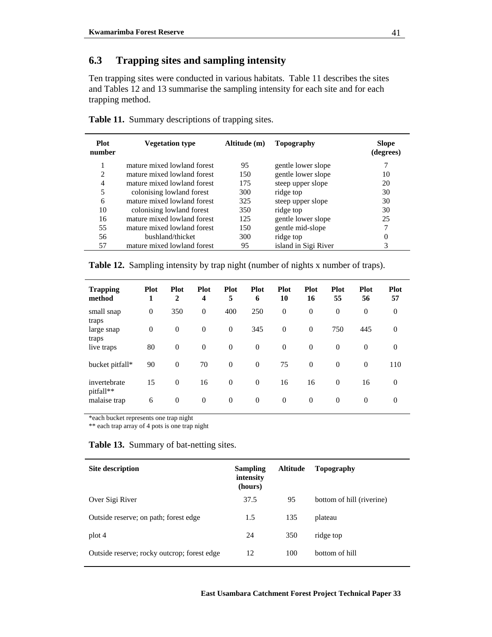# **6.3 Trapping sites and sampling intensity**

Ten trapping sites were conducted in various habitats. Table 11 describes the sites and Tables 12 and 13 summarise the sampling intensity for each site and for each trapping method.

| <b>Plot</b><br>number | <b>Vegetation type</b>      | Altitude (m) | Topography           | <b>Slope</b><br>(degrees) |
|-----------------------|-----------------------------|--------------|----------------------|---------------------------|
| 1                     | mature mixed lowland forest | 95           | gentle lower slope   |                           |
| 2                     | mature mixed lowland forest | 150          | gentle lower slope   | 10                        |
| 4                     | mature mixed lowland forest | 175          | steep upper slope    | 20                        |
| 5                     | colonising lowland forest   | 300          | ridge top            | 30                        |
| 6                     | mature mixed lowland forest | 325          | steep upper slope    | 30                        |
| 10                    | colonising lowland forest   | 350          | ridge top            | 30                        |
| 16                    | mature mixed lowland forest | 125          | gentle lower slope   | 25                        |
| 55                    | mature mixed lowland forest | 150          | gentle mid-slope     | 7                         |
| 56                    | bushland/thicket            | 300          | ridge top            | 0                         |
| 57                    | mature mixed lowland forest | 95           | island in Sigi River | 3                         |
|                       |                             |              |                      |                           |

**Table 11.** Summary descriptions of trapping sites.

**Table 12.** Sampling intensity by trap night (number of nights x number of traps).

| <b>Trapping</b><br>method | <b>Plot</b><br>1 | <b>Plot</b><br>$\mathbf{2}$ | <b>Plot</b><br>4 | <b>Plot</b><br>5 | <b>Plot</b><br>6 | <b>Plot</b><br>10 | <b>Plot</b><br>16 | <b>Plot</b><br>55 | <b>Plot</b><br>56 | <b>Plot</b><br>57 |
|---------------------------|------------------|-----------------------------|------------------|------------------|------------------|-------------------|-------------------|-------------------|-------------------|-------------------|
| small snap<br>traps       | $\theta$         | 350                         | $\theta$         | 400              | 250              | $\theta$          | $\overline{0}$    | $\overline{0}$    | $\mathbf{0}$      | $\theta$          |
| large snap<br>traps       | $\theta$         | $\mathbf{0}$                | $\theta$         | $\mathbf{0}$     | 345              | $\theta$          | $\theta$          | 750               | 445               | $\boldsymbol{0}$  |
| live traps                | 80               | $\mathbf{0}$                | $\theta$         | $\theta$         | $\overline{0}$   | $\theta$          | $\theta$          | $\theta$          | $\Omega$          | $\overline{0}$    |
| bucket pitfall*           | 90               | $\mathbf{0}$                | 70               | $\theta$         | $\mathbf{0}$     | 75                | $\theta$          | $\theta$          | $\Omega$          | 110               |
| invertebrate<br>pitfall** | 15               | $\mathbf{0}$                | 16               | $\theta$         | $\Omega$         | 16                | 16                | $\Omega$          | 16                | $\mathbf{0}$      |
| malaise trap              | 6                | $\theta$                    | $\theta$         | $\overline{0}$   | $\theta$         | $\theta$          | $\theta$          | $\theta$          | $\theta$          | $\overline{0}$    |

\*each bucket represents one trap night

\*\* each trap array of 4 pots is one trap night

**Table 13.** Summary of bat-netting sites.

| Site description                            | <b>Sampling</b><br>intensity<br>(hours) | <b>Altitude</b> | Topography                |
|---------------------------------------------|-----------------------------------------|-----------------|---------------------------|
| Over Sigi River                             | 37.5                                    | 95              | bottom of hill (riverine) |
| Outside reserve; on path; forest edge       | 1.5                                     | 135             | plateau                   |
| plot 4                                      | 24                                      | 350             | ridge top                 |
| Outside reserve; rocky outcrop; forest edge | 12                                      | 100             | bottom of hill            |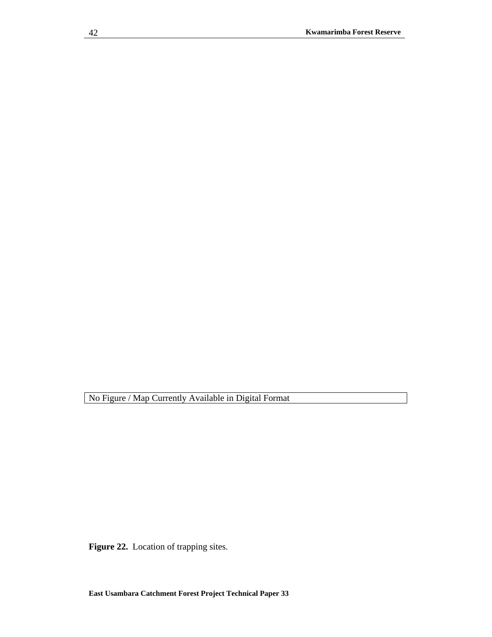Figure 22. Location of trapping sites.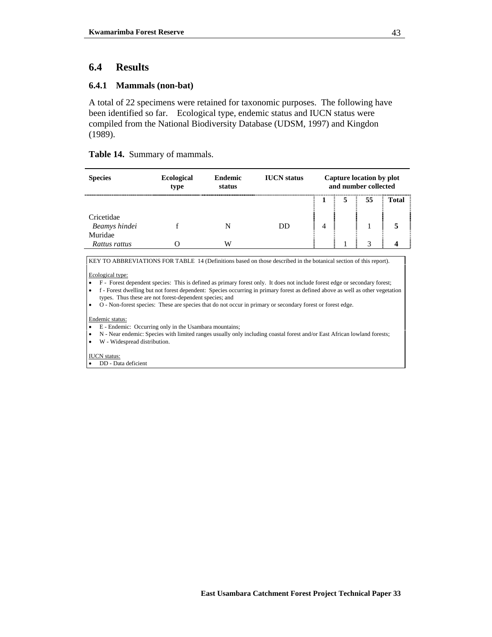## **6.4 Results**

### **6.4.1 Mammals (non-bat)**

A total of 22 specimens were retained for taxonomic purposes. The following have been identified so far. Ecological type, endemic status and IUCN status were compiled from the National Biodiversity Database (UDSM, 1997) and Kingdon (1989).

### **Table 14.** Summary of mammals.

| <b>Species</b>              | <b>Ecological</b><br>type | <b>Endemic</b><br>status | <b>IUCN</b> status |  | Capture location by plot<br>and number collected |       |
|-----------------------------|---------------------------|--------------------------|--------------------|--|--------------------------------------------------|-------|
|                             |                           |                          |                    |  | 55                                               | Total |
| Cricetidae<br>Beamys hindei |                           |                          | DD                 |  |                                                  |       |
| Muridae                     |                           |                          |                    |  |                                                  |       |
| Rattus rattus               |                           | W                        |                    |  | 2                                                |       |

KEY TO ABBREVIATIONS FOR TABLE 14 (Definitions based on those described in the botanical section of this report).

#### Ecological type:

- F Forest dependent species: This is defined as primary forest only. It does not include forest edge or secondary forest;
- f Forest dwelling but not forest dependent: Species occurring in primary forest as defined above as well as other vegetation types. Thus these are not forest-dependent species; and
- O Non-forest species: These are species that do not occur in primary or secondary forest or forest edge.

Endemic status:

- E Endemic: Occurring only in the Usambara mountains;
- N Near endemic: Species with limited ranges usually only including coastal forest and/or East African lowland forests;
- W Widespread distribution.

IUCN status:

• DD - Data deficient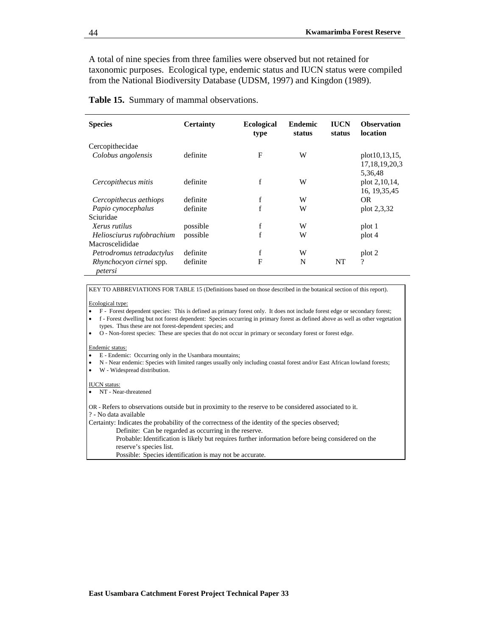A total of nine species from three families were observed but not retained for taxonomic purposes. Ecological type, endemic status and IUCN status were compiled from the National Biodiversity Database (UDSM, 1997) and Kingdon (1989).

|  |  |  | Table 15. Summary of mammal observations. |
|--|--|--|-------------------------------------------|
|--|--|--|-------------------------------------------|

| <b>Species</b>                            | <b>Certainty</b> | <b>Ecological</b><br>type | <b>Endemic</b><br>status | <b>IUCN</b><br>status | <b>Observation</b><br>location             |
|-------------------------------------------|------------------|---------------------------|--------------------------|-----------------------|--------------------------------------------|
| Cercopithecidae<br>Colobus angolensis     | definite         | F                         | W                        |                       | plot10,13,15,<br>17, 18, 19, 20, 3         |
| Cercopithecus mitis                       | definite         | f                         | W                        |                       | 5,36,48<br>plot 2,10,14,<br>16, 19, 35, 45 |
| Cercopithecus aethiops                    | definite         | f                         | W                        |                       | OR.                                        |
| Papio cynocephalus                        | definite         | f                         | W                        |                       | plot 2,3,32                                |
| Sciuridae                                 |                  |                           |                          |                       |                                            |
| Xerus rutilus                             | possible         | f                         | W                        |                       | plot 1                                     |
| Heliosciurus rufobrachium                 | possible         | f                         | W                        |                       | plot 4                                     |
| Macroscelididae                           |                  |                           |                          |                       |                                            |
| Petrodromus tetradactylus                 | definite         | f                         | W                        |                       | plot 2                                     |
| <i>Rhynchocyon cirnei spp.</i><br>petersi | definite         | F                         | N                        | NT                    | $\overline{\mathcal{L}}$                   |

KEY TO ABBREVIATIONS FOR TABLE 15 (Definitions based on those described in the botanical section of this report).

#### Ecological type:

- F Forest dependent species: This is defined as primary forest only. It does not include forest edge or secondary forest;
- f Forest dwelling but not forest dependent: Species occurring in primary forest as defined above as well as other vegetation types. Thus these are not forest-dependent species; and
- O Non-forest species: These are species that do not occur in primary or secondary forest or forest edge.

#### Endemic status:

- E Endemic: Occurring only in the Usambara mountains;
- N Near endemic: Species with limited ranges usually only including coastal forest and/or East African lowland forests;
- W Widespread distribution.

#### IUCN status:

• NT - Near-threatened

OR - Refers to observations outside but in proximity to the reserve to be considered associated to it. ? - No data available

Certainty: Indicates the probability of the correctness of the identity of the species observed;

Definite: Can be regarded as occurring in the reserve.

 Probable: Identification is likely but requires further information before being considered on the reserve's species list.

Possible: Species identification is may not be accurate.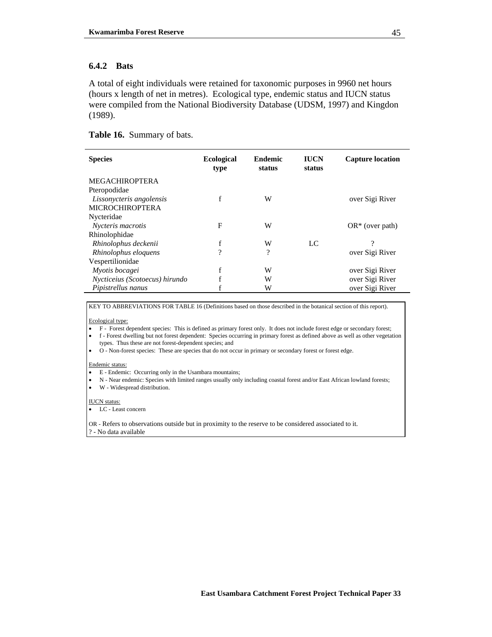### **6.4.2 Bats**

A total of eight individuals were retained for taxonomic purposes in 9960 net hours (hours x length of net in metres). Ecological type, endemic status and IUCN status were compiled from the National Biodiversity Database (UDSM, 1997) and Kingdon (1989).

### **Table 16.** Summary of bats.

| <b>Species</b>                 | <b>Ecological</b><br>type | <b>Endemic</b><br>status | <b>IUCN</b><br>status | <b>Capture location</b> |
|--------------------------------|---------------------------|--------------------------|-----------------------|-------------------------|
| <b>MEGACHIROPTERA</b>          |                           |                          |                       |                         |
| Pteropodidae                   |                           |                          |                       |                         |
| Lissonycteris angolensis       | f                         | W                        |                       | over Sigi River         |
| <b>MICROCHIROPTERA</b>         |                           |                          |                       |                         |
| Nycteridae                     |                           |                          |                       |                         |
| Nycteris macrotis              | F                         | W                        |                       | $OR^*$ (over path)      |
| Rhinolophidae                  |                           |                          |                       |                         |
| Rhinolophus deckenii           |                           | W                        | LC                    | 9                       |
| Rhinolophus eloquens           | 9                         | ?                        |                       | over Sigi River         |
| Vespertilionidae               |                           |                          |                       |                         |
| Myotis bocagei                 |                           | W                        |                       | over Sigi River         |
| Nycticeius (Scotoecus) hirundo |                           | W                        |                       | over Sigi River         |
| Pipistrellus nanus             |                           | W                        |                       | over Sigi River         |

KEY TO ABBREVIATIONS FOR TABLE 16 (Definitions based on those described in the botanical section of this report).

Ecological type:

• F - Forest dependent species: This is defined as primary forest only. It does not include forest edge or secondary forest;

• f - Forest dwelling but not forest dependent: Species occurring in primary forest as defined above as well as other vegetation types. Thus these are not forest-dependent species; and

• O - Non-forest species: These are species that do not occur in primary or secondary forest or forest edge.

#### Endemic status:

- E Endemic: Occurring only in the Usambara mountains;
- N Near endemic: Species with limited ranges usually only including coastal forest and/or East African lowland forests;
- W Widespread distribution.

IUCN status:

• LC - Least concern

OR - Refers to observations outside but in proximity to the reserve to be considered associated to it. ? - No data available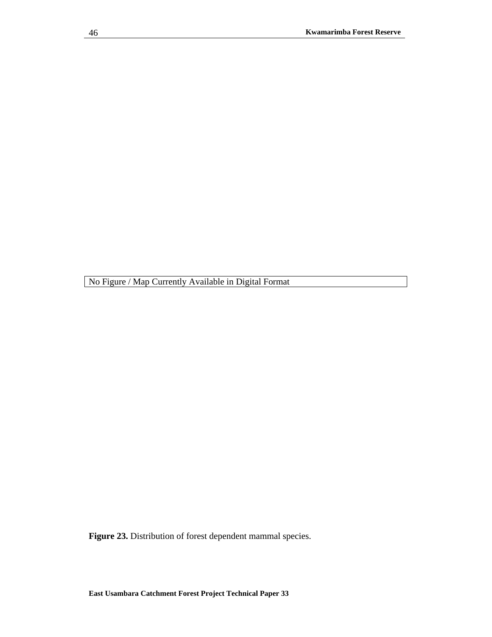**Figure 23.** Distribution of forest dependent mammal species.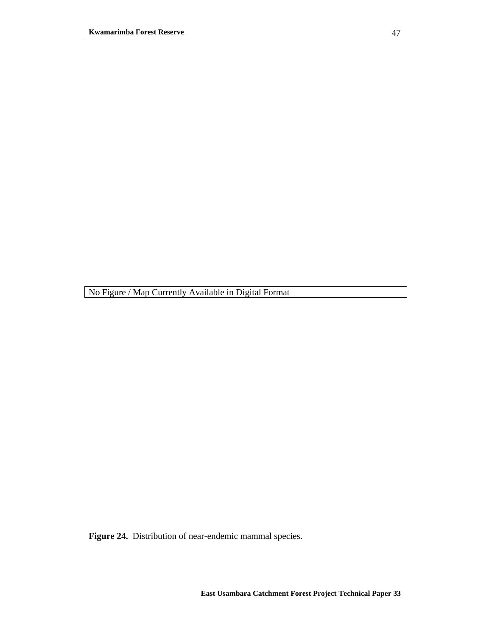**Figure 24.** Distribution of near-endemic mammal species.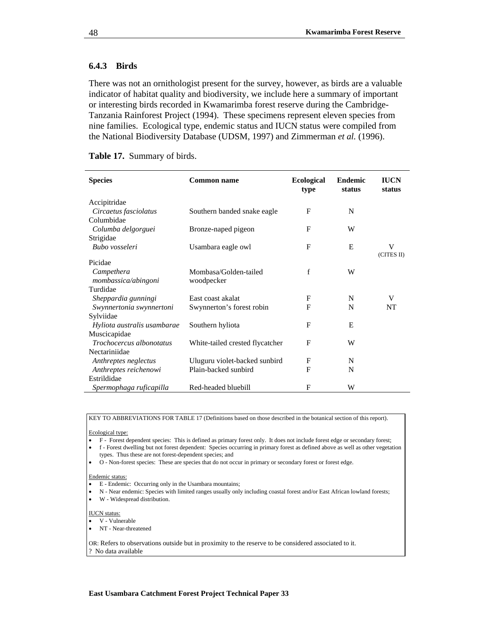### **6.4.3 Birds**

There was not an ornithologist present for the survey, however, as birds are a valuable indicator of habitat quality and biodiversity, we include here a summary of important or interesting birds recorded in Kwamarimba forest reserve during the Cambridge-Tanzania Rainforest Project (1994). These specimens represent eleven species from nine families. Ecological type, endemic status and IUCN status were compiled from the National Biodiversity Database (UDSM, 1997) and Zimmerman *et al.* (1996).

| <b>Table 17.</b> Summary of birds. |  |  |
|------------------------------------|--|--|
|------------------------------------|--|--|

| <b>Species</b>              | <b>Common name</b>              |              | <b>Endemic</b><br>status | <b>IUCN</b><br>status |
|-----------------------------|---------------------------------|--------------|--------------------------|-----------------------|
| Accipitridae                |                                 |              |                          |                       |
| Circaetus fasciolatus       | Southern banded snake eagle     | F            | N                        |                       |
| Columbidae                  |                                 |              |                          |                       |
| Columba delgorguei          | Bronze-naped pigeon             | F            | W                        |                       |
| Strigidae                   |                                 |              |                          |                       |
| Bubo vosseleri              | Usambara eagle owl              | F            | E                        | V                     |
| Picidae                     |                                 |              |                          | (CITES II)            |
| Campethera                  | Mombasa/Golden-tailed           | $\mathbf f$  | W                        |                       |
| mombassica/abingoni         | woodpecker                      |              |                          |                       |
| Turdidae                    |                                 |              |                          |                       |
| Sheppardia gunningi         | East coast akalat               | F            | N                        | V                     |
| Swynnertonia swynnertoni    | Swynnerton's forest robin       | $\mathbf{F}$ | N                        | NT                    |
| Sylviidae                   |                                 |              |                          |                       |
| Hyliota australis usambarae | Southern hyliota                | F            | E                        |                       |
| Muscicapidae                |                                 |              |                          |                       |
| Trochocercus albonotatus    | White-tailed crested flycatcher | $\mathbf{F}$ | W                        |                       |
| Nectariniidae               |                                 |              |                          |                       |
| Anthreptes neglectus        | Uluguru violet-backed sunbird   | $\mathbf{F}$ | N                        |                       |
| Anthreptes reichenowi       | Plain-backed sunbird            | $\mathbf{F}$ | N                        |                       |
| Estrildidae                 |                                 |              |                          |                       |
| Spermophaga ruficapilla     | Red-headed bluebill             | F            | W                        |                       |

KEY TO ABBREVIATIONS FOR TABLE 17 (Definitions based on those described in the botanical section of this report).

Ecological type:

- F Forest dependent species: This is defined as primary forest only. It does not include forest edge or secondary forest;
- f Forest dwelling but not forest dependent: Species occurring in primary forest as defined above as well as other vegetation types. Thus these are not forest-dependent species; and
- O Non-forest species: These are species that do not occur in primary or secondary forest or forest edge.

Endemic status:

- E Endemic: Occurring only in the Usambara mountains;
- N Near endemic: Species with limited ranges usually only including coastal forest and/or East African lowland forests;
- W Widespread distribution.

IUCN status:

- V Vulnerable
- NT Near-threatened

OR: Refers to observations outside but in proximity to the reserve to be considered associated to it. ? No data available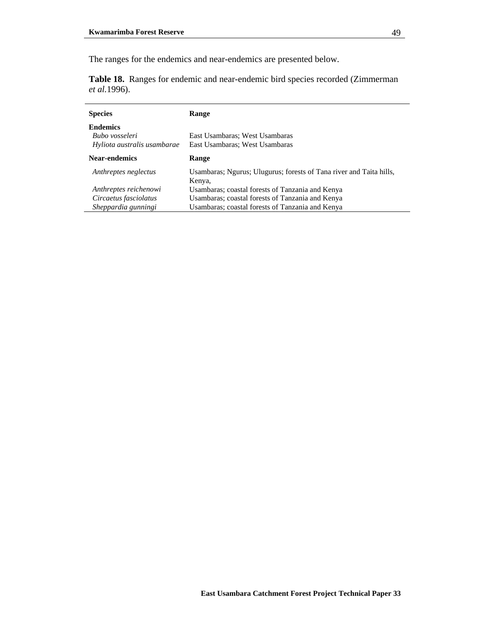The ranges for the endemics and near-endemics are presented below.

**Table 18.** Ranges for endemic and near-endemic bird species recorded (Zimmerman *et al.*1996).

| <b>Species</b>              | Range                                                                         |
|-----------------------------|-------------------------------------------------------------------------------|
| <b>Endemics</b>             |                                                                               |
| Bubo vosseleri              | East Usambaras; West Usambaras                                                |
| Hyliota australis usambarae | East Usambaras; West Usambaras                                                |
| Near-endemics               | Range                                                                         |
| Anthreptes neglectus        | Usambaras; Ngurus; Ulugurus; forests of Tana river and Taita hills,<br>Kenya, |
| Anthreptes reichenowi       | Usambaras; coastal forests of Tanzania and Kenya                              |
| Circaetus fasciolatus       | Usambaras; coastal forests of Tanzania and Kenya                              |
| Sheppardia gunningi         | Usambaras; coastal forests of Tanzania and Kenya                              |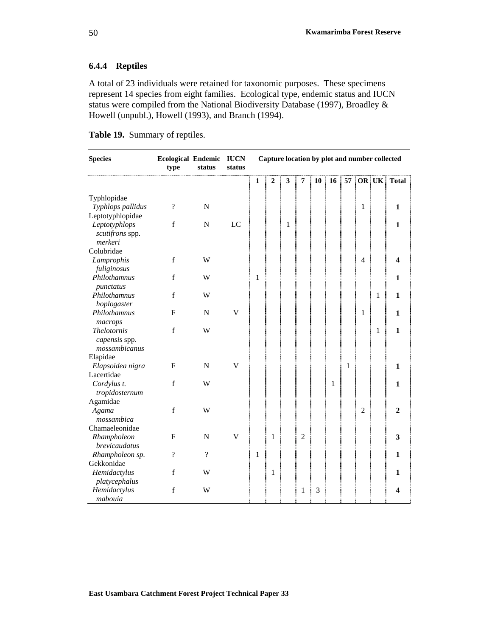## **6.4.4 Reptiles**

A total of 23 individuals were retained for taxonomic purposes. These specimens represent 14 species from eight families. Ecological type, endemic status and IUCN status were compiled from the National Biodiversity Database (1997), Broadley & Howell (unpubl.), Howell (1993), and Branch (1994).

**Table 19.** Summary of reptiles.

| <b>Species</b>                                       | Ecological Endemic IUCN<br>type | status   | status |              |                |   |   |    |                 |   |                |              | Capture location by plot and number collected |
|------------------------------------------------------|---------------------------------|----------|--------|--------------|----------------|---|---|----|-----------------|---|----------------|--------------|-----------------------------------------------|
|                                                      |                                 |          |        | mananga<br>1 | $\overline{2}$ | 3 | 7 | 10 | 16 <sup>1</sup> |   |                | 57   OR   UK | <b>Total</b>                                  |
| Typhlopidae                                          |                                 |          |        |              |                |   |   |    |                 |   |                |              |                                               |
| Typhlops pallidus                                    | $\overline{\cdot}$              | N        |        |              |                |   |   |    |                 |   | 1              |              | 1                                             |
| Leptotyphlopidae                                     |                                 |          |        |              |                |   |   |    |                 |   |                |              |                                               |
| Leptotyphlops<br>scutifrons spp.<br>merkeri          | f                               | N        | LC     |              |                | 1 |   |    |                 |   |                |              | 1                                             |
| Colubridae                                           |                                 |          |        |              |                |   |   |    |                 |   |                |              |                                               |
| Lamprophis<br>fuliginosus                            | f                               | W        |        |              |                |   |   |    |                 |   | 4              |              |                                               |
| Philothamnus<br>punctatus                            | f                               | W        |        | 1            |                |   |   |    |                 |   |                |              | 1                                             |
| Philothamnus<br>hoplogaster                          | f                               | W        |        |              |                |   |   |    |                 |   |                | 1            | 1                                             |
| Philothamnus<br>macrops                              | F                               | N        | V      |              |                |   |   |    |                 |   | 1              |              | 1                                             |
| <b>Thelotornis</b><br>capensis spp.<br>mossambicanus | f                               | W        |        |              |                |   |   |    |                 |   |                | 1            | 1                                             |
| Elapidae                                             |                                 |          |        |              |                |   |   |    |                 |   |                |              |                                               |
| Elapsoidea nigra                                     | F                               | N        | V      |              |                |   |   |    |                 | 1 |                |              | 1                                             |
| Lacertidae<br>Cordylus t.<br>tropidosternum          | f                               | W        |        |              |                |   |   |    | 1               |   |                |              | 1                                             |
| Agamidae                                             |                                 |          |        |              |                |   |   |    |                 |   |                |              |                                               |
| Agama<br>mossambica                                  | f                               | W        |        |              |                |   |   |    |                 |   | $\overline{2}$ |              | 2                                             |
| Chamaeleonidae                                       |                                 |          |        |              |                |   |   |    |                 |   |                |              |                                               |
| Rhampholeon<br>brevicaudatus                         | $\mathbf{F}$                    | N        | V      |              | 1              |   | 2 |    |                 |   |                |              | 3                                             |
| Rhampholeon sp.                                      | $\overline{\mathcal{L}}$        | $\gamma$ |        | 1            |                |   |   |    |                 |   |                |              | 1                                             |
| Gekkonidae                                           |                                 |          |        |              |                |   |   |    |                 |   |                |              |                                               |
| Hemidactylus<br>platycephalus                        | f                               | W        |        |              | 1              |   |   |    |                 |   |                |              | 1                                             |
| Hemidactylus<br>mabouia                              | f                               | W        |        |              |                |   | 1 | 3  |                 |   |                |              | 4                                             |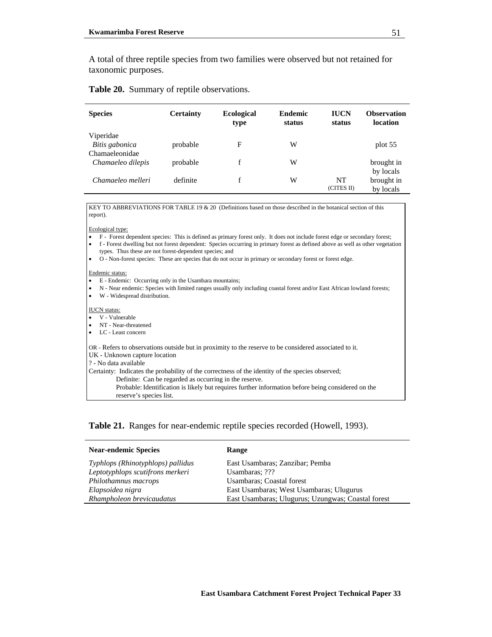A total of three reptile species from two families were observed but not retained for taxonomic purposes.

### **Table 20.** Summary of reptile observations.

| <b>Species</b>    | <b>Certainty</b> | <b>Ecological</b><br>type | <b>Endemic</b><br>status | <b>IUCN</b><br>status | <b>Observation</b><br>location |
|-------------------|------------------|---------------------------|--------------------------|-----------------------|--------------------------------|
| Viperidae         |                  |                           |                          |                       |                                |
| Bitis gabonica    | probable         | F                         | W                        |                       | plot 55                        |
| Chamaeleonidae    |                  |                           |                          |                       |                                |
| Chamaeleo dilepis | probable         |                           | W                        |                       | brought in                     |
|                   |                  |                           |                          |                       | by locals                      |
| Chamaeleo melleri | definite         | f                         | W                        | NT                    | brought in                     |
|                   |                  |                           |                          | (CITES II)            | by locals                      |

KEY TO ABBREVIATIONS FOR TABLE 19 & 20 (Definitions based on those described in the botanical section of this report).

Ecological type:

- F Forest dependent species: This is defined as primary forest only. It does not include forest edge or secondary forest;
- f Forest dwelling but not forest dependent: Species occurring in primary forest as defined above as well as other vegetation types. Thus these are not forest-dependent species; and
- O Non-forest species: These are species that do not occur in primary or secondary forest or forest edge.

#### Endemic status:

- E Endemic: Occurring only in the Usambara mountains;
- N Near endemic: Species with limited ranges usually only including coastal forest and/or East African lowland forests;
- W Widespread distribution.

#### IUCN status:

- V Vulnerable
- NT Near-threatened
- LC Least concern

OR - Refers to observations outside but in proximity to the reserve to be considered associated to it.

UK - Unknown capture location

? - No data available

Certainty: Indicates the probability of the correctness of the identity of the species observed;

Definite: Can be regarded as occurring in the reserve.

 Probable: Identification is likely but requires further information before being considered on the reserve's species list.

**Table 21.** Ranges for near-endemic reptile species recorded (Howell, 1993).

| <b>Near-endemic Species</b>       | Range                                              |
|-----------------------------------|----------------------------------------------------|
| Typhlops (Rhinotyphlops) pallidus | East Usambaras; Zanzibar; Pemba                    |
| Leptotyphlops scutifrons merkeri  | Usambaras; ???                                     |
| Philothamnus macrops              | Usambaras; Coastal forest                          |
| Elapsoidea nigra                  | East Usambaras; West Usambaras; Ulugurus           |
| Rhampholeon brevicaudatus         | East Usambaras; Ulugurus; Uzungwas; Coastal forest |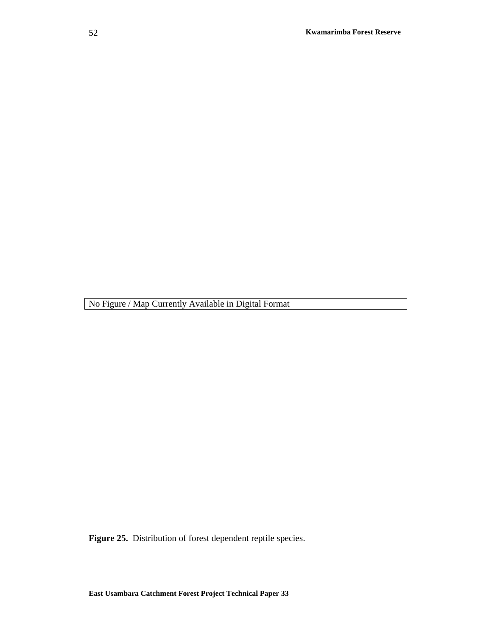**Figure 25.** Distribution of forest dependent reptile species.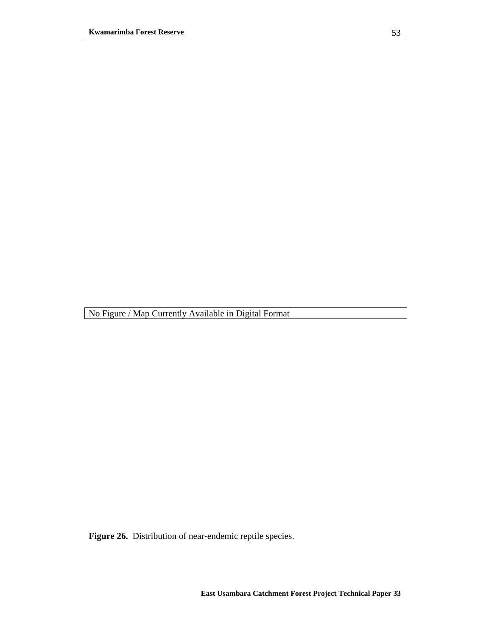**Figure 26.** Distribution of near-endemic reptile species.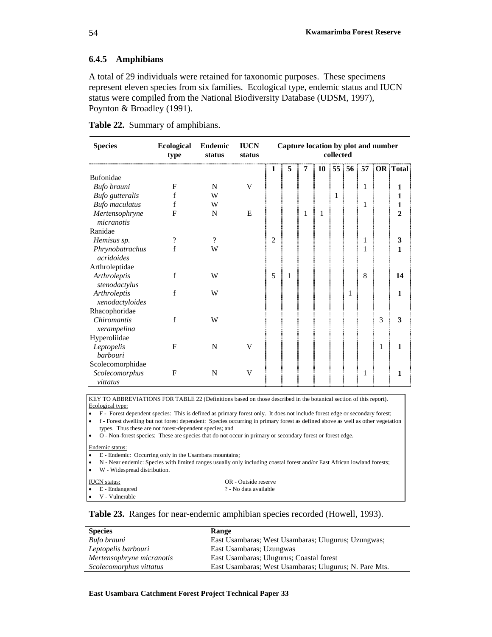### **6.4.5 Amphibians**

A total of 29 individuals were retained for taxonomic purposes. These specimens represent eleven species from six families. Ecological type, endemic status and IUCN status were compiled from the National Biodiversity Database (UDSM, 1997), Poynton & Broadley (1991).

|  |  |  | Table 22. Summary of amphibians. |
|--|--|--|----------------------------------|
|--|--|--|----------------------------------|

| <b>Species</b>                    | <b>Ecological</b><br>type | Endemic<br>status | <b>IUCN</b><br>status | Capture location by plot and number<br>collected |   |   |   |  |   |   |                             |
|-----------------------------------|---------------------------|-------------------|-----------------------|--------------------------------------------------|---|---|---|--|---|---|-----------------------------|
|                                   |                           |                   |                       | 1                                                | 5 | 7 |   |  |   |   | 10 55 56 57 OR Total        |
| Bufonidae                         |                           |                   |                       |                                                  |   |   |   |  |   |   |                             |
| Bufo brauni                       | F                         | N                 | V                     |                                                  |   |   |   |  | 1 |   | 1                           |
| <b>Bufo</b> gutteralis            | f                         | W                 |                       |                                                  |   |   |   |  |   |   | 1                           |
| <b>Bufo</b> maculatus             | f                         | W                 |                       |                                                  |   |   |   |  | 1 |   | 1                           |
| Mertensophryne<br>micranotis      | F                         | N                 | E                     |                                                  |   | 1 | 1 |  |   |   | $\mathcal{D}_{\mathcal{L}}$ |
| Ranidae                           |                           |                   |                       |                                                  |   |   |   |  |   |   |                             |
| Hemisus sp.                       | $\overline{\mathcal{L}}$  | $\gamma$          |                       | $\overline{c}$                                   |   |   |   |  | 1 |   | 3                           |
| Phrynobatrachus<br>acridoides     | f                         | W                 |                       |                                                  |   |   |   |  | 1 |   | 1                           |
| Arthroleptidae                    |                           |                   |                       |                                                  |   |   |   |  |   |   |                             |
| Arthroleptis<br>stenodactylus     | f                         | W                 |                       | 5                                                |   |   |   |  | 8 |   | 14                          |
| Arthroleptis<br>xenodactyloides   | f                         | W                 |                       |                                                  |   |   |   |  |   |   | 1                           |
| Rhacophoridae                     |                           |                   |                       |                                                  |   |   |   |  |   |   |                             |
| <b>Chiromantis</b><br>xerampelina | $\mathbf f$               | W                 |                       |                                                  |   |   |   |  |   | 3 | 3                           |
| Hyperoliidae                      |                           |                   |                       |                                                  |   |   |   |  |   |   |                             |
| Leptopelis<br><i>barbouri</i>     | F                         | N                 | v                     |                                                  |   |   |   |  |   |   | 1                           |
| Scolecomorphidae                  |                           |                   |                       |                                                  |   |   |   |  |   |   |                             |
| Scolecomorphus<br>vittatus        | F                         | N                 | V                     |                                                  |   |   |   |  | 1 |   | 1                           |

• F - Forest dependent species: This is defined as primary forest only. It does not include forest edge or secondary forest;

• f - Forest dwelling but not forest dependent: Species occurring in primary forest as defined above as well as other vegetation types. Thus these are not forest-dependent species; and

• O - Non-forest species: These are species that do not occur in primary or secondary forest or forest edge.

Endemic status:

- E Endemic: Occurring only in the Usambara mountains;
- N Near endemic: Species with limited ranges usually only including coastal forest and/or East African lowland forests;
- W Widespread distribution.

| <b>IUCN</b> status:      | OR - Outside reserve  |
|--------------------------|-----------------------|
| $\bullet$ E - Endangered | ? - No data available |
| $\bullet$ V - Vulnerable |                       |

### **Table 23.** Ranges for near-endemic amphibian species recorded (Howell, 1993).

| <b>Species</b>            | Range                                                  |
|---------------------------|--------------------------------------------------------|
| Bufo brauni               | East Usambaras; West Usambaras; Ulugurus; Uzungwas;    |
| Leptopelis barbouri       | East Usambaras; Uzungwas                               |
| Mertensophryne micranotis | East Usambaras; Ulugurus; Coastal forest               |
| Scolecomorphus vittatus   | East Usambaras; West Usambaras; Ulugurus; N. Pare Mts. |
|                           |                                                        |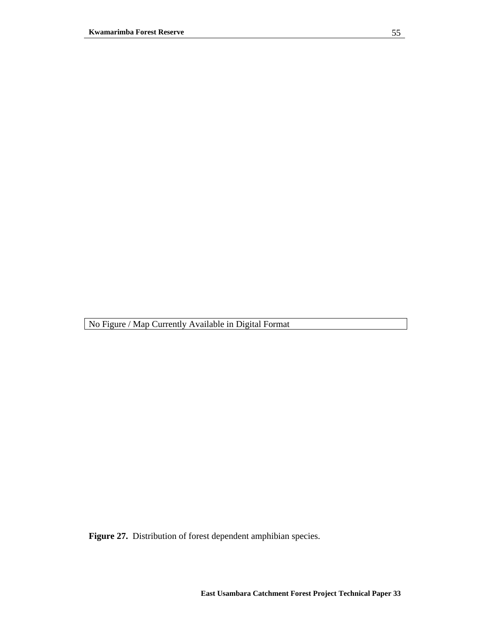**Figure 27.** Distribution of forest dependent amphibian species.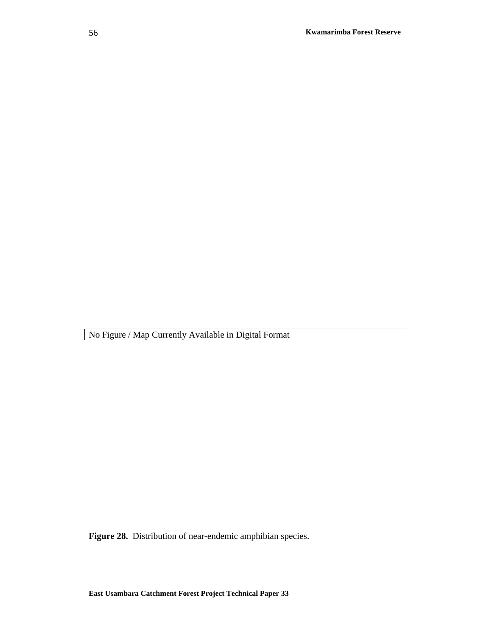**Figure 28.** Distribution of near-endemic amphibian species.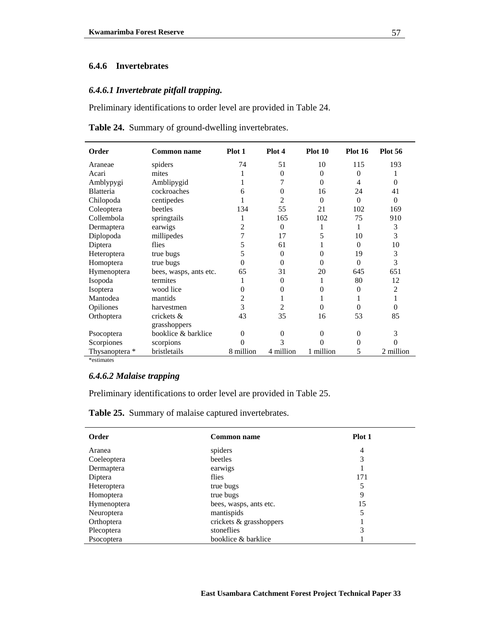## **6.4.6 Invertebrates**

### *6.4.6.1 Invertebrate pitfall trapping.*

Preliminary identifications to order level are provided in Table 24.

**Table 24.** Summary of ground-dwelling invertebrates.

| <b>Order</b>     | <b>Common name</b>     | Plot 1    | Plot 4    | Plot 10   | <b>Plot 16</b> | <b>Plot 56</b> |
|------------------|------------------------|-----------|-----------|-----------|----------------|----------------|
| Araneae          | spiders                | 74        | 51        | 10        | 115            | 193            |
| Acari            | mites                  |           | $\Omega$  | $\Omega$  | $\overline{0}$ |                |
| Amblypygi        | Amblipygid             |           | 7         | $\Omega$  | 4              | $\Omega$       |
| <b>Blatteria</b> | cockroaches            | 6         | $\Omega$  | 16        | 24             | 41             |
| Chilopoda        | centipedes             |           | 2         | $\Omega$  | $\Omega$       | $\Omega$       |
| Coleoptera       | beetles                | 134       | 55        | 21        | 102            | 169            |
| Collembola       | springtails            |           | 165       | 102       | 75             | 910            |
| Dermaptera       | earwigs                | 2         | $\Omega$  | 1         | 1              | 3              |
| Diplopoda        | millipedes             | 7         | 17        | 5         | 10             | 3              |
| Diptera          | flies                  | 5         | 61        |           | $\theta$       | 10             |
| Heteroptera      | true bugs              | 5         | $\Omega$  | $\Omega$  | 19             | 3              |
| Homoptera        | true bugs              | $\Omega$  | $\Omega$  | $\theta$  | $\Omega$       | 3              |
| Hymenoptera      | bees, wasps, ants etc. | 65        | 31        | 20        | 645            | 651            |
| Isopoda          | termites               |           | 0         |           | 80             | 12             |
| Isoptera         | wood lice              | 0         | 0         | $\Omega$  | $\overline{0}$ | 2              |
| Mantodea         | mantids                | 2         |           |           |                | 1              |
| Opiliones        | harvestmen             | 3         | 2         | $\Omega$  | $\theta$       | $\theta$       |
| Orthoptera       | crickets &             | 43        | 35        | 16        | 53             | 85             |
|                  | grasshoppers           |           |           |           |                |                |
| Psocoptera       | booklice & barklice    | $\theta$  | $\Omega$  | $\theta$  | $\mathbf{0}$   | 3              |
| Scorpiones       | scorpions              | 0         | 3         | 0         | 0              |                |
| Thysanoptera *   | bristletails           | 8 million | 4 million | 1 million | 5              | 2 million      |

\*estimates

### *6.4.6.2 Malaise trapping*

Preliminary identifications to order level are provided in Table 25.

**Table 25.** Summary of malaise captured invertebrates.

| Order             | <b>Common name</b>      | Plot 1         |
|-------------------|-------------------------|----------------|
| Aranea            | spiders                 | $\overline{4}$ |
| Coeleoptera       | beetles                 | 3              |
| Dermaptera        | earwigs                 |                |
| Diptera           | flies                   | 171            |
| Heteroptera       | true bugs               | 5              |
| Homoptera         | true bugs               | 9              |
| Hymenoptera       | bees, wasps, ants etc.  | 15             |
| <b>Neuroptera</b> | mantispids              | 5              |
| Orthoptera        | crickets & grasshoppers |                |
| Plecoptera        | stoneflies              | 3              |
| Psocoptera        | booklice & barklice     |                |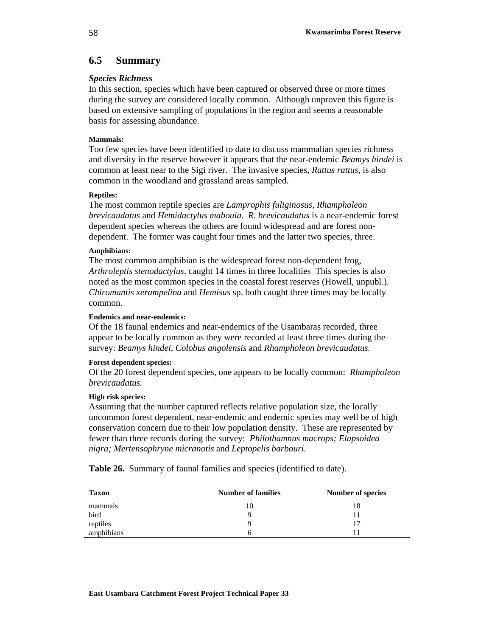## **6.5 Summary**

### *Species Richness*

In this section, species which have been captured or observed three or more times during the survey are considered locally common. Although unproven this figure is based on extensive sampling of populations in the region and seems a reasonable basis for assessing abundance.

### **Mammals:**

Too few species have been identified to date to discuss mammalian species richness and diversity in the reserve however it appears that the near-endemic *Beamys hindei* is common at least near to the Sigi river. The invasive species, *Rattus rattus*, is also common in the woodland and grassland areas sampled.

### **Reptiles:**

The most common reptile species are *Lamprophis fuliginosus, Rhampholeon brevicaudatus* and *Hemidactylus mabouia*. *R. brevicaudatus* is a near-endemic forest dependent species whereas the others are found widespread and are forest nondependent. The former was caught four times and the latter two species, three.

### **Amphibians:**

The most common amphibian is the widespread forest non-dependent frog, *Arthroleptis stenodactylus,* caught 14 times in three localities This species is also noted as the most common species in the coastal forest reserves (Howell, unpubl.). *Chiromantis xerampelina* and *Hemisus* sp. both caught three times may be locally common.

#### **Endemics and near-endemics:**

Of the 18 faunal endemics and near-endemics of the Usambaras recorded, three appear to be locally common as they were recorded at least three times during the survey: *Beamys hindei, Colobus angolensis* and *Rhampholeon brevicaudatus.*

### **Forest dependent species:**

Of the 20 forest dependent species, one appears to be locally common: *Rhampholeon brevicaudatus.*

#### **High risk species:**

Assuming that the number captured reflects relative population size, the locally uncommon forest dependent, near-endemic and endemic species may well be of high conservation concern due to their low population density. These are represented by fewer than three records during the survey: *Philothamnus macrops; Elapsoidea nigra; Mertensophryne micranotis* and *Leptopelis barbouri.*

**Table 26.** Summary of faunal families and species (identified to date).

| <b>Taxon</b> | <b>Number of families</b> | Number of species |
|--------------|---------------------------|-------------------|
| mammals      | 10                        | 18                |
| bird         | Q                         |                   |
| reptiles     |                           |                   |
| amphibians   | h                         |                   |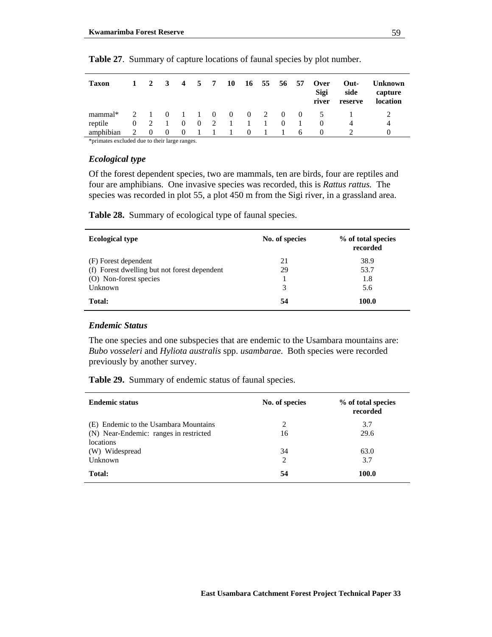| <b>Taxon</b> |                     | $1 \t2 \t3 \t4 \t5 \t7$ |            |          | <b>10</b> |                  | 16 55 56 57 |                |          | <b>Over</b><br>Sigi<br>river | Out-<br>side<br>reserve | <b>Unknown</b><br>capture<br>location |
|--------------|---------------------|-------------------------|------------|----------|-----------|------------------|-------------|----------------|----------|------------------------------|-------------------------|---------------------------------------|
| mammal*      |                     |                         |            |          |           |                  |             |                |          | 2 1 0 1 1 0 0 0 2 0 0 5      |                         |                                       |
| reptile      | $0 \quad 2 \quad 1$ |                         | $0\quad 0$ |          | 2 1       | $\sim$ 1 $\sim$  | $\sim$ 1.   | $\overline{0}$ | $\sim$ 1 |                              |                         | 4                                     |
| amphibian    | $\Omega$            | $\Omega$                | $\theta$   | $\sim$ 1 |           | $\left( \right)$ |             | $\overline{1}$ | 6        |                              |                         |                                       |

**Table 27**. Summary of capture locations of faunal species by plot number.

\*primates excluded due to their large ranges.

#### *Ecological type*

Of the forest dependent species, two are mammals, ten are birds, four are reptiles and four are amphibians. One invasive species was recorded, this is *Rattus rattus.* The species was recorded in plot 55, a plot 450 m from the Sigi river, in a grassland area.

**Table 28.** Summary of ecological type of faunal species.

| <b>Ecological type</b>                       | No. of species | % of total species<br>recorded |
|----------------------------------------------|----------------|--------------------------------|
| (F) Forest dependent                         | 21             | 38.9                           |
| (f) Forest dwelling but not forest dependent | 29             | 53.7                           |
| (O) Non-forest species                       |                | 1.8                            |
| Unknown                                      | 3              | 5.6                            |
| Total:                                       | 54             | 100.0                          |

#### *Endemic Status*

The one species and one subspecies that are endemic to the Usambara mountains are: *Bubo vosseleri* and *Hyliota australis* spp. *usambarae*. Both species were recorded previously by another survey.

**Table 29.** Summary of endemic status of faunal species.

| <b>Endemic status</b>                  | No. of species | % of total species<br>recorded |
|----------------------------------------|----------------|--------------------------------|
| (E) Endemic to the Usambara Mountains  | 2              | 3.7                            |
| (N) Near-Endemic: ranges in restricted | 16             | 29.6                           |
| locations                              |                |                                |
| (W) Widespread                         | 34             | 63.0                           |
| Unknown                                | 2              | 3.7                            |
| Total:                                 | 54             | 100.0                          |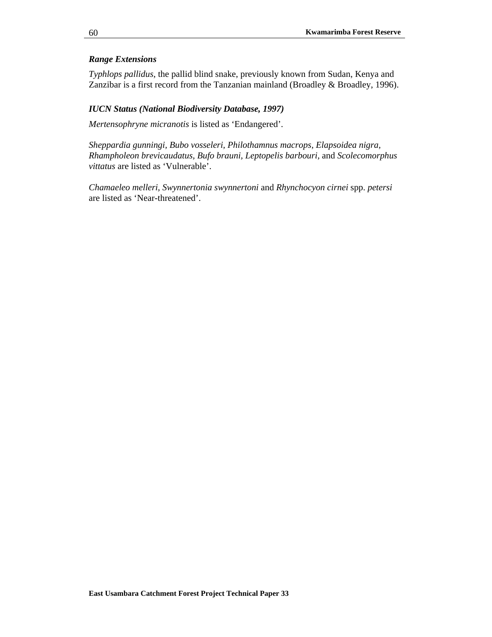## *Range Extensions*

*Typhlops pallidus*, the pallid blind snake, previously known from Sudan, Kenya and Zanzibar is a first record from the Tanzanian mainland (Broadley & Broadley, 1996).

#### *IUCN Status (National Biodiversity Database, 1997)*

*Mertensophryne micranotis* is listed as 'Endangered'.

*Sheppardia gunningi, Bubo vosseleri, Philothamnus macrops, Elapsoidea nigra, Rhampholeon brevicaudatus, Bufo brauni, Leptopelis barbouri,* and *Scolecomorphus vittatus* are listed as 'Vulnerable'.

*Chamaeleo melleri, Swynnertonia swynnertoni* and *Rhynchocyon cirnei* spp. *petersi*  are listed as 'Near-threatened'.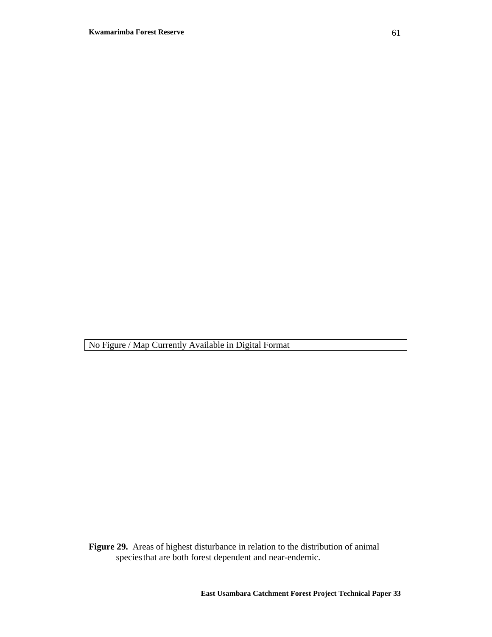No Figure / Map Currently Available in Digital Format

**Figure 29.** Areas of highest disturbance in relation to the distribution of animal species that are both forest dependent and near-endemic.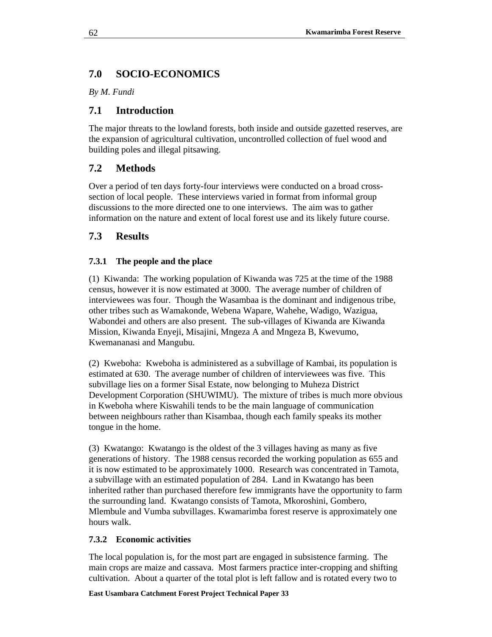# **7.0 SOCIO-ECONOMICS**

*By M. Fundi*

# **7.1 Introduction**

The major threats to the lowland forests, both inside and outside gazetted reserves, are the expansion of agricultural cultivation, uncontrolled collection of fuel wood and building poles and illegal pitsawing.

# **7.2 Methods**

Over a period of ten days forty-four interviews were conducted on a broad crosssection of local people. These interviews varied in format from informal group discussions to the more directed one to one interviews. The aim was to gather information on the nature and extent of local forest use and its likely future course.

# **7.3 Results**

# **7.3.1 The people and the place**

(1) Kiwanda: The working population of Kiwanda was 725 at the time of the 1988 census, however it is now estimated at 3000. The average number of children of interviewees was four. Though the Wasambaa is the dominant and indigenous tribe, other tribes such as Wamakonde, Webena Wapare, Wahehe, Wadigo, Wazigua, Wabondei and others are also present. The sub-villages of Kiwanda are Kiwanda Mission, Kiwanda Enyeji, Misajini, Mngeza A and Mngeza B, Kwevumo, Kwemananasi and Mangubu.

(2) Kweboha: Kweboha is administered as a subvillage of Kambai, its population is estimated at 630. The average number of children of interviewees was five. This subvillage lies on a former Sisal Estate, now belonging to Muheza District Development Corporation (SHUWIMU). The mixture of tribes is much more obvious in Kweboha where Kiswahili tends to be the main language of communication between neighbours rather than Kisambaa, though each family speaks its mother tongue in the home.

(3) Kwatango: Kwatango is the oldest of the 3 villages having as many as five generations of history. The 1988 census recorded the working population as 655 and it is now estimated to be approximately 1000. Research was concentrated in Tamota, a subvillage with an estimated population of 284. Land in Kwatango has been inherited rather than purchased therefore few immigrants have the opportunity to farm the surrounding land. Kwatango consists of Tamota, Mkoroshini, Gombero, Mlembule and Vumba subvillages. Kwamarimba forest reserve is approximately one hours walk.

# **7.3.2 Economic activities**

The local population is, for the most part are engaged in subsistence farming. The main crops are maize and cassava. Most farmers practice inter-cropping and shifting cultivation. About a quarter of the total plot is left fallow and is rotated every two to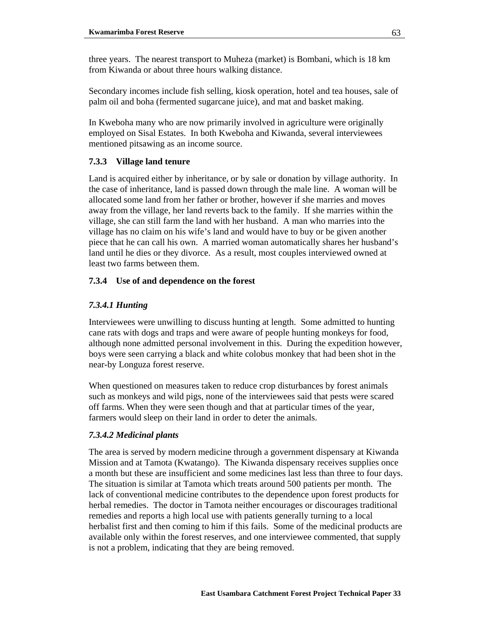three years. The nearest transport to Muheza (market) is Bombani, which is 18 km from Kiwanda or about three hours walking distance.

Secondary incomes include fish selling, kiosk operation, hotel and tea houses, sale of palm oil and boha (fermented sugarcane juice), and mat and basket making.

In Kweboha many who are now primarily involved in agriculture were originally employed on Sisal Estates. In both Kweboha and Kiwanda, several interviewees mentioned pitsawing as an income source.

## **7.3.3 Village land tenure**

Land is acquired either by inheritance, or by sale or donation by village authority. In the case of inheritance, land is passed down through the male line. A woman will be allocated some land from her father or brother, however if she marries and moves away from the village, her land reverts back to the family. If she marries within the village, she can still farm the land with her husband. A man who marries into the village has no claim on his wife's land and would have to buy or be given another piece that he can call his own. A married woman automatically shares her husband's land until he dies or they divorce. As a result, most couples interviewed owned at least two farms between them.

## **7.3.4 Use of and dependence on the forest**

## *7.3.4.1 Hunting*

Interviewees were unwilling to discuss hunting at length. Some admitted to hunting cane rats with dogs and traps and were aware of people hunting monkeys for food, although none admitted personal involvement in this. During the expedition however, boys were seen carrying a black and white colobus monkey that had been shot in the near-by Longuza forest reserve.

When questioned on measures taken to reduce crop disturbances by forest animals such as monkeys and wild pigs, none of the interviewees said that pests were scared off farms. When they were seen though and that at particular times of the year, farmers would sleep on their land in order to deter the animals.

## *7.3.4.2 Medicinal plants*

The area is served by modern medicine through a government dispensary at Kiwanda Mission and at Tamota (Kwatango). The Kiwanda dispensary receives supplies once a month but these are insufficient and some medicines last less than three to four days. The situation is similar at Tamota which treats around 500 patients per month. The lack of conventional medicine contributes to the dependence upon forest products for herbal remedies. The doctor in Tamota neither encourages or discourages traditional remedies and reports a high local use with patients generally turning to a local herbalist first and then coming to him if this fails. Some of the medicinal products are available only within the forest reserves, and one interviewee commented, that supply is not a problem, indicating that they are being removed.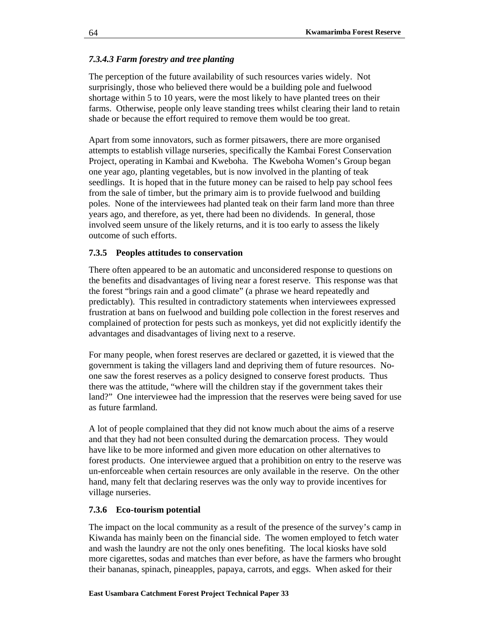## *7.3.4.3 Farm forestry and tree planting*

The perception of the future availability of such resources varies widely. Not surprisingly, those who believed there would be a building pole and fuelwood shortage within 5 to 10 years, were the most likely to have planted trees on their farms. Otherwise, people only leave standing trees whilst clearing their land to retain shade or because the effort required to remove them would be too great.

Apart from some innovators, such as former pitsawers, there are more organised attempts to establish village nurseries, specifically the Kambai Forest Conservation Project, operating in Kambai and Kweboha. The Kweboha Women's Group began one year ago, planting vegetables, but is now involved in the planting of teak seedlings. It is hoped that in the future money can be raised to help pay school fees from the sale of timber, but the primary aim is to provide fuelwood and building poles. None of the interviewees had planted teak on their farm land more than three years ago, and therefore, as yet, there had been no dividends. In general, those involved seem unsure of the likely returns, and it is too early to assess the likely outcome of such efforts.

## **7.3.5 Peoples attitudes to conservation**

There often appeared to be an automatic and unconsidered response to questions on the benefits and disadvantages of living near a forest reserve. This response was that the forest "brings rain and a good climate" (a phrase we heard repeatedly and predictably). This resulted in contradictory statements when interviewees expressed frustration at bans on fuelwood and building pole collection in the forest reserves and complained of protection for pests such as monkeys, yet did not explicitly identify the advantages and disadvantages of living next to a reserve.

For many people, when forest reserves are declared or gazetted, it is viewed that the government is taking the villagers land and depriving them of future resources. Noone saw the forest reserves as a policy designed to conserve forest products. Thus there was the attitude, "where will the children stay if the government takes their land?" One interviewee had the impression that the reserves were being saved for use as future farmland.

A lot of people complained that they did not know much about the aims of a reserve and that they had not been consulted during the demarcation process. They would have like to be more informed and given more education on other alternatives to forest products. One interviewee argued that a prohibition on entry to the reserve was un-enforceable when certain resources are only available in the reserve. On the other hand, many felt that declaring reserves was the only way to provide incentives for village nurseries.

## **7.3.6 Eco-tourism potential**

The impact on the local community as a result of the presence of the survey's camp in Kiwanda has mainly been on the financial side. The women employed to fetch water and wash the laundry are not the only ones benefiting. The local kiosks have sold more cigarettes, sodas and matches than ever before, as have the farmers who brought their bananas, spinach, pineapples, papaya, carrots, and eggs. When asked for their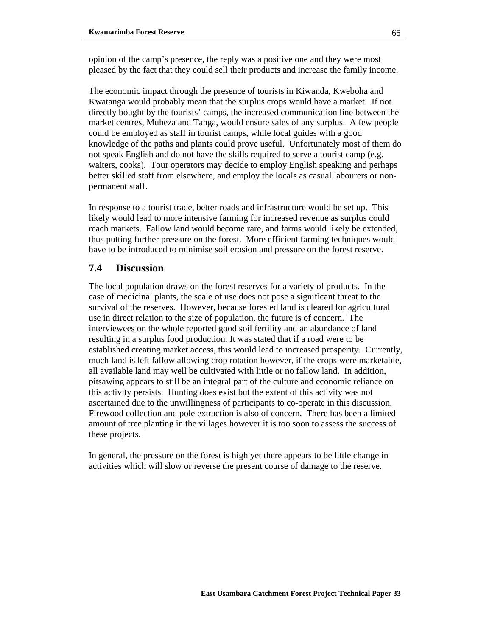opinion of the camp's presence, the reply was a positive one and they were most pleased by the fact that they could sell their products and increase the family income.

The economic impact through the presence of tourists in Kiwanda, Kweboha and Kwatanga would probably mean that the surplus crops would have a market. If not directly bought by the tourists' camps, the increased communication line between the market centres, Muheza and Tanga, would ensure sales of any surplus. A few people could be employed as staff in tourist camps, while local guides with a good knowledge of the paths and plants could prove useful. Unfortunately most of them do not speak English and do not have the skills required to serve a tourist camp (e.g. waiters, cooks). Tour operators may decide to employ English speaking and perhaps better skilled staff from elsewhere, and employ the locals as casual labourers or nonpermanent staff.

In response to a tourist trade, better roads and infrastructure would be set up. This likely would lead to more intensive farming for increased revenue as surplus could reach markets. Fallow land would become rare, and farms would likely be extended, thus putting further pressure on the forest. More efficient farming techniques would have to be introduced to minimise soil erosion and pressure on the forest reserve.

# **7.4 Discussion**

The local population draws on the forest reserves for a variety of products. In the case of medicinal plants, the scale of use does not pose a significant threat to the survival of the reserves. However, because forested land is cleared for agricultural use in direct relation to the size of population, the future is of concern. The interviewees on the whole reported good soil fertility and an abundance of land resulting in a surplus food production. It was stated that if a road were to be established creating market access, this would lead to increased prosperity. Currently, much land is left fallow allowing crop rotation however, if the crops were marketable, all available land may well be cultivated with little or no fallow land. In addition, pitsawing appears to still be an integral part of the culture and economic reliance on this activity persists. Hunting does exist but the extent of this activity was not ascertained due to the unwillingness of participants to co-operate in this discussion. Firewood collection and pole extraction is also of concern. There has been a limited amount of tree planting in the villages however it is too soon to assess the success of these projects.

In general, the pressure on the forest is high yet there appears to be little change in activities which will slow or reverse the present course of damage to the reserve.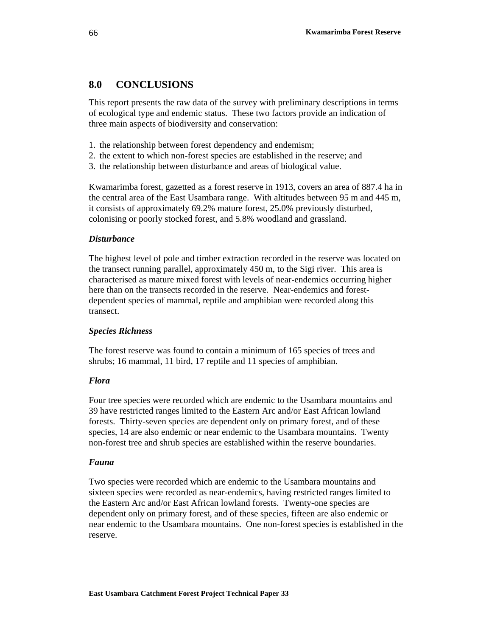# **8.0 CONCLUSIONS**

This report presents the raw data of the survey with preliminary descriptions in terms of ecological type and endemic status. These two factors provide an indication of three main aspects of biodiversity and conservation:

- 1. the relationship between forest dependency and endemism;
- 2. the extent to which non-forest species are established in the reserve; and
- 3. the relationship between disturbance and areas of biological value.

Kwamarimba forest, gazetted as a forest reserve in 1913, covers an area of 887.4 ha in the central area of the East Usambara range. With altitudes between 95 m and 445 m, it consists of approximately 69.2% mature forest, 25.0% previously disturbed, colonising or poorly stocked forest, and 5.8% woodland and grassland.

#### *Disturbance*

The highest level of pole and timber extraction recorded in the reserve was located on the transect running parallel, approximately 450 m, to the Sigi river. This area is characterised as mature mixed forest with levels of near-endemics occurring higher here than on the transects recorded in the reserve. Near-endemics and forestdependent species of mammal, reptile and amphibian were recorded along this transect.

#### *Species Richness*

The forest reserve was found to contain a minimum of 165 species of trees and shrubs; 16 mammal, 11 bird, 17 reptile and 11 species of amphibian.

#### *Flora*

Four tree species were recorded which are endemic to the Usambara mountains and 39 have restricted ranges limited to the Eastern Arc and/or East African lowland forests. Thirty-seven species are dependent only on primary forest, and of these species, 14 are also endemic or near endemic to the Usambara mountains. Twenty non-forest tree and shrub species are established within the reserve boundaries.

#### *Fauna*

Two species were recorded which are endemic to the Usambara mountains and sixteen species were recorded as near-endemics, having restricted ranges limited to the Eastern Arc and/or East African lowland forests. Twenty-one species are dependent only on primary forest, and of these species, fifteen are also endemic or near endemic to the Usambara mountains. One non-forest species is established in the reserve.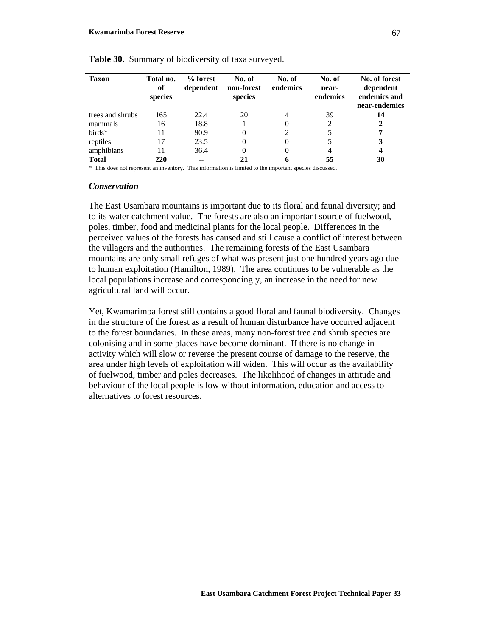| <b>Taxon</b>     | Total no.<br>of<br>species | % forest<br>dependent | No. of<br>non-forest<br>species | No. of<br>endemics | No. of<br>near-<br>endemics | No. of forest<br>dependent<br>endemics and<br>near-endemics |
|------------------|----------------------------|-----------------------|---------------------------------|--------------------|-----------------------------|-------------------------------------------------------------|
| trees and shrubs | 165                        | 22.4                  | 20                              | 4                  | 39                          | 14                                                          |
| mammals          | 16                         | 18.8                  |                                 |                    |                             |                                                             |
| $birds*$         | 11                         | 90.9                  | 0                               |                    |                             |                                                             |
| reptiles         | 17                         | 23.5                  | 0                               | $\theta$           |                             | 3                                                           |
| amphibians       |                            | 36.4                  | 0                               | $_{0}$             | 4                           | 4                                                           |
| <b>Total</b>     | 220                        | $-$                   |                                 | o                  | 55                          | 30                                                          |

#### **Table 30.** Summary of biodiversity of taxa surveyed.

\* This does not represent an inventory. This information is limited to the important species discussed.

#### *Conservation*

The East Usambara mountains is important due to its floral and faunal diversity; and to its water catchment value. The forests are also an important source of fuelwood, poles, timber, food and medicinal plants for the local people. Differences in the perceived values of the forests has caused and still cause a conflict of interest between the villagers and the authorities. The remaining forests of the East Usambara mountains are only small refuges of what was present just one hundred years ago due to human exploitation (Hamilton, 1989). The area continues to be vulnerable as the local populations increase and correspondingly, an increase in the need for new agricultural land will occur.

Yet, Kwamarimba forest still contains a good floral and faunal biodiversity. Changes in the structure of the forest as a result of human disturbance have occurred adjacent to the forest boundaries. In these areas, many non-forest tree and shrub species are colonising and in some places have become dominant. If there is no change in activity which will slow or reverse the present course of damage to the reserve, the area under high levels of exploitation will widen. This will occur as the availability of fuelwood, timber and poles decreases. The likelihood of changes in attitude and behaviour of the local people is low without information, education and access to alternatives to forest resources.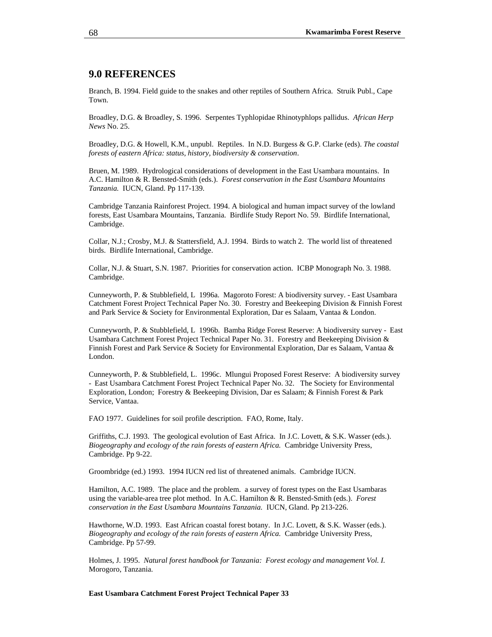## **9.0 REFERENCES**

Branch, B. 1994. Field guide to the snakes and other reptiles of Southern Africa. Struik Publ., Cape Town.

Broadley, D.G. & Broadley, S. 1996. Serpentes Typhlopidae Rhinotyphlops pallidus. *African Herp News* No. 25.

Broadley, D.G. & Howell, K.M., unpubl. Reptiles. In N.D. Burgess & G.P. Clarke (eds). *The coastal forests of eastern Africa: status, history, biodiversity & conservation*.

Bruen, M. 1989. Hydrological considerations of development in the East Usambara mountains. In A.C. Hamilton & R. Bensted-Smith (eds.). *Forest conservation in the East Usambara Mountains Tanzania.* IUCN, Gland. Pp 117-139.

Cambridge Tanzania Rainforest Project. 1994. A biological and human impact survey of the lowland forests, East Usambara Mountains, Tanzania. Birdlife Study Report No. 59. Birdlife International, Cambridge.

Collar, N.J.; Crosby, M.J. & Stattersfield, A.J. 1994. Birds to watch 2. The world list of threatened birds. Birdlife International, Cambridge.

Collar, N.J. & Stuart, S.N. 1987. Priorities for conservation action. ICBP Monograph No. 3. 1988. Cambridge.

Cunneyworth, P. & Stubblefield, L 1996a. Magoroto Forest: A biodiversity survey. - East Usambara Catchment Forest Project Technical Paper No. 30. Forestry and Beekeeping Division & Finnish Forest and Park Service & Society for Environmental Exploration, Dar es Salaam, Vantaa & London.

Cunneyworth, P. & Stubblefield, L 1996b. Bamba Ridge Forest Reserve: A biodiversity survey - East Usambara Catchment Forest Project Technical Paper No. 31. Forestry and Beekeeping Division & Finnish Forest and Park Service & Society for Environmental Exploration, Dar es Salaam, Vantaa & London.

Cunneyworth, P. & Stubblefield, L. 1996c. Mlungui Proposed Forest Reserve: A biodiversity survey - East Usambara Catchment Forest Project Technical Paper No. 32. The Society for Environmental Exploration, London; Forestry & Beekeeping Division, Dar es Salaam; & Finnish Forest & Park Service, Vantaa.

FAO 1977. Guidelines for soil profile description. FAO, Rome, Italy.

Griffiths, C.J. 1993. The geological evolution of East Africa. In J.C. Lovett, & S.K. Wasser (eds.). *Biogeography and ecology of the rain forests of eastern Africa.* Cambridge University Press, Cambridge. Pp 9-22.

Groombridge (ed.) 1993. 1994 IUCN red list of threatened animals. Cambridge IUCN.

Hamilton, A.C. 1989. The place and the problem. a survey of forest types on the East Usambaras using the variable-area tree plot method. In A.C. Hamilton & R. Bensted-Smith (eds.). *Forest conservation in the East Usambara Mountains Tanzania.* IUCN, Gland. Pp 213-226.

Hawthorne, W.D. 1993. East African coastal forest botany. In J.C. Lovett, & S.K. Wasser (eds.). *Biogeography and ecology of the rain forests of eastern Africa.* Cambridge University Press, Cambridge. Pp 57-99.

Holmes, J. 1995. *Natural forest handbook for Tanzania: Forest ecology and management Vol. I.* Morogoro, Tanzania.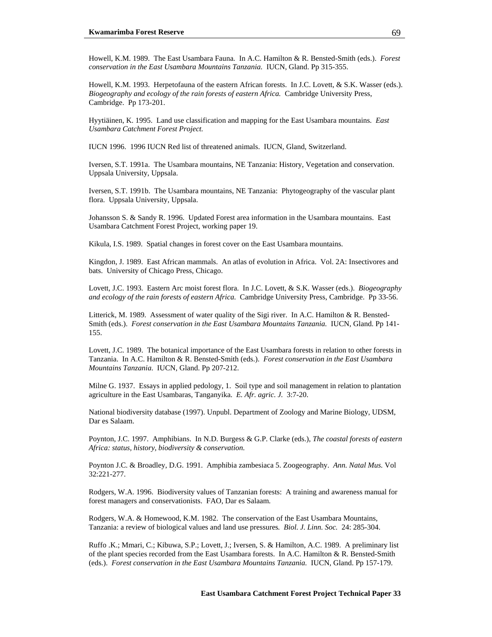Howell, K.M. 1989. The East Usambara Fauna*.* In A.C. Hamilton & R. Bensted-Smith (eds.). *Forest conservation in the East Usambara Mountains Tanzania.* IUCN, Gland. Pp 315-355.

Howell, K.M. 1993. Herpetofauna of the eastern African forests. In J.C. Lovett, & S.K. Wasser (eds.). *Biogeography and ecology of the rain forests of eastern Africa.* Cambridge University Press, Cambridge. Pp 173-201.

Hyytiäinen, K. 1995. Land use classification and mapping for the East Usambara mountains. *East Usambara Catchment Forest Project.* 

IUCN 1996. 1996 IUCN Red list of threatened animals. IUCN, Gland, Switzerland.

Iversen, S.T. 1991a. The Usambara mountains, NE Tanzania: History, Vegetation and conservation. Uppsala University, Uppsala.

Iversen, S.T. 1991b. The Usambara mountains, NE Tanzania: Phytogeography of the vascular plant flora. Uppsala University, Uppsala.

Johansson S. & Sandy R. 1996. Updated Forest area information in the Usambara mountains. East Usambara Catchment Forest Project, working paper 19.

Kikula, I.S. 1989. Spatial changes in forest cover on the East Usambara mountains.

Kingdon, J. 1989. East African mammals. An atlas of evolution in Africa. Vol. 2A: Insectivores and bats. University of Chicago Press, Chicago.

Lovett, J.C. 1993. Eastern Arc moist forest flora. In J.C. Lovett, & S.K. Wasser (eds.). *Biogeography and ecology of the rain forests of eastern Africa.* Cambridge University Press, Cambridge. Pp 33-56.

Litterick, M. 1989. Assessment of water quality of the Sigi river. In A.C. Hamilton & R. Bensted-Smith (eds.). *Forest conservation in the East Usambara Mountains Tanzania.* IUCN, Gland. Pp 141- 155.

Lovett, J.C. 1989. The botanical importance of the East Usambara forests in relation to other forests in Tanzania. In A.C. Hamilton & R. Bensted-Smith (eds.). *Forest conservation in the East Usambara Mountains Tanzania.* IUCN, Gland. Pp 207-212.

Milne G. 1937. Essays in applied pedology, 1. Soil type and soil management in relation to plantation agriculture in the East Usambaras, Tanganyika. *E. Afr. agric. J.* 3:7-20.

National biodiversity database (1997). Unpubl. Department of Zoology and Marine Biology, UDSM, Dar es Salaam.

Poynton, J.C. 1997. Amphibians. In N.D. Burgess & G.P. Clarke (eds.), *The coastal forests of eastern Africa: status, history, biodiversity & conservation.*

Poynton J.C. & Broadley, D.G. 1991. Amphibia zambesiaca 5. Zoogeography. *Ann. Natal Mus.* Vol 32:221-277.

Rodgers, W.A. 1996. Biodiversity values of Tanzanian forests: A training and awareness manual for forest managers and conservationists. FAO, Dar es Salaam.

Rodgers, W.A. & Homewood, K.M. 1982. The conservation of the East Usambara Mountains, Tanzania: a review of biological values and land use pressures*. Biol. J. Linn. Soc.* 24: 285-304.

Ruffo .K.; Mmari, C.; Kibuwa, S.P.; Lovett, J.; Iversen, S. & Hamilton, A.C. 1989. A preliminary list of the plant species recorded from the East Usambara forests. In A.C. Hamilton & R. Bensted-Smith (eds.). *Forest conservation in the East Usambara Mountains Tanzania.* IUCN, Gland. Pp 157-179.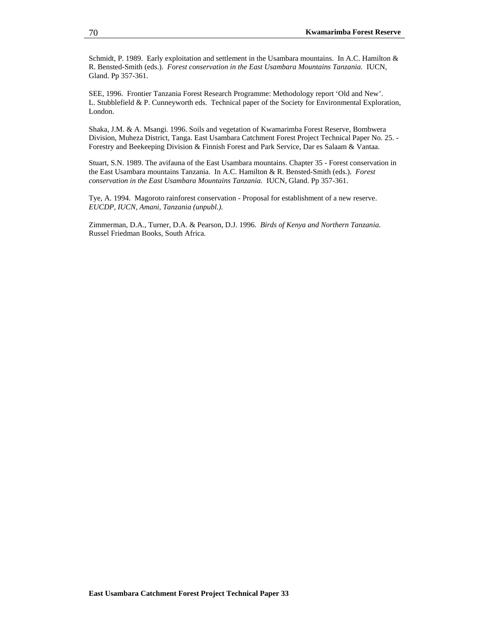Schmidt, P. 1989. Early exploitation and settlement in the Usambara mountains. In A.C. Hamilton & R. Bensted-Smith (eds.). *Forest conservation in the East Usambara Mountains Tanzania.* IUCN, Gland. Pp 357-361.

SEE, 1996. Frontier Tanzania Forest Research Programme: Methodology report 'Old and New'. L. Stubblefield & P. Cunneyworth eds. Technical paper of the Society for Environmental Exploration, London.

Shaka, J.M. & A. Msangi. 1996. Soils and vegetation of Kwamarimba Forest Reserve, Bombwera Division, Muheza District, Tanga. East Usambara Catchment Forest Project Technical Paper No. 25. - Forestry and Beekeeping Division & Finnish Forest and Park Service, Dar es Salaam & Vantaa.

Stuart, S.N. 1989. The avifauna of the East Usambara mountains. Chapter 35 - Forest conservation in the East Usambara mountains Tanzania. In A.C. Hamilton & R. Bensted-Smith (eds.). *Forest conservation in the East Usambara Mountains Tanzania.* IUCN, Gland. Pp 357-361.

Tye, A. 1994. Magoroto rainforest conservation - Proposal for establishment of a new reserve. *EUCDP, IUCN, Amani, Tanzania (unpubl.).* 

Zimmerman, D.A., Turner, D.A. & Pearson, D.J. 1996. *Birds of Kenya and Northern Tanzania.* Russel Friedman Books, South Africa.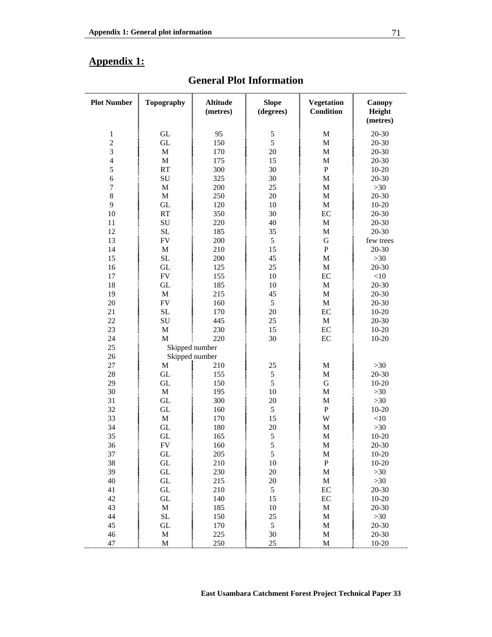# **Appendix 1:**

| <b>Plot Number</b>      | <b>Topography</b>   | <b>Altitude</b><br>(metres) | <b>Slope</b><br>(degrees) | <b>Vegetation</b><br><b>Condition</b> | Canopy<br>Height<br>(metres) |
|-------------------------|---------------------|-----------------------------|---------------------------|---------------------------------------|------------------------------|
| 1                       | GL                  | 95                          | $\sqrt{5}$                | $\mathbf M$                           | 20-30                        |
| $\overline{c}$          | <b>GL</b>           | 150                         | 5                         | $\mathbf M$                           | 20-30                        |
| 3                       | $\mathbf M$         | 170                         | 20                        | M                                     | 20-30                        |
| $\overline{4}$          | M                   | 175                         | 15                        | M                                     | $20 - 30$                    |
| <b>CONTRACTOR</b><br>5  | RT                  | 300                         | 30                        | $\, {\bf P}$                          | $10 - 20$                    |
| 6                       | SU                  | 325                         | 30                        | $\mathbf{M}$                          | 20-30                        |
| $\boldsymbol{7}$        | M                   | 200                         | 25                        | M                                     | $>30$                        |
| $\,8\,$                 | $\mathbf M$         | 250                         | 20                        | M                                     | 20-30                        |
| 9                       | GL                  | 120                         | 10                        | M                                     | $10 - 20$                    |
| 10                      | <b>RT</b>           | 350                         | 30                        | EC                                    | 20-30                        |
| Ī<br>11                 | SU                  | 220                         | 40                        | M                                     | $20 - 30$                    |
| 12                      | SL                  | 185                         | 35                        | M                                     | 20-30                        |
| 13                      | FV                  | 200                         | 5                         | G                                     | few trees                    |
| 14                      | $\mathbf M$         | 210                         | 15                        | ${\bf P}$                             | $20 - 30$                    |
| 15                      | SL                  | 200                         | 45                        | $\mathbf{M}$                          | $>30$                        |
| 16                      | <b>GL</b>           | 125                         | 25                        | M                                     | $20 - 30$                    |
| 17                      | ${\rm FV}$          | 155                         | 10                        | EC                                    | <10                          |
| 18                      | GL                  | 185                         | 10                        | $\mathbf M$                           | 20-30                        |
| 19                      | M                   | 215                         | 45                        | M                                     | 20-30                        |
| 20                      | ${\rm FV}$          | 160                         | 5                         | M                                     | 20-30                        |
| 21                      | SL                  | 170                         | 20                        | EC                                    | $10 - 20$                    |
| 22                      | SU                  | 445                         | 25                        | M                                     | $20 - 30$                    |
| 23                      | M                   | 230                         | 15                        | EC                                    | $10 - 20$                    |
| <b>CONTRACTOR</b><br>24 | M                   | 220                         | 30                        | EC                                    | $10 - 20$                    |
| 25                      |                     | Skipped number              |                           |                                       |                              |
| 26                      | Skipped number      |                             |                           |                                       |                              |
| 27                      | M                   | 210                         | 25                        | $\mathbf M$                           | $>30$                        |
| 28                      | GL                  | 155                         | $\mathfrak s$             | M                                     | 20-30                        |
| 29                      | GL                  | 150                         | 5                         | G                                     | $10 - 20$                    |
| 30                      | $\mathbf M$         | 195                         | 10                        | M                                     | $>30$                        |
| 31                      | GL                  | 300                         | 20                        | $\mathbf M$                           | $>30$                        |
| 32                      | GL                  | 160                         | 5                         | $\mathbf P$                           | $10 - 20$                    |
| 33                      | $\mathbf M$         | 170                         | 15                        | W                                     | $<$ 10                       |
| 34                      | <b>GL</b>           | 180                         | 20                        | $\mathbf M$                           | $>30$                        |
| 35                      | GL                  | 165                         | 5                         | M                                     | $10 - 20$                    |
| 36                      | <b>FV</b>           | 160                         | 5                         | M                                     | $20 - 30$                    |
| 37                      | GL                  | 205                         | $\sqrt{5}$                | $\mathbf M$                           | $10 - 20$                    |
| 38                      | GL                  | 210                         | 10                        | ${\bf P}$                             | $10 - 20$                    |
| 39                      | GL                  | 230                         | $20\,$                    | $\mathbf M$                           | $>30$                        |
| 40                      | $\operatorname{GL}$ | 215                         | $20\,$                    | $\mathbf M$                           | $>30$                        |
| 41                      | GL                  | 210                         | $\mathfrak s$             | EC                                    | $20 - 30$                    |
| 42                      | GL                  | 140                         | 15                        | EC                                    | $10 - 20$                    |
| 43                      | M                   | 185                         | 10                        | $\mathbf M$                           | $20 - 30$                    |
| 44                      | SL                  | 150                         | 25                        | M                                     | $>30$                        |
| 45                      | GL                  | 170                         | $\sqrt{5}$                | M                                     | $20 - 30$                    |
| 46                      | $\mathbf M$         | 225                         | 30                        | M                                     | 20-30                        |
| 47                      | M                   | 250                         | 25                        | M                                     | $10 - 20$                    |

# **General Plot Information**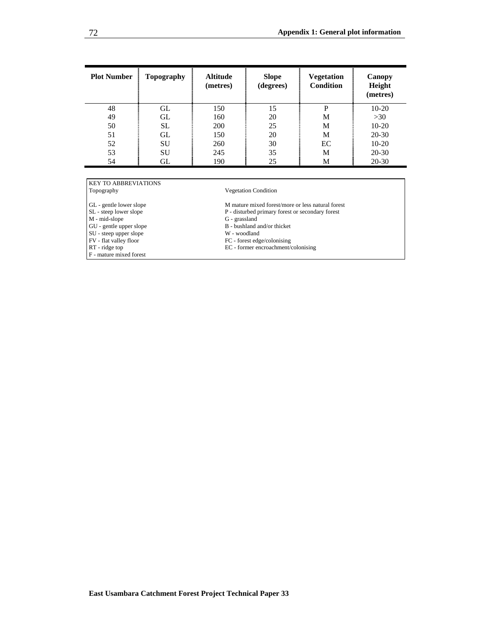| <b>Plot Number</b> | Topography | <b>Altitude</b><br>(metres) | <b>Slope</b><br>(degrees) | Vegetation<br>Condition | Canopy<br>Height<br>(metres) |
|--------------------|------------|-----------------------------|---------------------------|-------------------------|------------------------------|
| 48                 | GL         | 150                         | 15                        | P                       | $10-20$                      |
| 49                 | GL         | 160                         | 20                        | M                       | >30                          |
| 50                 | <b>SL</b>  | 200                         | 25                        | M                       | $10-20$                      |
| 51                 | GL         | 150                         | 20                        | М                       | $20 - 30$                    |
| 52                 | <b>SU</b>  | 260                         | 30                        | EC                      | $10-20$                      |
| 53                 | <b>SU</b>  | 245                         | 35                        | M                       | $20 - 30$                    |
| 54                 | GL         | 190                         | 25                        | M                       | $20 - 30$                    |

# KEY TO ABBREVIATIONS<br>Topography

GL - gentle lower slope M mature mixed forest/more or less natural forest SL - steep lower slope P - disturbed primary forest or secondary forest

M - mid-slope<br>GU - gentle upper slope

SU - steep upper slope<br>FV - flat valley floor

F - mature mixed forest

#### Vegetation Condition

 $\mathbf P$  - disturbed primary forest or secondary forest  $\mathbf G$  - grassland

 $B -$  bushland and/or thicket W - woodland

FV - flat valley floor<br>
RT - ridge top<br>
RT - ridge top<br>
EC - former encroachment/c

EC - former encroachment/colonising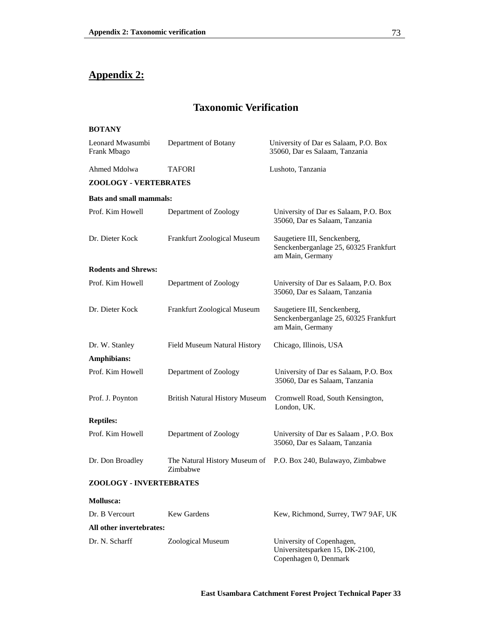# **Appendix 2:**

# **Taxonomic Verification**

# **BOTANY**  Leonard Mwasumbi Frank Mbago Department of Botany University of Dar es Salaam, P.O. Box 35060, Dar es Salaam, Tanzania Ahmed Mdolwa TAFORI Lushoto, Tanzania **ZOOLOGY - VERTEBRATES Bats and small mammals:**  Prof. Kim Howell Department of Zoology University of Dar es Salaam, P.O. Box 35060, Dar es Salaam, Tanzania Dr. Dieter Kock Frankfurt Zoological Museum Saugetiere III, Senckenberg, Senckenberganlage 25, 60325 Frankfurt am Main, Germany **Rodents and Shrews:**  Prof. Kim Howell Department of Zoology University of Dar es Salaam, P.O. Box 35060, Dar es Salaam, Tanzania Dr. Dieter Kock Frankfurt Zoological Museum Saugetiere III, Senckenberg, Senckenberganlage 25, 60325 Frankfurt am Main, Germany Dr. W. Stanley Field Museum Natural History Chicago, Illinois, USA **Amphibians:**  Prof. Kim Howell Department of Zoology University of Dar es Salaam, P.O. Box 35060, Dar es Salaam, Tanzania Prof. J. Poynton British Natural History Museum Cromwell Road, South Kensington, London, UK. **Reptiles:**  Prof. Kim Howell Department of Zoology University of Dar es Salaam , P.O. Box 35060, Dar es Salaam, Tanzania Dr. Don Broadley The Natural History Museum of P.O. Box 240, Bulawayo, Zimbabwe Zimbabwe **ZOOLOGY - INVERTEBRATES Mollusca:**  Dr. B Vercourt Kew Gardens Kew, Richmond, Surrey, TW7 9AF, UK **All other invertebrates:**

Dr. N. Scharff Zoological Museum University of Copenhagen, Universitetsparken 15, DK-2100,

**East Usambara Catchment Forest Project Technical Paper 33**

Copenhagen 0, Denmark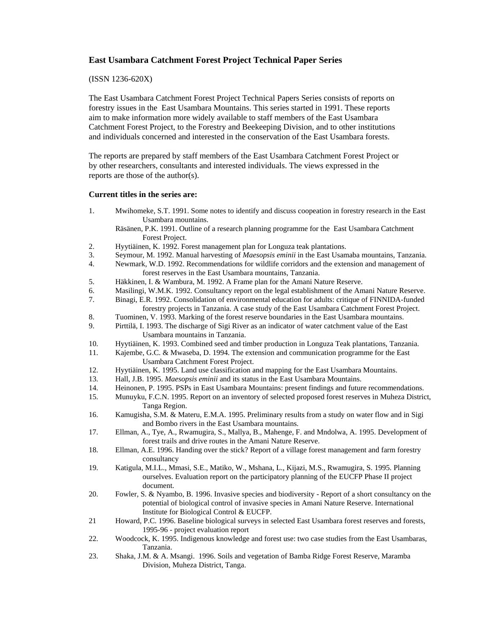## **East Usambara Catchment Forest Project Technical Paper Series**

#### (ISSN 1236-620X)

The East Usambara Catchment Forest Project Technical Papers Series consists of reports on forestry issues in the East Usambara Mountains. This series started in 1991. These reports aim to make information more widely available to staff members of the East Usambara Catchment Forest Project, to the Forestry and Beekeeping Division, and to other institutions and individuals concerned and interested in the conservation of the East Usambara forests.

The reports are prepared by staff members of the East Usambara Catchment Forest Project or by other researchers, consultants and interested individuals. The views expressed in the reports are those of the author(s).

#### **Current titles in the series are:**

- 1. Mwihomeke, S.T. 1991. Some notes to identify and discuss coopeation in forestry research in the East Usambara mountains.
	- Räsänen, P.K. 1991. Outline of a research planning programme for the East Usambara Catchment Forest Project.
- 2. Hyytiäinen, K. 1992. Forest management plan for Longuza teak plantations.
- 3. Seymour, M. 1992. Manual harvesting of *Maesopsis eminii* in the East Usamaba mountains, Tanzania.
- 4. Newmark, W.D. 1992. Recommendations for wildlife corridors and the extension and management of forest reserves in the East Usambara mountains, Tanzania.
- 5. Häkkinen, I. & Wambura, M. 1992. A Frame plan for the Amani Nature Reserve.
- 6. Masilingi, W.M.K. 1992. Consultancy report on the legal establishment of the Amani Nature Reserve.
- 7. Binagi, E.R. 1992. Consolidation of environmental education for adults: critique of FINNIDA-funded forestry projects in Tanzania. A case study of the East Usambara Catchment Forest Project.
- 8. Tuominen, V. 1993. Marking of the forest reserve boundaries in the East Usambara mountains.
- 9. Pirttilä, I. 1993. The discharge of Sigi River as an indicator of water catchment value of the East Usambara mountains in Tanzania.
- 10. Hyytiäinen, K. 1993. Combined seed and timber production in Longuza Teak plantations, Tanzania.
- 11. Kajembe, G.C. & Mwaseba, D. 1994. The extension and communication programme for the East Usambara Catchment Forest Project.
- 12. Hyytiäinen, K. 1995. Land use classification and mapping for the East Usambara Mountains.
- 13. Hall, J.B. 1995. *Maesopsis eminii* and its status in the East Usambara Mountains.
- 14. Heinonen, P. 1995. PSPs in East Usambara Mountains: present findings and future recommendations.
- 15. Munuyku, F.C.N. 1995. Report on an inventory of selected proposed forest reserves in Muheza District, Tanga Region.
- 16. Kamugisha, S.M. & Materu, E.M.A. 1995. Preliminary results from a study on water flow and in Sigi and Bombo rivers in the East Usambara mountains.
- 17. Ellman, A., Tye, A., Rwamugira, S., Mallya, B., Mahenge, F. and Mndolwa, A. 1995. Development of forest trails and drive routes in the Amani Nature Reserve.
- 18. Ellman, A.E. 1996. Handing over the stick? Report of a village forest management and farm forestry consultancy
- 19. Katigula, M.I.L., Mmasi, S.E., Matiko, W., Mshana, L., Kijazi, M.S., Rwamugira, S. 1995. Planning ourselves. Evaluation report on the participatory planning of the EUCFP Phase II project document.
- 20. Fowler, S. & Nyambo, B. 1996. Invasive species and biodiversity Report of a short consultancy on the potential of biological control of invasive species in Amani Nature Reserve. International Institute for Biological Control & EUCFP.
- 21 Howard, P.C. 1996. Baseline biological surveys in selected East Usambara forest reserves and forests, 1995-96 - project evaluation report
- 22. Woodcock, K. 1995. Indigenous knowledge and forest use: two case studies from the East Usambaras, Tanzania.
- 23. Shaka, J.M. & A. Msangi. 1996. Soils and vegetation of Bamba Ridge Forest Reserve, Maramba Division, Muheza District, Tanga.